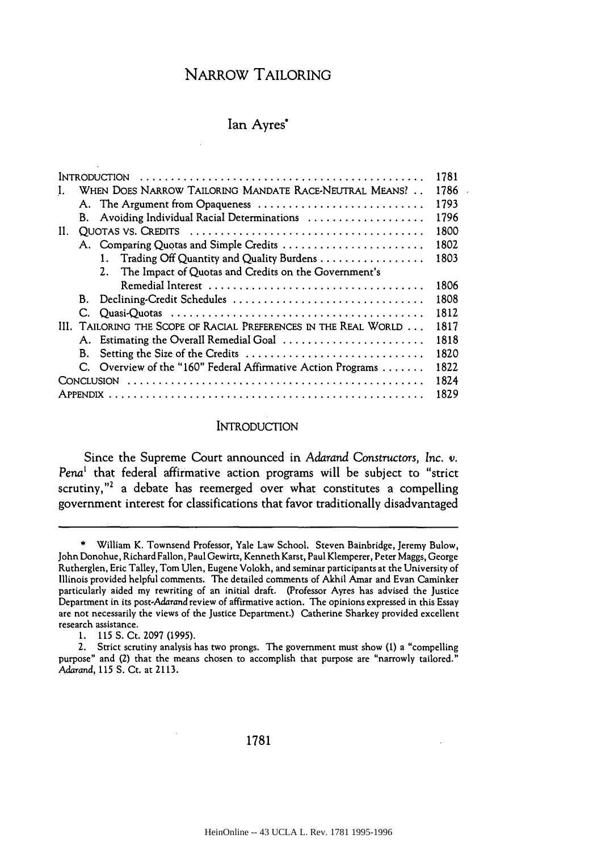# NARROW TAILORING

# Ian Ayres\*

| 1781<br>Introduction |                                                                  |                                                              |      |  |
|----------------------|------------------------------------------------------------------|--------------------------------------------------------------|------|--|
|                      | WHEN DOES NARROW TAILORING MANDATE RACE-NEUTRAL MEANS?<br>1786   |                                                              |      |  |
|                      |                                                                  | A. The Argument from Opaqueness                              | 1793 |  |
|                      | В.                                                               | Avoiding Individual Racial Determinations                    | 1796 |  |
| H.                   |                                                                  |                                                              |      |  |
|                      |                                                                  | A. Comparing Quotas and Simple Credits                       | 1802 |  |
|                      |                                                                  | 1. Trading Off Quantity and Quality Burdens                  | 1803 |  |
|                      |                                                                  | 2. The Impact of Quotas and Credits on the Government's      |      |  |
|                      |                                                                  |                                                              | 1806 |  |
|                      |                                                                  | B. Declining-Credit Schedules                                | 1808 |  |
|                      | C.                                                               |                                                              | 1812 |  |
|                      | III. TAILORING THE SCOPE OF RACIAL PREFERENCES IN THE REAL WORLD |                                                              |      |  |
|                      |                                                                  | A. Estimating the Overall Remedial Goal                      | 1818 |  |
|                      | В.                                                               | Setting the Size of the Credits                              | 1820 |  |
|                      |                                                                  | C. Overview of the "160" Federal Affirmative Action Programs | 1822 |  |
|                      |                                                                  |                                                              |      |  |
| 1829                 |                                                                  |                                                              |      |  |
|                      |                                                                  |                                                              |      |  |

## **INTRODUCTION**

Since the Supreme Court announced in Adarand Constructors, *Inc. v.* Pena' that federal affirmative action programs will be subject to "strict scrutiny,"<sup>2</sup> a debate has reemerged over what constitutes a compelling government interest for classifications that favor traditionally disadvantaged

<sup>\*</sup> William K. Townsend Professor, Yale Law School. Steven Bainbridge, Jeremy Bulow, John Donohue, Richard Fallon, Paul Gewirtz, Kenneth Karst, Paul Klemperer, Peter Maggs, George Rutherglen, Eric Talley, Tom Ulen, Eugene Volokh, and seminar participants at the University of Illinois provided helpful comments. The detailed comments of Akhil Amar and Evan Caminker particularly aided my rewriting of an initial draft. (Professor Ayres has advised the Justice Department in its post-Adarand review of affirmative action. The opinions expressed in this Essay are not necessarily the views of the Justice Department.) Catherine Sharkey provided excellent research assistance.

**<sup>1. 115</sup> S.** Ct. 2097 (1995).

<sup>2.</sup> Strict scrutiny analysis has two prongs. The government must show (1) a "compelling purpose" and (2) that the means chosen to accomplish that purpose are "narrowly tailored." Adarand, **115 S.** Ct. at 2113.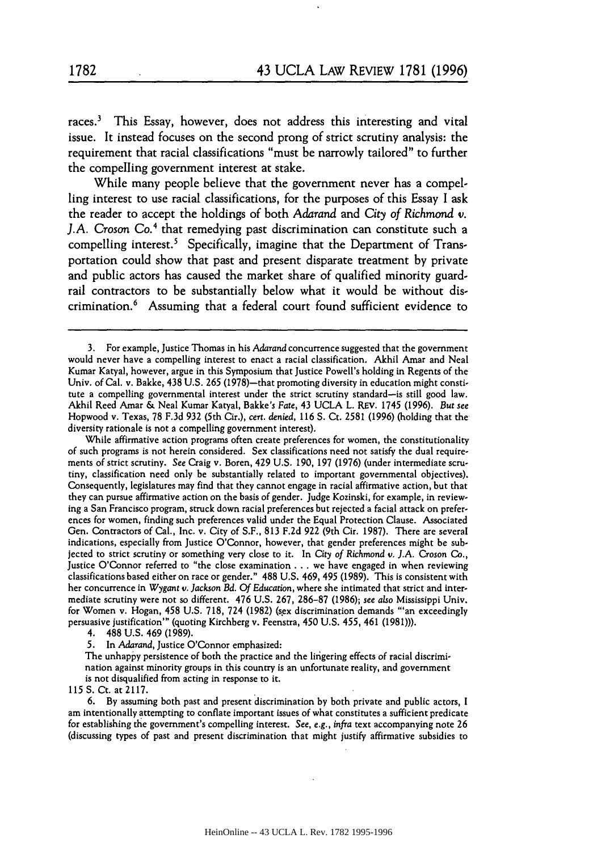races.3 This Essay, however, does not address this interesting and vital issue. It instead focuses on the second prong of strict scrutiny analysis: the requirement that racial classifications "must be narrowly tailored" to further the compelling government interest at stake.

While many people believe that the government never has a compelling interest to use racial classifications, for the purposes of this Essay **I** ask the reader to accept the holdings of both *Adarand* and *City of Richmond* v. *J.A. Croson* Co.4 that remedying past discrimination can constitute such a compelling interest.<sup>5</sup> Specifically, imagine that the Department of Transportation could show that past and present disparate treatment **by** private and public actors has caused the market share of qualified minority guardrail contractors to be substantially below what it would be without discrimination.6 Assuming that a federal court found sufficient evidence to

4. 488 U.S. 469 (1989).

5. In Adarand, Justice O'Connor emphasized:

The unhappy persistence of both the practice and the lingering effects of racial discrimination against minority groups in this country is an unfortunate reality, and government is not disqualified from acting in response to it.

**115** S. Ct. at 2117.

**6.** By assuming both past and present discrimination by both private and public actors, I am intentionally attempting to conflate important issues of what constitutes a sufficient predicate for establishing the government's compelling interest. *See, e.g.,* infra text accompanying note 26 (discussing types of past and present discrimination that might justify affirmative subsidies to

<sup>3.</sup> For example, Justice Thomas in his *Adarand* concurrence suggested that the government would never have a compelling interest to enact a racial classification. Akhil Amar and Neal Kumar Katyal, however, argue in this Symposium that Justice Powell's holding in Regents of the Univ. of Cal. v. Bakke, 438 U.S. 265 (1978)—that promoting diversity in education might constitute a compelling governmental interest under the strict scrutiny standard-is still good law. Akhil Reed Amar & Neal Kumar Katyal, Bakke's *Fate,* 43 UCLA L. REV. 1745 (1996). *But see* Hopwood v. Texas, 78 F.3d 932 (5th Cir.), cert. denied, **116** S. Ct. 2581 (1996) (holding that the diversity rationale is not a compelling government interest).

While affirmative action programs often create preferences for women, the constitutionality of such programs is not herein considered. Sex classifications need not satisfy the dual requirements of strict scrutiny. See Craig v. Boren, 429 U.S. 190, **197** (1976) (under intermediate scrutiny, classification need only be substantially related to important governmental objectives). Consequently, legislatures may find that they cannot engage in racial affirmative action, but that they can pursue affirmative action on the basis of gender. Judge Kozinski, for example, in reviewing a San Francisco program, struck down racial preferences but rejected a facial attack on preferences for women, finding such preferences valid under the Equal Protection Clause. Associated Gen. Contractors of Cal., Inc. v. City of S.F., **813** F.2d 922 (9th Cir. 1987). There are several indications, especially from Justice O'Connor, however, that gender preferences might be subjected to strict scrutiny or something very close to it. In *City of Richmond v. J.A.* Croson *Co.,* Justice O'Connor referred to "the close examination **...** we have engaged in when reviewing classifications based either on race or gender." 488 U.S. 469, 495 (1989). This is consistent with her concurrence in *Wygant* v. *Jackson Bd. Of Education,* where she intimated that strict and intermediate scrutiny were not so different. 476 U.S. 267, 286-87 (1986); *see also* Mississippi Univ. for Women v. Hogan, 458 U.S. 718, 724 (1982) (sex discrimination demands "'an exceedingly persuasive justification"' (quoting Kirchberg v. Feenstra, 450 U.S. 455, 461 (1981))).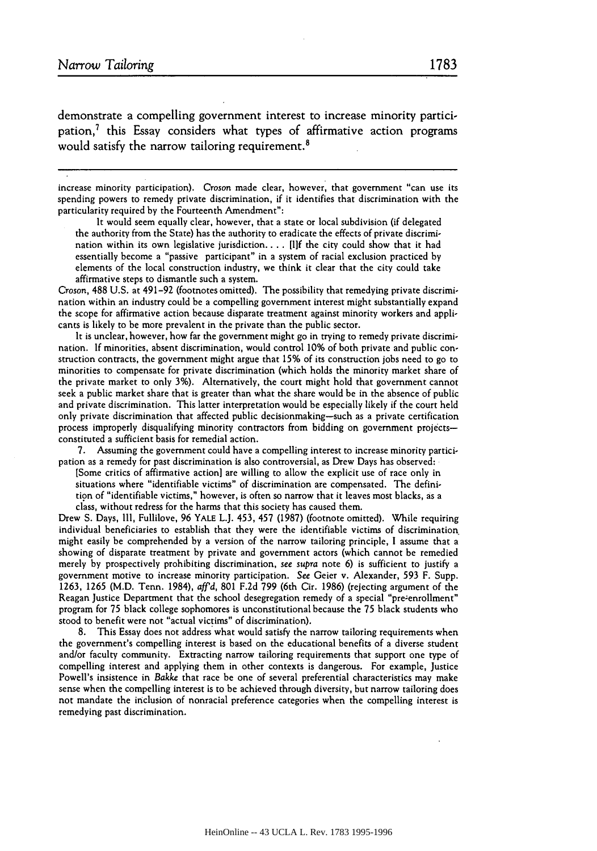demonstrate a compelling government interest to increase minority participation,<sup>7</sup> this Essay considers what types of affirmative action programs would satisfy the narrow tailoring requirement.<sup>8</sup>

increase minority participation). *Croson* made clear, however, that government "can use its spending powers to remedy private discrimination, if it identifies that discrimination with the particularity required by the Fourteenth Amendment":

It would seem equally clear, however, that a state or local subdivision (if delegated the authority from the State) has the authority to eradicate the effects of private discrimination within its own legislative jurisdiction.... [I]f the city could show that it had essentially become a "passive participant" in a system of racial exclusion practiced by elements of the local construction industry, we think it clear that the city could take affirmative steps to dismantle such a system.

Croson, 488 U.S. at 491-92 (footnotes omitted). The possibility that remedying private discrimination within an industry could be a compelling government interest might substantially expand the scope for affirmative action because disparate treatment against minority workers and applicants is likely to be more prevalent in the private than the public sector.

It is unclear, however, how far the government might go in trying to remedy private discrimination. If minorities, absent discrimination, would control 10% of both private and public construction contracts, the government might argue that 15% of its construction jobs need to go to minorities to compensate for private discrimination (which holds the minority market share of the private market to only 3%). Alternatively, the court might hold that government cannot seek a public market share that is greater than what the share would be in the absence of public and private discrimination. This latter interpretation would be especially likely if the court held only private discrimination that affected public decisionmaking-such as a private certification process improperly disqualifying minority contractors from bidding on government projectsconstituted a sufficient basis for remedial action.

7. Assuming the government could have a compelling interest to increase minority participation as a remedy for past discrimination is also controversial, as Drew Days has observed:

[Some critics of affirmative action] are willing to allow the explicit use of race only in situations where "identifiable victims" of discrimination are compensated. The definition of "identifiable victims," however, is often so narrow that it leaves most blacks, as a class, without redress for the harms that this society has caused them.

Drew **S.** Days, III, Fullilove, 96 YALE L.J. 453, 457 (1987) (footnote omitted). While requiring individual beneficiaries to establish that they were the identifiable victims of discrimination might easily be comprehended by a version of the narrow tailoring principle, I assume that a showing of disparate treatment by private and government actors (which cannot be remedied merely by prospectively prohibiting discrimination, *see supra* note 6) is sufficient to justify a government motive to increase minority participation. See Geier v. Alexander, 593 F. Supp. 1263, 1265 (M.D. Tenn. 1984), *aff'd,* 801 F.2d 799 (6th Cir. 1986) (rejecting argument of the Reagan Justice Department that the school desegregation remedy of a special "pre-enrollment" program for 75 black college sophomores is unconstitutional because the 75 black students who stood to benefit were not "actual victims" of discrimination).

8. This Essay does not address what would satisfy the narrow tailoring requirements when the government's compelling interest is based on the educational benefits of a diverse student and/or faculty community. Extracting narrow tailoring requirements that support one type of compelling interest and applying them in other contexts is dangerous. For example, Justice Powell's insistence in *Bakke* that race be one of several preferential characteristics may make sense when the compelling interest is to be achieved through diversity, but narrow tailoring does not mandate the inclusion of nonracial preference categories when the compelling interest is remedying past discrimination.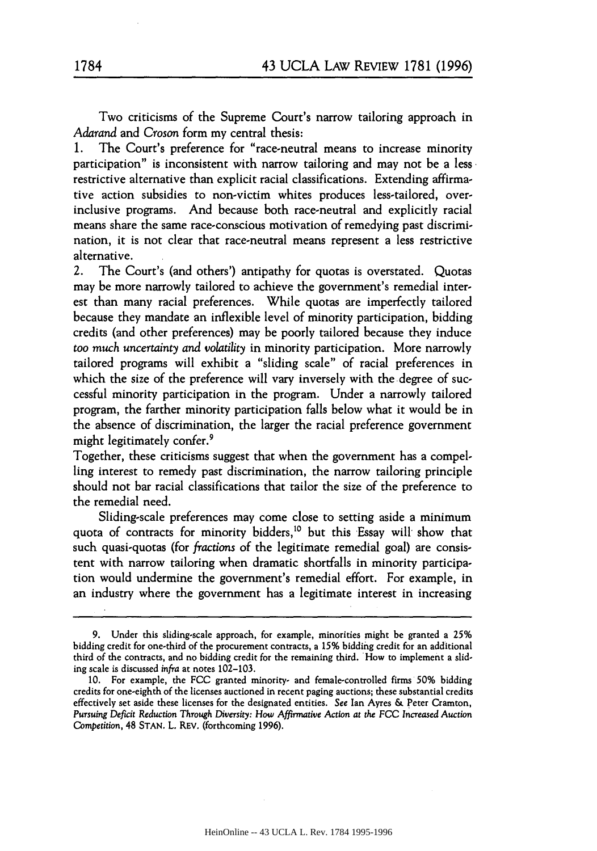Two criticisms of the Supreme Court's narrow tailoring approach in *Adarand* and *Croson* form my central thesis:

The Court's preference for "race-neutral means to increase minority participation" is inconsistent with narrow tailoring and may not be a less restrictive alternative than explicit racial classifications. Extending affirmative action subsidies to non-victim whites produces less-tailored, overinclusive programs. And because both race-neutral and explicitly racial means share the same race-conscious motivation of remedying past discrimination, it is not clear that race-neutral means represent a less restrictive alternative.

2. The Court's (and others') antipathy for quotas is overstated. Quotas may be more narrowly tailored to achieve the government's remedial interest than many racial preferences. While quotas are imperfectly tailored because they mandate an inflexible level of minority participation, bidding credits (and other preferences) may be poorly tailored because they induce too *much uncertainty and volatility* in minority participation. More narrowly tailored programs will exhibit a "sliding scale" of racial preferences in which the size of the preference will vary inversely with the degree of successful minority participation in the program. Under a narrowly tailored program, the farther minority participation falls below what it would be in the absence of discrimination, the larger the racial preference government might legitimately confer.<sup>9</sup>

Together, these criticisms suggest that when the government has a compelling interest to remedy past discrimination, the narrow tailoring principle should not bar racial classifications that tailor the size of the preference to the remedial need.

Sliding-scale preferences may come close to setting aside a minimum quota of contracts for minority bidders,<sup>10</sup> but this Essay will show that such quasi-quotas (for *fractions* of the legitimate remedial goal) are consistent with narrow tailoring when dramatic shortfalls in minority participation would undermine the government's remedial effort. For example, in an industry where the government has a legitimate interest in increasing

<sup>9.</sup> Under this sliding-scale approach, for example, minorities might be granted a **25%** bidding credit for one-third of the procurement contracts, a **15%** bidding credit for an additional third of the contracts, and no bidding credit for the remaining third. How to implement a sliding scale is discussed infra at notes 102-103.

**<sup>10.</sup>** For example, the FCC granted minority- and female-controlled firms **50%** bidding credits for one-eighth of the licenses auctioned in recent paging auctions; these substantial credits effectively set aside these licenses for the designated entities. See Ian Ayres & Peter Cramton, *Pursuing Deficit Reduction* Through *Diversity: How Affirmative* Action *at the FCC Increased Auction* Competition, 48 STAN. L. REV. (forthcoming 1996).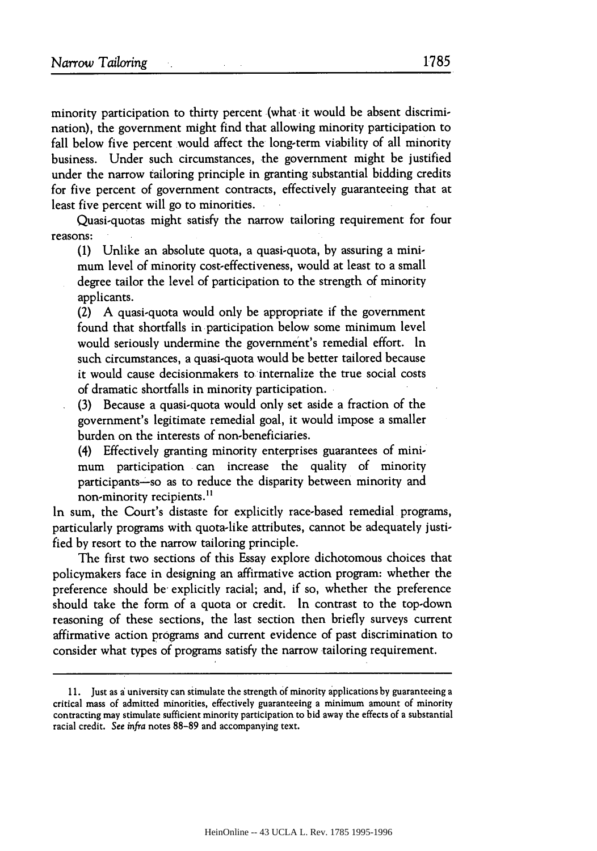minority participation to thirty percent (what it would be absent discrimination), the government might find that allowing minority participation to fall below five percent would affect the long-term viability of all minority business. Under such circumstances, the government might be justified under the narrow tailoring principle in granting substantial bidding credits for five percent of government contracts, effectively guaranteeing that at least five percent will go to minorities.

Quasi-quotas might satisfy the narrow tailoring requirement for four reasons:

(1) Unlike an absolute quota, a quasi-quota, by assuring a minimum level of minority cost-effectiveness, would at least to a small degree tailor the level of participation to the strength of minority applicants.

(2) A quasi-quota would only be appropriate if the government found that shortfalls in participation below some minimum level would seriously undermine the government's remedial effort. In such circumstances, a quasi-quota would be better tailored because it would cause decisionmakers to internalize the true social costs of dramatic shortfalls in minority participation.

(3) Because a quasi-quota would only set aside a fraction of the government's legitimate remedial goal, it would impose a smaller burden on the interests of non-beneficiaries.

(4) Effectively granting minority enterprises guarantees of minimum participation can increase the quality of minority participants-so as to reduce the disparity between minority and non-minority recipients.<sup>11</sup>

In sum, the Court's distaste for explicitly race-based remedial programs, particularly programs with quota-like attributes, cannot be adequately justified by resort to the narrow tailoring principle.

The first two sections of this Essay explore dichotomous choices that policymakers face in designing an affirmative action program: whether the preference should be explicitly racial; and, if so, whether the preference should take the form of a quota or credit. In contrast to the top-down reasoning of these sections, the last section then briefly surveys current affirmative action programs and current evidence of past discrimination to consider what types of programs satisfy the narrow tailoring requirement.

<sup>11.</sup> Just as a university can stimulate the strength **Of** minority applications by guaranteeing a critical mass of admitted minorities, effectively guaranteeing a minimum amount of minority contracting may stimulate sufficient minority participation to bid away the effects of a substantial racial credit. See *infra* notes 88-89 and accompanying text.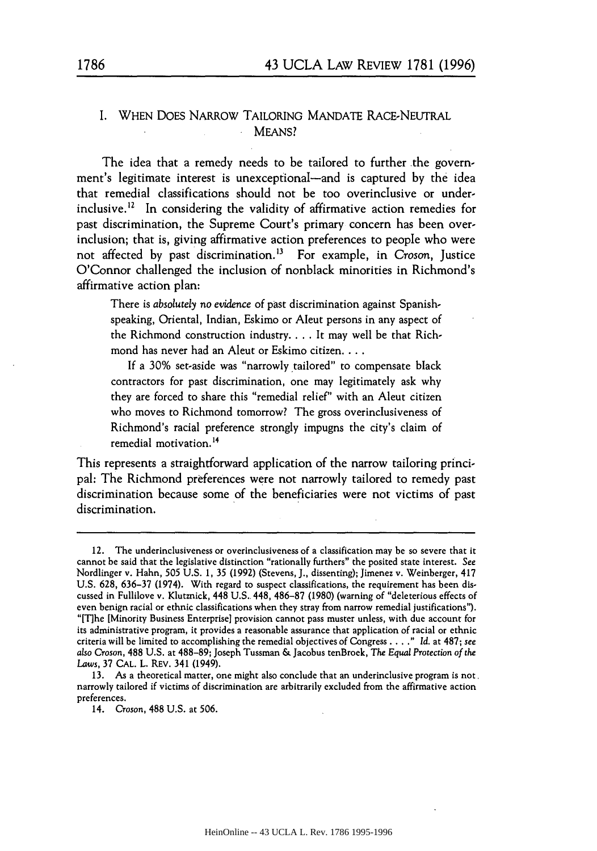# I. WHEN DOES NARROW TAILORING MANDATE RACE-NEUTRAL MEANS?

The idea that a remedy needs to be tailored to further the government's legitimate interest is unexceptional—and is captured by the idea that remedial classifications should not be too overinclusive or underinclusive.<sup>12</sup> In considering the validity of affirmative action remedies for past discrimination, the Supreme Court's primary concern has been overinclusion; that is, giving affirmative action preferences to people who were not affected by past discrimination.<sup>13</sup> For example, in *Croson*, Justice O'Connor challenged the inclusion of nonblack minorities in Richmond's affirmative action plan:

There is *absolutely no evidence* of past discrimination against Spanishspeaking, Oriental, Indian, Eskimo or Aleut persons in any aspect of the Richmond construction industry **....** It may well be that Richmond has never had an Aleut or Eskimo citizen....

If a 30% set-aside was "narrowly tailored" to compensate black contractors for past discrimination, one may legitimately ask why they are forced to share this "remedial relief" with an Aleut citizen who moves to Richmond tomorrow? The gross overinclusiveness of Richmond's racial preference strongly impugns the city's claim of remedial motivation.<sup>14</sup>

This represents a straightforward application of the narrow tailoring principal: The Richmond preferences were not narrowly tailored to remedy past discrimination because some of the beneficiaries were not victims of past discrimination.

<sup>12.</sup> The underinclusiveness or overinclusiveness of a classification may be so severe that it cannot be said that the legislative distinction "rationally furthers" the posited state interest. See Nordlinger v. Hahn, 505 U.S. 1, 35 (1992) (Stevens, J., dissenting); Jimenez v. Weinberger, 417 U.S. 628, 636-37 (1974). With regard to suspect classifications, the requirement has been discussed in Fullilove v. Klutznick, 448 U.S. 448, 486-87 (1980) (warning of "deleterious effects of even benign racial or ethnic classifications when they stray from narrow remedial justifications"). "[Tlhe [Minority Business Enterprise] provision cannot pass muster unless, with due account for its administrative program, it provides a reasonable assurance that application of racial or ethnic criteria will be limited to accomplishing the remedial objectives of Congress **....** *" Id.* at 487; *see also* Croson, 488 U.S. at 488-89; Joseph Tussman & Jacobus tenBroek, *The Equal* Protection *of the* Laws, 37 **CAL.** L. REV. 341 (1949).

<sup>13.</sup> As a theoretical matter, one might also conclude that an underinclusive program is not. narrowly tailored if victims of discrimination are arbitrarily excluded from the affirmative action preferences.

<sup>14.</sup> Croson, 488 U.S. at 506.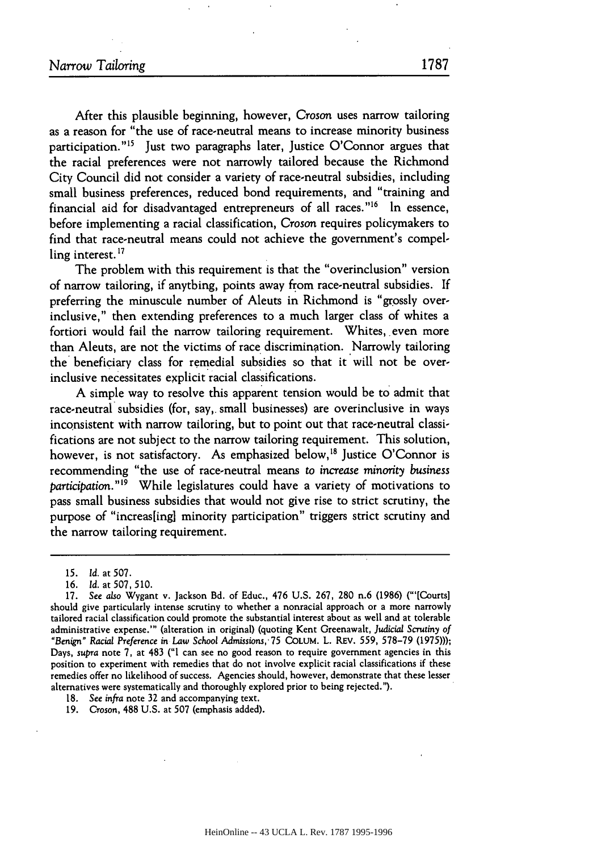After this plausible beginning, however, Croson uses narrow tailoring as a reason for "the use of race-neutral means to increase minority business participation."<sup>15</sup> Just two paragraphs later, Justice O'Connor argues that the racial preferences were not narrowly tailored because the Richmond City Council did not consider a variety of race-neutral subsidies, including small business preferences, reduced bond requirements, and "training and financial aid for disadvantaged entrepreneurs of all races."<sup>16</sup> In essence, before implementing a racial classification, *Croson* requires policymakers to find that race-neutral means could not achieve the government's compelling interest. **<sup>17</sup>**

The problem with this requirement is that the "overinclusion" version of narrow tailoring, if anything, points away from race-neutral subsidies. If preferring the minuscule number of Aleuts in Richmond is "grossly overinclusive," then extending preferences to a much larger class of whites a fortiori would fail the narrow tailoring requirement. Whites, even more than Aleuts, are not the victims of race discrimination. Narrowly tailoring the' beneficiary class for remedial subsidies so that it will not be overinclusive necessitates explicit racial classifications.

A simple way to resolve this apparent tension would be to admit that race-neutral subsidies (for, say,. small businesses) are overinclusive in ways inconsistent with narrow tailoring, but to point out that race-neutral classifications are not subject to the narrow tailoring requirement. This solution, however, is not satisfactory. As emphasized below,<sup>18</sup> Justice O'Connor is recommending "the use of race-neutral means to *increase minority business participation."19* While legislatures could have a variety of motivations to pass small business subsidies that would not give rise to strict scrutiny, the purpose of "increas[ing] minority participation" triggers strict scrutiny and the narrow tailoring requirement.

- 18. See infra note **32** and accompanying text.
- 19. Croson, 488 U.S. at **507** (emphasis added).

<sup>15.</sup> Id. at 507.

<sup>16.</sup> *Id.* at 507,510.

<sup>17.</sup> See *also* Wygant v. Jackson Bd. of Educ., 476 U.S. 267, 280 n.6 (1986) ("'[Courts] should give particularly intense scrutiny to whether a nonracial approach or a more narrowly tailored racial classification could promote the substantial interest about as well and at tolerable administrative expense."' (alteration in original) (quoting Kent Greenawalt, Judicial Scrutiny of *"Benign"* Racial *Preference in* Law School *Admissions,* 75 COLUM. L. **REV.** 559, 578-79 (1975))); Days, *supra* note 7, at 483 ("I can see no good reason to require government agencies in this position to experiment with remedies that do not involve explicit racial classifications if these remedies offer no likelihood of success. Agencies should, however, demonstrate that these lesser alternatives were systematically and thoroughly explored prior to being rejected.").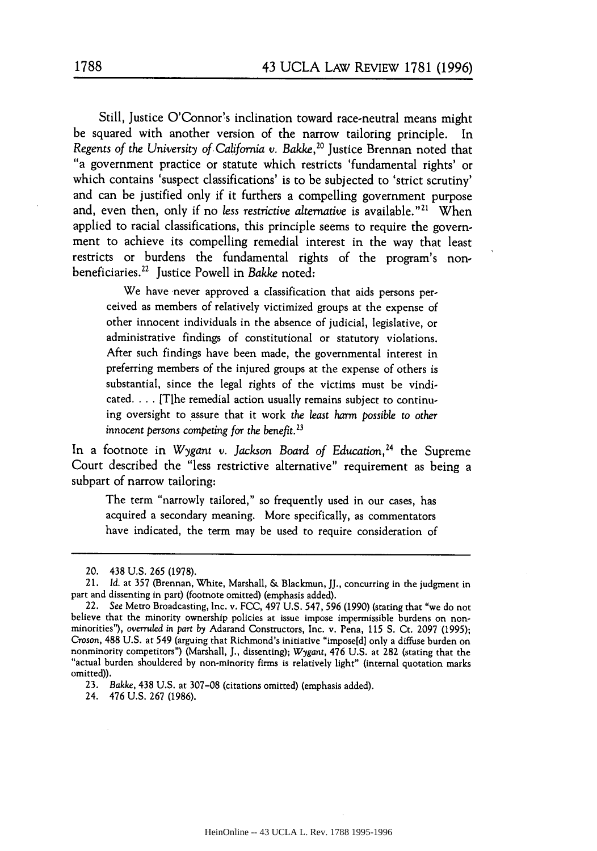Still, Justice O'Connor's inclination toward race-neutral means might be squared with another version of the narrow tailoring principle. In *Regents of the University of California v. Bakke,20* Justice Brennan noted that "a government practice or statute which restricts 'fundamental rights' or which contains 'suspect classifications' is to be subjected to 'strict scrutiny' and can be justified only if it furthers a compelling government purpose and, even then, only if no *less restrictive alternative* is available."<sup>21</sup> When applied to racial classifications, this principle seems to require the government to achieve its compelling remedial interest in the way that least restricts or burdens the fundamental rights of the program's nonbeneficiaries.22 Justice Powell in *Bakke* noted:

We have never approved a classification that aids persons perceived as members of relatively victimized groups at the expense of other innocent individuals in the absence of judicial, legislative, or administrative findings of constitutional or statutory violations. After such findings have been made, the governmental interest in preferring members of the injured groups at the expense of others is substantial, since the legal rights of the victims must be vindicated. . **.** . [T]he remedial action usually remains subject to continuing oversight to assure that it work *the least harm possible to other innocent persons competing for the benefit.23*

In a footnote in *Wygant v. Jackson Board of Education*,<sup>24</sup> the Supreme Court described the "less restrictive alternative" requirement as being a subpart of narrow tailoring:

The term "narrowly tailored," so frequently used in our cases, has acquired a secondary meaning. More specifically, as commentators have indicated, the term may be used to require consideration of

23. *Bakke,* 438 U.S. at 307-08 (citations omitted) (emphasis added).

24. 476 U.S. 267 (1986).

<sup>20. 438</sup> U.S. 265 (1978).

<sup>21.</sup> *Id.* at 357 (Brennan, White, Marshall, & Blackmun, JJ., concurring in the judgment in part and dissenting in part) (footnote omitted) (emphasis added).

<sup>22.</sup> See Metro Broadcasting, Inc. v. FCC, 497 U.S. *547,* 596 (1990) (stating that "we do not believe that the minority ownership policies at issue impose impermissible burdens on non- minorities"), *overruled in part by* Adarand Constructors, Inc. v. Pena, 115 S. Ct. 2097 (1995); Croson, 488 U.S. at 549 (arguing that Richmond's initiative "impose[d] only a diffuse burden on nonminority competitors") (Marshall, J., dissenting); Wygant, 476 U.S. at 282 (stating that the "actual burden shouldered by n omitted)).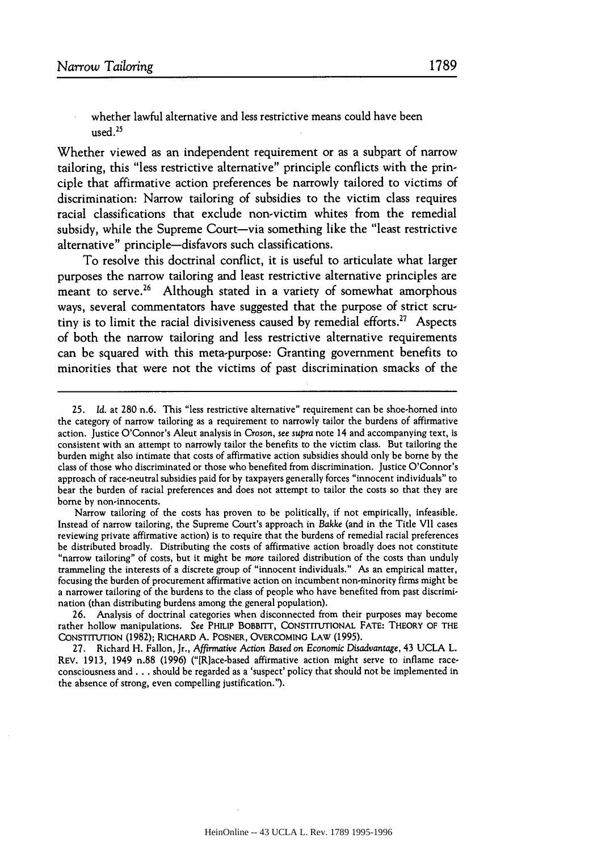whether lawful alternative and less restrictive means could have been used $25$ 

Whether viewed as an independent requirement or as a subpart of narrow tailoring, this "less restrictive alternative" principle conflicts with the principle that affirmative action preferences be narrowly tailored to victims of discrimination: Narrow tailoring of subsidies to the victim class requires racial classifications that exclude non-victim whites from the remedial subsidy, while the Supreme Court-via something like the "least restrictive" alternative" principle-disfavors such classifications.

To resolve this doctrinal conflict, it is useful to articulate what larger purposes the narrow tailoring and least restrictive alternative principles are meant to serve.<sup>26</sup> Although stated in a variety of somewhat amorphous ways, several commentators have suggested that the purpose of strict scrutiny is to limit the racial divisiveness caused by remedial efforts.<sup>27</sup> Aspects of both the narrow tailoring and less restrictive alternative requirements can be squared with this meta-purpose: Granting government benefits to minorities that were not the victims of past discrimination smacks of the

Narrow tailoring of the costs has proven to be politically, if not empirically, infeasible. Instead of narrow tailoring, the Supreme Court's approach in *Bakke* (and in the Title VII cases reviewing private affirmative action) is to require that the burdens of remedial racial preferences be distributed broadly. Distributing the costs of affirmative action broadly does not constitute "narrow tailoring" of costs, but it might be more tailored distribution of the costs than unduly trammeling the interests of a discrete group of "innocent individuals." As an empirical matter, focusing the burden of procurement affirmative action on incumbent non-minority firms might be a narrower tailoring of the burdens to the class of people who have benefited from past discrimination (than distributing burdens among the general population).

26. Analysis of doctrinal categories when disconnected from their purposes may become rather hollow manipulations. See PHILIP BOBBITT, CONSTITUTIONAL **FATE:** THEORY OF THE CONSTITUTION (1982); RICHARD A. POSNER, OVERCOMING LAW (1995).

27. Richard H. Fallon, Jr., Affirmative Action *Based on* Economic Disadvantage, 43 UCLA L. REV. **1913,** 1949 n.88 (1996) ("[Rlace-based affirmative action might serve to inflame raceconsciousness and.., should be regarded as a 'suspect' policy that should not be implemented in the absence of strong, even compelling justification.").

<sup>25.</sup> *Id.* at 280 n.6. This "less restrictive alternative" requirement can be shoe-homed into the category of narrow tailoring as a requirement to narrowly tailor the burdens of affirmative action. Justice O'Connor's Aleut analysis in Croson, see *supra* note 14 and accompanying text, is consistent with an attempt to narrowly tailor the benefits to the victim class. But tailoring the burden might also intimate that costs of affirmative action subsidies should only be borne by the class of those who discriminated or those who benefited from discrimination. Justice O'Connor's approach of race-neutral subsidies paid for by taxpayers generally forces "innocent individuals" to bear the burden of racial preferences and does not attempt to tailor the costs so that they are borne by non-innocents.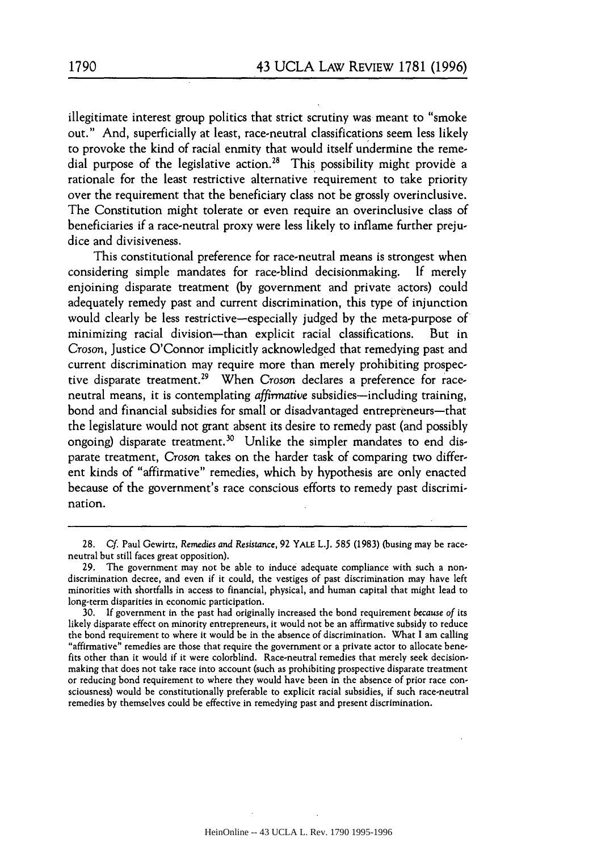illegitimate interest group politics that strict scrutiny was meant to "smoke out." And, superficially at least, race-neutral classifications seem less likely to provoke the kind of racial enmity that would itself undermine the remedial purpose of the legislative action.<sup>28</sup> This possibility might provide a rationale for the least restrictive alternative requirement to take priority over the requirement that the beneficiary class not be grossly overinclusive. The Constitution might tolerate or even require an overinclusive class of beneficiaries if a race-neutral proxy were less likely to inflame further prejudice and divisiveness.

This constitutional preference for race-neutral means is strongest when considering simple mandates for race-blind decisionmaking. If merely enjoining disparate treatment (by government and private actors) could adequately remedy past and current discrimination, this type of injunction would clearly be less restrictive-especially judged by the meta-purpose of minimizing racial division-than explicit racial classifications. But in *Croson,* Justice O'Connor implicitly acknowledged that remedying past and current discrimination may require more than merely prohibiting prospective disparate treatment.29 When *Croson* declares a preference for raceneutral means, it is contemplating *affirmative* subsidies-including training, bond and financial subsidies for small or disadvantaged entrepreneurs-that the legislature would not grant absent its desire to remedy past (and possibly ongoing) disparate treatment.<sup>30</sup> Unlike the simpler mandates to end disparate treatment, *Croson* takes on the harder task of comparing two different kinds of "affirmative" remedies, which by hypothesis are only enacted because of the government's race conscious efforts to remedy past discrimination.

<sup>28.</sup> Cf. Paul Gewirtz, Remedies *and Resistance,* 92 YALE L.J. 585 (1983) (busing may be raceneutral but still faces great opposition).

<sup>29.</sup> The government may not be able to induce adequate compliance with such a nondiscrimination decree, and even if it could, the vestiges of past discrimination may have left minorities with shortfalls in access to financial, physical, and human capital that might lead to long-term disparities in economic participation.

<sup>30.</sup> If government in the past had originally increased the bond requirement *because of* its likely disparate effect on minority entrepreneurs, it would not be an affirmative subsidy to reduce the bond requirement to where it would be in the absence of discrimination. What I am calling "affirmative" remedies are those that require the government or a private actor to allocate benefits other than it would if it were colorblind. Race-neutral remedies that merely seek decisionmaking that does not take race into account (such as prohibiting prospective disparate treatment or reducing bond requirement to where they would have been in the absence of prior race consciousness) would be constitutionally preferable to explicit racial subsidies, if such race-neutral remedies by themselves could be effective in remedying past and present discrimination.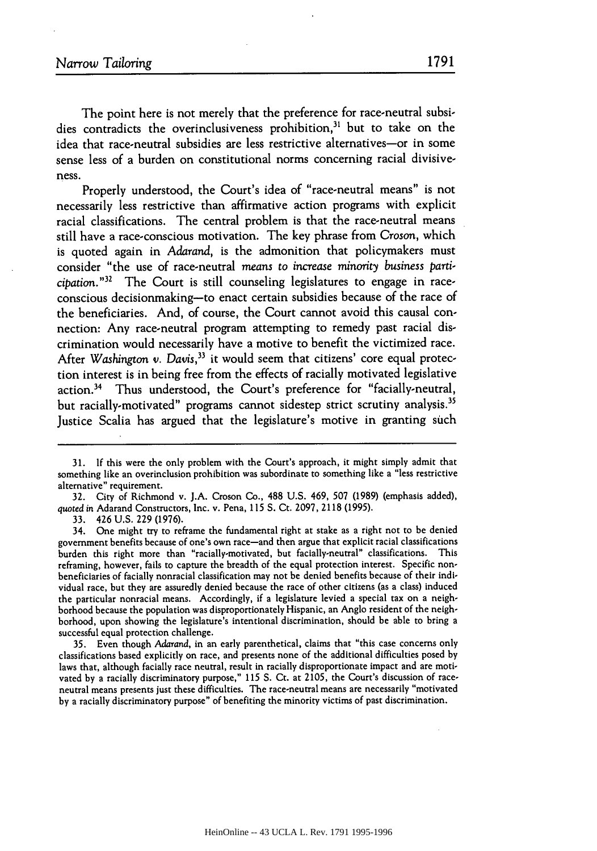The point here is not merely that the preference for race-neutral subsidies contradicts the overinclusiveness prohibition, $31$  but to take on the idea that race-neutral subsidies are less restrictive alternatives-or in some sense less of a burden on constitutional norms concerning racial divisiveness.

Properly understood, the Court's idea of "race-neutral means" is not necessarily less restrictive than affirmative action programs with explicit racial classifications. The central problem is that the race-neutral means still have a race-conscious motivation. The key phrase from Croson, which is quoted again in Adarand, is the admonition that policymakers must consider "the use of race-neutral *means* to increase *minority* business *participation."32* The Court is still counseling legislatures to engage in raceconscious decisionmaking-to enact certain subsidies because of the race of the beneficiaries. And, of course, the Court cannot avoid this causal connection: Any race-neutral program attempting to remedy past racial discrimination would necessarily have a motive to benefit the victimized race. After *Washington* v. *Davis,33* it would seem that citizens' core equal protection interest is in being free from the effects of racially motivated legislative action.34 Thus understood, the Court's preference for "facially-neutral, but racially-motivated" programs cannot sidestep strict scrutiny analysis.<sup>35</sup> Justice Scalia has argued that the legislature's motive in granting such

32. City of Richmond v. ].A. Croson Co., 488 U.S. 469, 507 (1989) (emphasis added), quoted in Adarand Constructors, Inc. v. Pena, 115 **S.** Ct. 2097, 2118 (1995).

33. 426 U.S. 229 (1976).

34. One might try to reframe the fundamental right at stake as a right not to be denied government benefits because of one's own race-and then argue that explicit racial classifications burden this right more than "racially-motivated, but facially-neutral" classifications. This reframing, however, fails to capture the breadth of the equal protection interest. Specific nonbeneficiaries of facially nonracial classification may not be denied benefits because of their individual race, but they are assuredly denied because the race of other citizens (as a class) induced the particular nonracial means. Accordingly, if a legislature levied a special tax on a neighborhood because the population was disproportionately Hispanic, an Anglo resident of the neighborhood, upon showing the legislature's intentional discrimination, should be able to bring a successful equal protection challenge.

35. Even though Adarand, in an early parenthetical, claims that "this case concerns only classifications based explicitly on race, and presents none of the additional difficulties posed by laws that, although facially race neutral, result in racially disproportionate impact and are motivated by a racially discriminatory purpose," **115** S. Ct. at 2105, the Court's discussion of raceneutral means presents just these difficulties. The race-neutral means are necessarily "motivated by a racially discriminatory purpose" of benefiting the minority victims of past discrimination.

**<sup>31.</sup>** If this were the only problem with the Court's approach, it might simply admit that something like an overinclusion prohibition was subordinate to something like a "less restrictive alternative" requirement.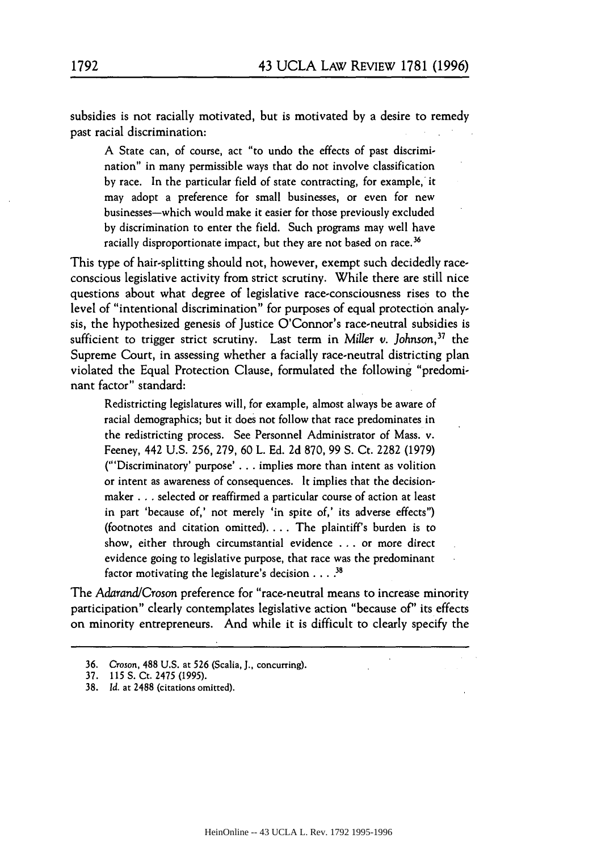subsidies is not racially motivated, but is motivated by a desire to remedy past racial discrimination:

**A** State can, of course, act "to undo the effects of past discrimination" in many permissible ways that do not involve classification by race. In the particular field of state contracting, for example, it may adopt a preference for small businesses, or even for new businesses-which would make it easier for those previously excluded by discrimination to enter the field. Such programs may well have racially disproportionate impact, but they are not based on race.<sup>36</sup>

This type of hair-splitting should not, however, exempt such decidedly raceconscious legislative activity from strict scrutiny. While there are still nice questions about what degree of legislative race-consciousness rises to the level of "intentional discrimination" for purposes of equal protection analysis, the hypothesized genesis of Justice O'Connor's race-neutral subsidies is sufficient to trigger strict scrutiny. Last term in *Miller v. Johnson*,<sup>37</sup> the Supreme Court, in assessing whether a facially race-neutral districting plan violated the Equal Protection Clause, formulated the following "predominant factor" standard:

Redistricting legislatures will, for example, almost always be aware of racial demographics; but it does not follow that race predominates in the redistricting process. See Personnel Administrator of Mass. v. Feeney, 442 U.S. 256, 279, 60 L. Ed. 2d 870, 99 S. Ct. 2282 (1979) ("'Discriminatory' purpose' **. .** , implies more than intent as volition or intent as awareness of consequences. It implies that the decisionmaker **...** selected or reaffirmed a particular course of action at least in part 'because of,' not merely 'in spite of,' its adverse effects") (footnotes and citation omitted) **....** The plaintiff's burden is to show, either through circumstantial evidence ... or more direct evidence going to legislative purpose, that race was the predominant factor motivating the legislature's decision . ... **<sup>3</sup>**

The *Adarand/Croson* preference for "race-neutral means to increase minority participation" clearly contemplates legislative action "because of" its effects on minority entrepreneurs. And while it is difficult to clearly specify the

<sup>36.</sup> *Croson,* **488 U.S.** at **526** (Scalia, **J.,** concurring).

<sup>37. 115</sup> S. Ct. 2475 (1995).

**<sup>38.</sup>** *Id.* at 2488 (citations omitted).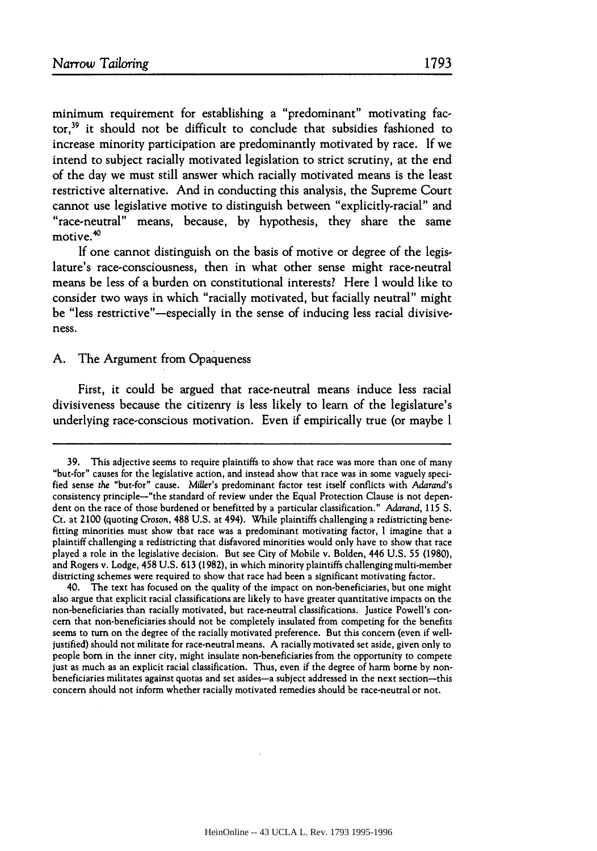minimum requirement for establishing a "predominant" motivating factor,39 it should not be difficult to conclude that subsidies fashioned to increase minority participation are predominantly motivated **by** race. **If** we intend to subject racially motivated legislation to strict scrutiny, at the end of the day we must still answer which racially motivated means is the least restrictive alternative. And in conducting this analysis, the Supreme Court cannot use legislative motive to distinguish between "explicitly-racial" and "race-neutral" means, because, **by** hypothesis, they share the same motive.<sup>40</sup>

**If** one cannot distinguish on the basis of motive or degree of the legislature's race-consciousness, then in what other sense might race-neutral means be less of a burden on constitutional interests? Here **I** would like to consider two ways in which "racially motivated, but facially neutral" might be "less restrictive"-especially in the sense of inducing less racial divisiveness.

# **A.** The Argument from Opaqueness

First, it could be argued that race-neutral means induce less racial divisiveness because the citizenry is less likely to learn of the legislature's underlying race-conscious motivation. Even if empirically true (or maybe **I**

40. The text has focused on the quality of the impact on non-beneficiaries, but one might also argue that explicit racial classifications are likely to have greater quantitative impacts on the non-beneficiaries than racially motivated, but race-neutral classifications. Justice Powell's concern that non-beneficiaries should not be completely insulated from competing for the benefits seems to turn on the degree of the racially motivated preference. But this concern (even if welljustified) should not militate for race-neutral means. **A** racially motivated set aside, given only to people born in the inner city, might insulate non-beneficiaries from the opportunity to compete just as much as an explicit racial classification. Thus, even if the degree of harm borne by nonbeneficiaries militates against quotas and set asides-a subject addressed in the next section-this concern should not inform whether racially motivated remedies should be race-neutral or not.

<sup>39.</sup> This adjective seems to require plaintiffs to show that race was more than one of many "but-for" causes for the legislative action, and instead show that race was in some vaguely specified sense the "but-for" cause. *Miller's* predominant factor test itself conflicts with Adarand's consistency principle-"the standard of review under the Equal Protection Clause is not dependent on the race of those burdened or benefitted **by** a particular classification." Adarand, **115** S. Ct. at 2100 (quoting Croson, 488 U.S. at 494). While plaintiffs challenging a redistricting benefitting minorities must show that race was a predominant motivating factor, I imagine that a plaintiff challenging a redistricting that disfavored minorities would only have to show that race played a role in the legislative decision. But see City of Mobile v. Bolden, 446 U.S. 55 (1980), and Rogers v. Lodge, 458 **U.S.** 613 (1982), in which minority plaintiffs challenging multi-member districting schemes were required to show that race had been a significant motivating factor.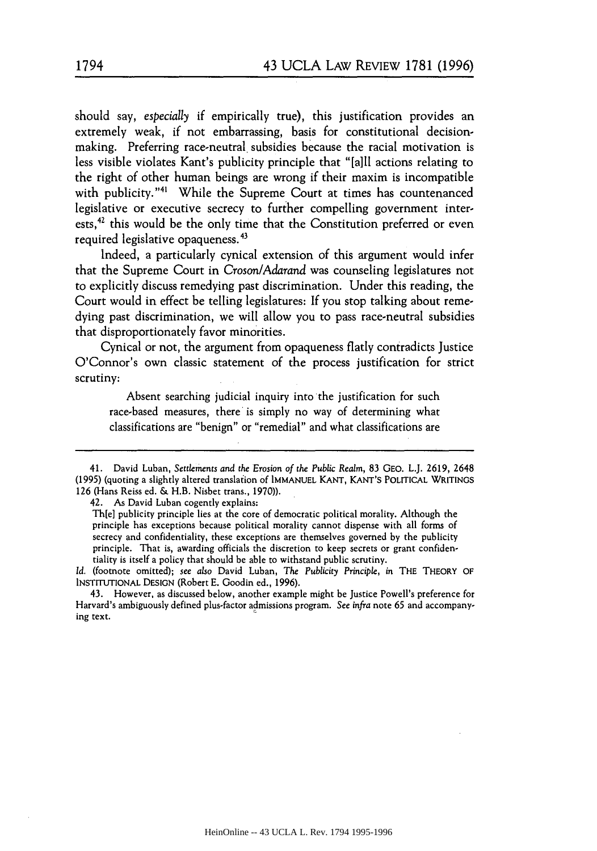should say, *especially* if empirically true), this justification provides an extremely weak, if not embarrassing, basis for constitutional decisionmaking. Preferring race-neutral subsidies because the racial motivation is less visible violates Kant's publicity principle that "[all actions relating to the right of other human beings are wrong if their maxim is incompatible with publicity."<sup>41</sup> While the Supreme Court at times has countenanced legislative or executive secrecy to further compelling government interests,<sup>42</sup> this would be the only time that the Constitution preferred or even required legislative opaqueness.43

Indeed, a particularly cynical extension of this argument would infer that the Supreme Court in *Croson/Adarand* was counseling legislatures not to explicitly discuss remedying past discrimination. Under this reading, the Court would in effect be telling legislatures: If you stop talking about remedying past discrimination, we will allow you to pass race-neutral subsidies that disproportionately favor minorities.

Cynical or not, the argument from opaqueness flatly contradicts Justice O'Connor's own classic statement of the process justification for strict scrutiny:

Absent searching judicial inquiry into the justification for such race-based measures, there is simply no way of determining what classifications are "benign" or "remedial" and what classifications are

42. As David Luban cogently explains:

Th[e] publicity principle lies at the core of democratic political morality. Although the principle has exceptions because political morality cannot dispense with all forms of secrecy and confidentiality, these exceptions are themselves governed by the publicity principle. That is, awarding officials the discretion to keep secrets or grant confidentiality is itself a policy that should be able to withstand public scrutiny.

*Id.* (footnote omitted); see also David Luban, The *Publicity* Principle, in THE THEORY OF **INSTITUTIONAL** DESIGN (Robert E. Goodin ed., 1996).

43. However, as discussed below, another example might be Justice Powell's preference for Harvard's ambiguously defined plus-factor admissions program. See infra note 65 and accompanying text.

<sup>41.</sup> David Luban, Settlements and *the Erosion of the Public* Realm, 83 GEO. L.J. 2619, 2648 (1995) (quoting a slightly altered translaiion of **IMMANUEL** KANT, KANT'S POLITICAL WRITINGS **126** (Hans Reiss ed. & H.B. Nisbet trans., 1970)).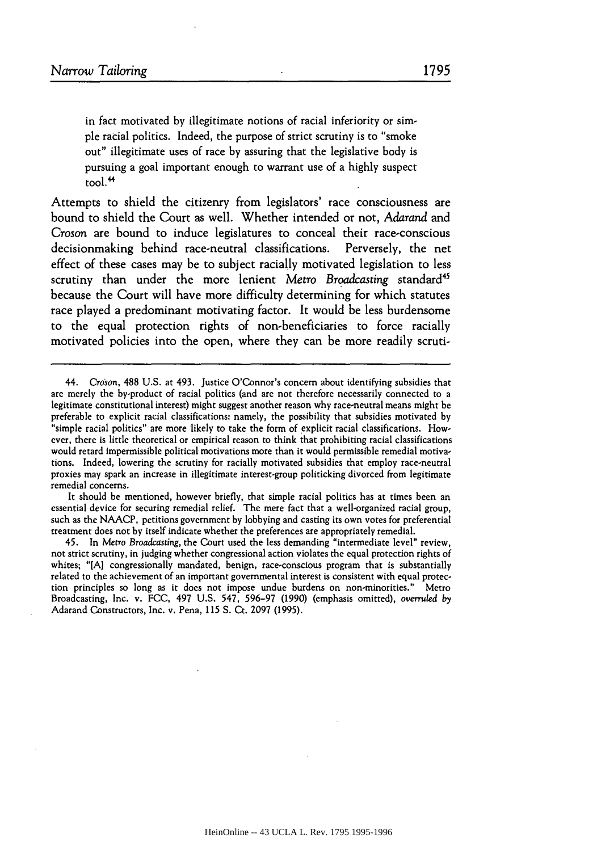in fact motivated **by** illegitimate notions of racial inferiority or simple racial politics. Indeed, the purpose of strict scrutiny is to "smoke out" illegitimate uses of race by assuring that the legislative body is pursuing a goal important enough to warrant use of a highly suspect tool. <sup>4</sup>

Attempts to shield the citizenry from legislators' race consciousness are bound to shield the Court as well. Whether intended or not, *Adarand* and *Croson* are bound to induce legislatures to conceal their race-conscious decisionmaking behind race-neutral classifications. Perversely, the net effect of these cases may be to subject racially motivated legislation to less scrutiny than under the more lenient Metro *Broadcasting* standard<sup>45</sup> because the Court will have more difficulty determining for which statutes race played a predominant motivating factor. It would be less burdensome to the equal protection rights of non-beneficiaries to force racially motivated policies into the open, where they can be more readily scruti-

It should be mentioned, however briefly, that simple racial politics has at times been an essential device for securing remedial relief. The mere fact that a well-organized racial group, such as the NAACP, petitions government by lobbying and casting its own votes for preferential treatment does not **by** itself indicate whether the preferences are appropriately remedial.

45. In Metro Broadcasting, the Court used the less demanding "intermediate level" review, not strict scrutiny, in judging whether congressional action violates the equal protection rights of whites; "[A] congressionally mandated, benign, race-conscious program that is substantially related to the achievement of an important governmental interest is consistent with equal protection principles so long as it does not impose undue burdens on non-minorities." Metro Broadcasting, Inc. v. FCC, 497 U.S. 547, 596-97 (1990) (emphasis omitted), overruled *by* Adarand Constructors, Inc. v. Pena, **115** S. Ct. 2097 (1995).

<sup>44.</sup> Croson, 488 U.S. at 493. Justice O'Connor's concern about identifying subsidies that are merely the by-product of racial politics (and are not therefore necessarily connected to a legitimate constitutional interest) might suggest another reason why race-neutral means might be preferable to explicit racial classifications: namely, the possibility that subsidies motivated by "simple racial politics" are more likely to take the form of explicit racial classifications. However, there is little theoretical or empirical reason to think that prohibiting racial classifications would retard impermissible political motivations more than it would permissible remedial motivations. Indeed, lowering the scrutiny for racially motivated subsidies that employ race-neutral proxies may spark an increase in illegitimate interest-group politicking divorced from legitimate remedial concerns.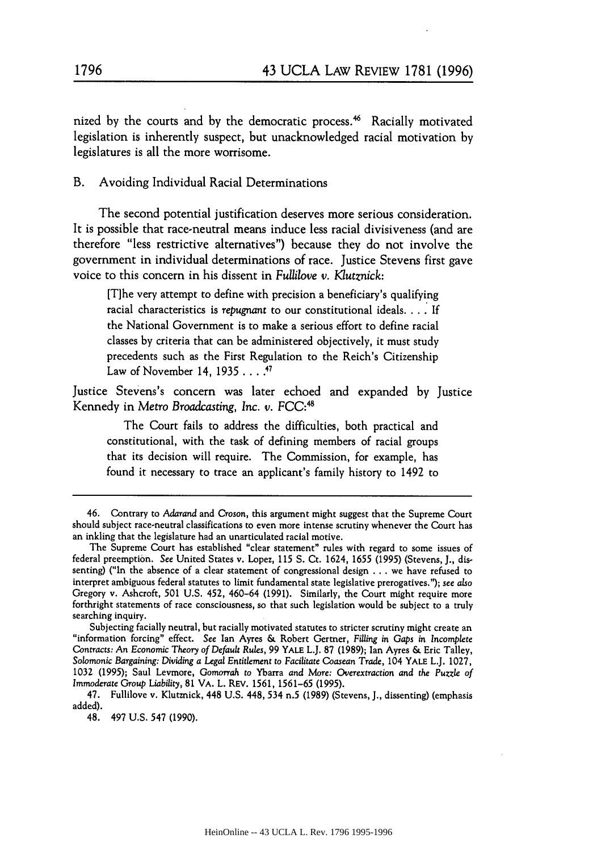nized by the courts and by the democratic process.<sup>46</sup> Racially motivated legislation is inherently suspect, but unacknowledged racial motivation by legislatures is all the more worrisome.

B. Avoiding Individual Racial Determinations

The second potential justification deserves more serious consideration. It is possible that race-neutral means induce less racial divisiveness (and are therefore "less restrictive alternatives") because they do not involve the government in individual determinations of race. Justice Stevens first gave voice to this concern in his dissent in *Fullilove v. Klutznick:*

[T]he very attempt to define with precision a beneficiary's qualifying racial characteristics is *repugnant* to our constitutional ideals **....** If the National Government is to make a serious effort to define racial classes by criteria that can be administered objectively, it must study precedents such as the First Regulation to the Reich's Citizenship Law of November 14, 1935 **. . .7**

Justice Stevens's concern was later echoed and expanded by Justice Kennedy in Metro Broadcasting, Inc. v. FCC:<sup>48</sup>

The Court fails to address the difficulties, both practical and constitutional, with the task of defining members of racial groups that its decision will require. The Commission, for example, has found it necessary to trace an applicant's family history to 1492 to

<sup>46.</sup> Contrary to Adarand and Croson, this argument might suggest that the Supreme Court should subject race-neutral classifications to even more intense scrutiny whenever the Court has an inkling that the legislature had an unarticulated racial motive.

The Supreme Court has established "clear statement" rules with regard to some issues of federal preemption. See United States v. Lopez, **115 S.** Ct. 1624, 1655 (1995) (Stevens, **J.,** dissenting) ("In the absence of a clear statement of congressional design ... we have refused to interpret ambiguous federal statutes to limit fundamental state legislative prerogatives."); *see also* Gregory v. Ashcroft, **501** U.S. 452, 460-64 (1991). Similarly, the Court might require more forthright statements of race consciousness, so that such legislation would be subject to a truly searching inquiry.

Subjecting facially neutral, but racially motivated statutes to stricter scrutiny might create an "information forcing" effect. See Ian Ayres & Robert Germer, Filling in *Gaps* in Incomplete Contracts: An Economic *Theory of Default Rules,* 99 YALE L.J. 87 (1989); Ian Ayres & Eric Talley, Solomonic Bargaining: Dividing *a Legal* Entitlement *to Facilitate* Coasean Trade, 104 YALE L.J. 1027, 1032 (1995); Saul Levmore, *Gomorrah* to Ybarra and More: Overextraction and *the Puzzle of Immoderate Group Liability,* 81 VA. L. REV. **1561,** 1561-65 (1995).

<sup>47.</sup> Fullilove v. Klutznick, 448 U.S. 448, 534 n.5 (1989) (Stevens, **J.,** dissenting) (emphasis added).

<sup>48. 497</sup> U.S. 547 (1990).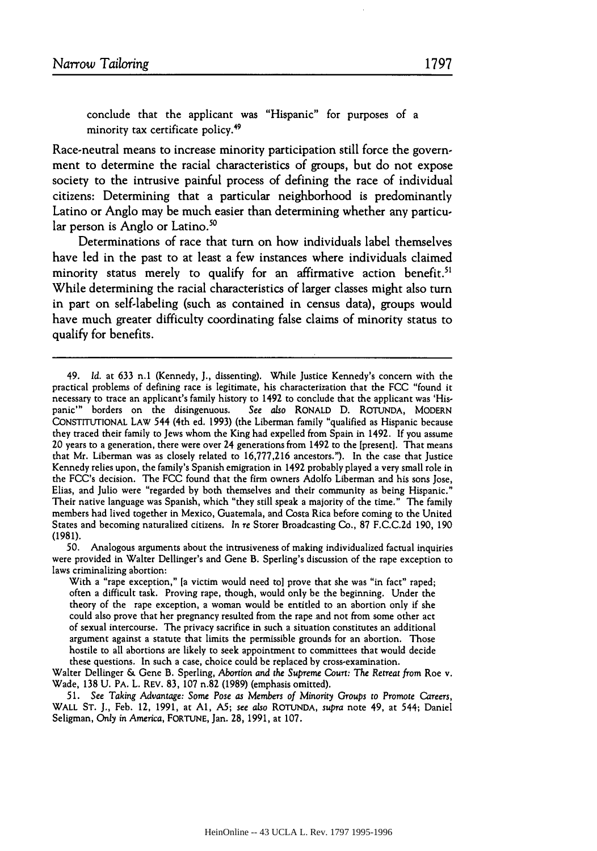conclude that the applicant was "Hispanic" for purposes of a minority tax certificate policy.<sup>49</sup>

Race-neutral means to increase minority participation still force the government to determine the racial characteristics of groups, but do not expose society to the intrusive painful process of defining the race of individual citizens: Determining that a particular neighborhood is predominantly Latino or Anglo may be much easier than determining whether any particular person is Anglo or Latino.<sup>50</sup>

Determinations of race that turn on how individuals label themselves have led in the past to at least a few instances where individuals claimed minority status merely to qualify for an affirmative action benefit.<sup>5</sup> While determining the racial characteristics of larger classes might also turn in part on self-labeling (such as contained in census data), groups would have much greater difficulty coordinating false claims of minority status to qualify for benefits.

50. Analogous arguments about the intrusiveness of making individualized factual inquiries were provided in Walter Dellinger's and Gene B. Sperling's discussion of the rape exception to laws criminalizing abortion:

With a "rape exception," [a victim would need to] prove that she was "in fact" raped; often a difficult task. Proving rape, though, would only be the beginning. Under the theory of the rape exception, a woman would be entitled to an abortion only if she could also prove that her pregnancy resulted from the rape and not from some other act of sexual intercourse. The privacy sacrifice in such a situation constitutes an additional argument against a statute that limits the permissible grounds for an abortion. Those hostile to all abortions are likely to seek appointment to committees that would decide these questions. In such a case, choice could be replaced by cross-examination.

Walter Dellinger & Gene B. Sperling, Abortion and the Supreme Court: The Retreat from Roe v. Wade, 138 U. PA. L. REV. 83, 107 n.82 (1989) (emphasis omitted).

*51. See* Taking Advantage: Some Pose *as* Members of Minority Groups to Promote Careers, WALL ST. **J.,** Feb. 12, **1991,** at **Al, A5;** see *also* **ROTUNDA,** supra note 49, at 544; Daniel Seligman, Only in America, FORTUNE, Jan. 28, 1991, at **107.**

<sup>49.</sup> *Id.* at 633 **n.1** (Kennedy, **J.,** dissenting). While Justice Kennedy's concern with the practical problems of defining race is legitimate, his characterization that the FCC "found it necessary to trace an applicant's family history to 1492 to conclude that the applicant was 'Hispanic"' borders on the disingenuous. See *also* RONALD **D.** ROTUNDA, MODERN CONSTITUTIONAL LAW 544 (4th ed. 1993) (the Liberman family "qualified as Hispanic because they traced their family to Jews whom the King had expelled from Spain in 1492. If you assume 20 years to a generation, there were over 24 generations from 1492 to the [present]. That means that Mr. Liberman was as closely related to 16,777,216 ancestors."). In the case that Justice Kennedy relies upon, the family's Spanish emigration in 1492 probably played a very small role in the FCC's decision. The FCC found that the firm owners Adolfo Liberman and his sons Jose, Elias, and Julio were "regarded **by** both themselves and their community as being Hispanic." Their native language was Spanish, which "they still speak a majority of the time." The family members had lived together in Mexico, Guatemala, and Costa Rica before coming to the United States and becoming naturalized citizens. In re Storer Broadcasting Co., 87 F.C.C.2d 190, 190 (1981).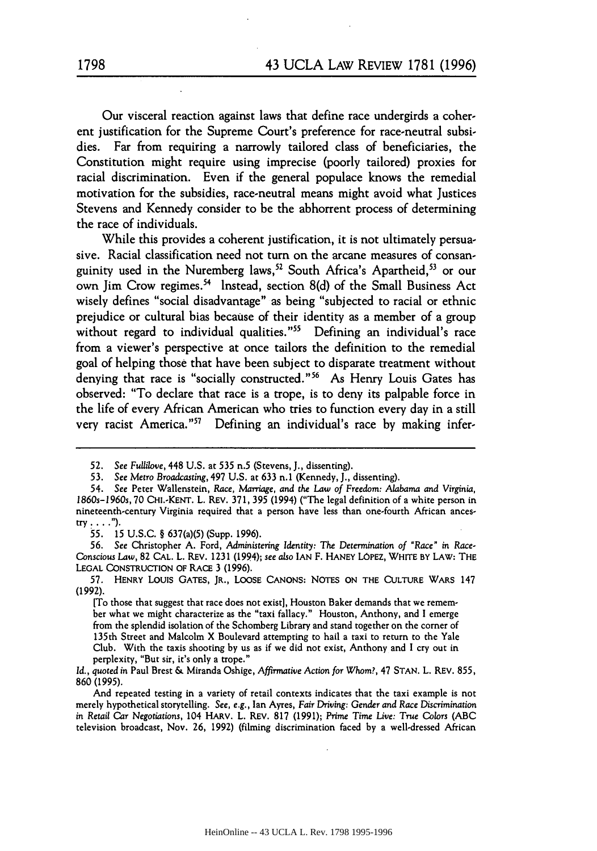Our visceral reaction against laws that define race undergirds a coherent justification for the Supreme Court's preference for race-neutral subsidies. Far from requiring a narrowly tailored class of beneficiaries, the Constitution might require using imprecise (poorly tailored) proxies for racial discrimination. Even if the general populace knows the remedial motivation for the subsidies, race-neutral means might avoid what Justices Stevens and Kennedy consider to be the abhorrent process of determining the race of individuals.

While this provides a coherent justification, it is not ultimately persuasive. Racial classification need not turn on the arcane measures of consanguinity used in the Nuremberg laws,<sup>52</sup> South Africa's Apartheid,<sup>53</sup> or our own Jim Crow regimes. 54 Instead, section 8(d) of the Small Business Act wisely defines "social disadvantage" as being "subjected to racial or ethnic prejudice or cultural bias because of their identity as a member of a group without regard to individual qualities."<sup>55</sup> Defining an individual's race from a viewer's perspective at once tailors the definition to the remedial goal of helping those that have been subject to disparate treatment without denying that race is "socially constructed."<sup>56</sup> As Henry Louis Gates has observed: "To declare that race is a trope, is to deny its palpable force in the life of every African American who tries to function every day in a still very racist America."<sup>57</sup> Defining an individual's race by making infer-

*55.* **15** U.S.C. § 637(a)(5) (Supp. 1996).

<sup>52.</sup> *See Fullilove,* 448 U.S. at 535 n.5 (Stevens, **J.,** dissenting).

<sup>53.</sup> See Metro Broadcasting, 497 U.S. at 633 n.1 (Kennedy, **J.,** dissenting).

<sup>54.</sup> See Peter Wallenstein, *Race, Marriage, and the Law of* Freedom: *Alabama and Virginia, 1860s-1960s,* 70 CHI.-KENT. L. REV. 371, 395 (1994) ("The legal definition of a white person in nineteenth-century Virginia required that a person have less than one-fourth African ances**try....").**

<sup>56.</sup> See Christopher A. Ford, *Administering Identity:* The *Determination of* "Race" *in Race-*Conscious *Law,* 82 CAL. L. REV. 1231 (1994); *see also* IAN F. HANEY LOPEZ, WHITE BY LAW: THE LEGAL CONSTRUCTION OF RACE 3 (1996).

**<sup>57.</sup>** HENRY LOUIS GATES, JR., LOOSE CANONS: NOTES ON THE CULTURE WARS 147 (1992).

<sup>[</sup>To those that suggest that race does not exist], Houston Baker demands that we remember what we might characterize as the "taxi fallacy." Houston, Anthony, and I emerge from the splendid isolation of the Schomberg Library and stand together on the corner of 135th Street and Malcolm X Boulevard attempting to hail a taxi to return to the Yale Club. With the taxis shooting by us as if we did not exist, Anthony and I cry out in perplexity, "But sir, it's only a trope."

*Id., quoted* in Paul Brest & Miranda Oshige, Affirmative Action *for* Whom?, 47 STAN. L. REV. 855, 860 (1995).

And repeated testing in a variety of retail contexts indicates that the taxi example is not merely hypothetical storytelling. See, *e.g.,* Ian Ayres, Fair Driving: Gender *and* Race Discrimination in Retail Car Negotiations, 104 HARV. L. REV. **817** (1991); Prime Time Live: True *Colors* (ABC television broadcast, Nov. 26, 1992) (filming discrimination faced **by** a well-dressed African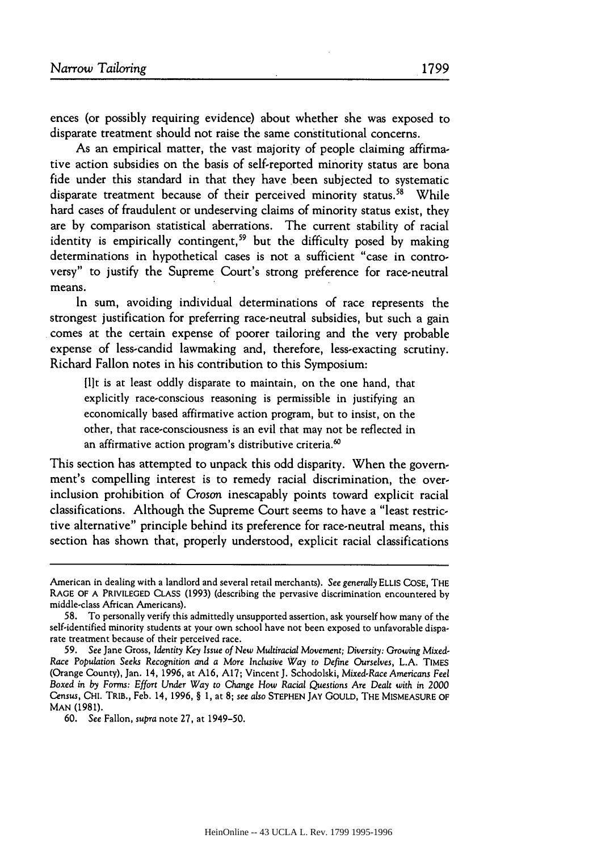ences (or possibly requiring evidence) about whether she was exposed to disparate treatment should not raise the same constitutional concerns.

As an empirical matter, the vast majority of people claiming affirmative action subsidies on the basis of self-reported minority status are bona fide under this standard in that they have been subjected to systematic disparate treatment because of their perceived minority status.<sup>58</sup> While hard cases of fraudulent or undeserving claims of minority status exist, they are by comparison statistical aberrations. The current stability of racial identity is empirically contingent,<sup>59</sup> but the difficulty posed by making determinations in hypothetical cases is not a sufficient "case in controversy" to justify the Supreme Court's strong preference for race-neutral means.

In sum, avoiding individual determinations of race represents the strongest justification for preferring race-neutral subsidies, but such a gain comes at the certain expense of poorer tailoring and the very probable expense of less-candid lawmaking and, therefore, less-exacting scrutiny. Richard Fallon notes in his contribution to this Symposium:

[lt is at least oddly disparate to maintain, on the one hand, that explicitly race-conscious reasoning is permissible in justifying an economically based affirmative action program, but to insist, on the other, that race-consciousness is an evil that may not be reflected in an affirmative action program's distributive criteria.<sup>60</sup>

This section has attempted to unpack this odd disparity. When the government's compelling interest is to remedy racial discrimination, the overinclusion prohibition of Croson inescapably points toward explicit racial classifications. Although the Supreme Court seems to have a "least restrictive alternative" principle behind its preference for race-neutral means, this section has shown that, properly understood, explicit racial classifications

American in dealing with a landlord and several retail merchants). See generally ELLIS COSE, THE RAGE OF A PRIVILEGED CLASS (1993) (describing the pervasive discrimination encountered by middle-class African Americans).

<sup>58.</sup> To personally verify this admittedly unsupported assertion, ask yourself how many of the self-identified minority students at your own school have not been exposed to unfavorable disparate treatment because of their perceived race.

<sup>59.</sup> See Jane Gross, Identity *Key Issue of New Multiracial* Movement; *Diversity:* Growing Mixed-*Race Population* Seeks Recognition and a More Inclusive *Way to* Define Ourselves, L.A. TIMES (Orange County), Jan. 14, 1996, at A16, A17; Vincent J. Schodolski, Mixed-Race Americans Feel Boxed in *by* Forms: Effort Under Way to Change *How Racial* Questions *Are Dealt with* in *2000* Census, CHi. TRIB., Feb. 14, 1996, § 1, at 8; see also STEPHEN **JAY** GOULD, THE MISMEASURE OF MAN (1981).

<sup>60.</sup> See Fallon, *supra* note 27, at 1949-50.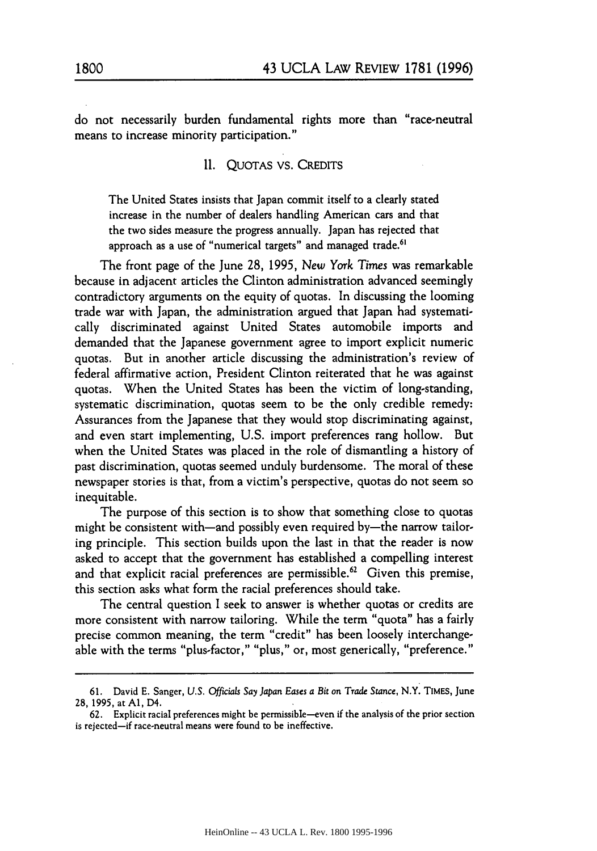do not necessarily burden fundamental rights more than "race-neutral means to increase minority participation."

II. QUOTAS VS. CREDITS

The United States insists that Japan commit itself to a clearly stated increase in the number of dealers handling American cars and that the two sides measure the progress annually. Japan has rejected that approach as a use of "numerical targets" and managed trade.<sup>61</sup>

The front page of the June 28, 1995, *New York Times* was remarkable because in adjacent articles the Clinton administration advanced seemingly contradictory arguments on the equity of quotas. In discussing the looming trade war with Japan, the administration argued that Japan had systematically discriminated against United States automobile imports and demanded that the Japanese government agree to import explicit numeric quotas. But in another article discussing the administration's review of federal affirmative action, President Clinton reiterated that he was against quotas. When the United States has been the victim of long-standing, systematic discrimination, quotas seem to be the only credible remedy: Assurances from the Japanese that they would stop discriminating against, and even start implementing, U.S. import preferences rang hollow. But when the United States was placed in the role of dismantling a history of past discrimination, quotas seemed unduly burdensome. The moral of these newspaper stories is that, from a victim's perspective, quotas do not seem so inequitable.

The purpose of this section is to show that something close to quotas might be consistent with—and possibly even required by—the narrow tailoring principle. This section builds upon the last in that the reader is now asked to accept that the government has established a compelling interest and that explicit racial preferences are permissible.<sup>62</sup> Given this premise, this section asks what form the racial preferences should take.

The central question I seek to answer is whether quotas or credits are more consistent with narrow tailoring. While the term "quota" has a fairly precise common meaning, the term "credit" has been loosely interchangeable with the terms "plus-factor," "plus," or, most generically, "preference."

<sup>61.</sup> David E. Sanger, U.S. *Officials Say Japan Eases a Bit* on Trade Stance, N.Y. **TIMES,** June 28, 1995, at **Al,** D4.

<sup>62.</sup> Explicit racial preferences might be permissible-even if the analysis of the prior section is rejected-if race-neutral means were found to be ineffective.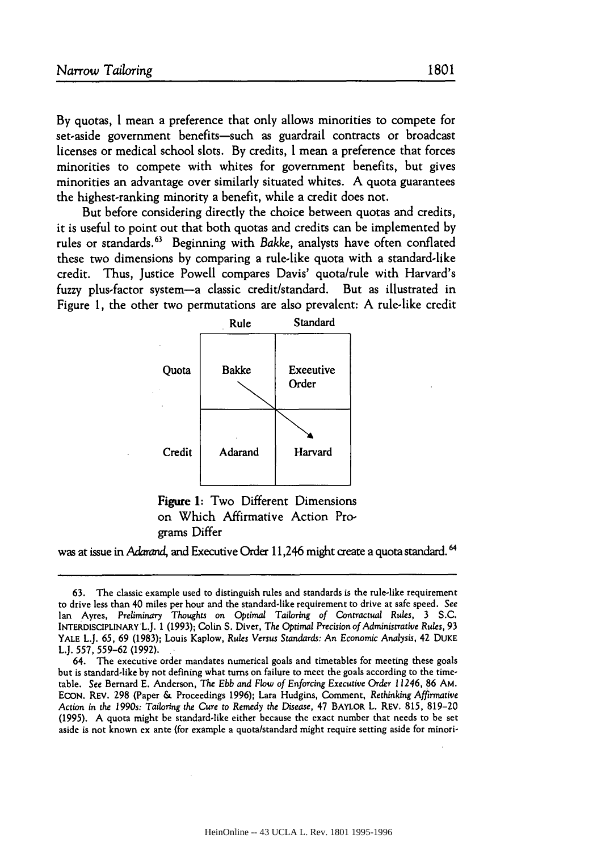By quotas, I mean a preference that only allows minorities to compete for set-aside government benefits-such as guardrail contracts or broadcast licenses or medical school slots. By credits, I mean a preference that forces minorities to compete with whites for government benefits, but gives minorities an advantage over similarly situated whites. A quota guarantees the highest-ranking minority a benefit, while a credit does not.

But before considering directly the choice between quotas and credits, it is useful to point out that both quotas and credits can be implemented by rules or standards. 63 Beginning with *Bakke,* analysts have often conflated these two dimensions by comparing a rule-like quota with a standard-like credit. Thus, Justice Powell compares Davis' quota/rule with Harvard's fuzzy plus-factor system-a classic credit/standard. But as illustrated in Figure **1,** the other two permutations are also prevalent: A rule-like credit



Figure 1: Two Different Dimensions on Which Affirmative Action Programs Differ

was at issue in *Adarand,* and Executive Order 11,246 might create a quota standard. **6**

<sup>63.</sup> The classic example used to distinguish rules and standards is the rule-like requirement to drive less than 40 miles per hour and the standard-like requirement to drive at safe speed. See Ian Ayres, *Preliminary Thoughts on* Optimal Tailoring of *Contractual* Rules, 3 **S.C.** INTERDISCIPLINARY L.J. 1 **(1993);** Colin **S.** Diver, The *Optimal* Precision of Administrative Rules, **93** YALE L.J. 65, 69 (1983); Louis Kaplow, *Rules Versus* Standards: An Economic *Analysis,* 42 DUKE L.J. **557, 559-62 (1992).**

<sup>64.</sup> The executive order mandates numerical goals and timetables for meeting these goals but is standard-like by not defining what turns on failure to meet the goals according to the timetable. See Bernard E. Anderson, The *Ebb* and Flow of Enforcing Executive Order *11246,* 86 AM. ECON. REV. 298 (Paper & Proceedings 1996); Lara Hudgins, Comment, Rethinking Affirmative Action in the *1990s:* Tailoring the Cure to Remedy *the Disease,* 47 BAYLOR L. REV. 815, 819-20 (1995). A quota might be standard-like either because the exact number that needs to be set aside is not known ex ante (for example a quota/standard might require setting aside for minori-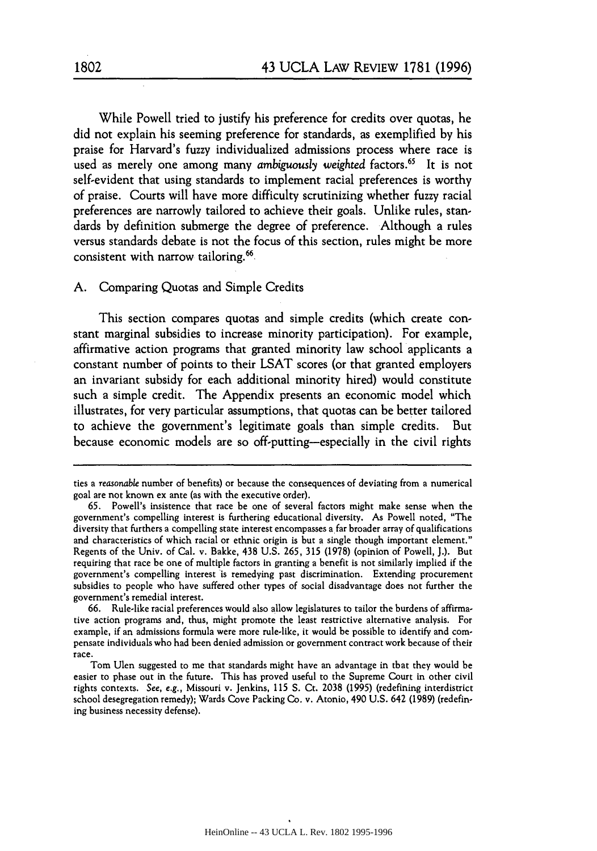While Powell tried to justify his preference for credits over quotas, he did not explain his seeming preference for standards, as exemplified by his praise for Harvard's fuzzy individualized admissions process where race is used as merely one among many *ambiguously weighted* factors.<sup>65</sup> It is not self-evident that using standards to implement racial preferences is worthy of praise. Courts will have more difficulty scrutinizing whether fuzzy racial preferences are narrowly tailored to achieve their goals. Unlike rules, standards by definition submerge the degree of preference. Although a rules versus standards debate is not the focus of this section, rules might be more consistent with narrow tailoring.<sup>66</sup>

## **A.** Comparing Quotas and Simple Credits

This section compares quotas and simple credits (which create constant marginal subsidies to increase minority participation). For example, affirmative action programs that granted minority law school applicants a constant number of points to their **LSAT** scores (or that granted employers an invariant subsidy for each additional minority hired) would constitute such a simple credit. The Appendix presents an economic model which illustrates, for very particular assumptions, that quotas can be better tailored to achieve the government's legitimate goals than simple credits. But because economic models are so off-putting-especially in the civil rights

ties a reasonable number of benefits) or because the consequences of deviating from a numerical goal are not known ex ante (as with the executive order).

<sup>65.</sup> Powell's insistence that race be one of several factors might make sense when the government's compelling interest is furthering educational diversity. As Powell noted, "The diversity that furthers a compelling state interest encompasses afar broader array of qualifications and characteristics of which racial or ethnic origin is but a single though important element." Regents of the Univ. of Cal. v. Bakke, 438 U.S. 265, **315** (1978) (opinion of Powell, J.). But requiring that race be one of multiple factors in granting a benefit is not similarly implied if the government's compelling interest is remedying past discrimination. Extending procurement subsidies to people who have suffered other types of social disadvantage does not further the government's remedial interest.

<sup>66.</sup> Rule-like racial preferences would also allow legislatures to tailor the burdens of affirmative action programs and, thus, might promote the least restrictive alternative analysis. For example, if an admissions formula were more rule-like, it would be possible to identify and compensate individuals who had been denied admission or government contract work because of their race.

Tom Ulen suggested to me that standards might have an advantage in that they would be easier to phase out in the future. This has proved useful to the Supreme Court in other civil rights contexts. See, e.g., Missouri v. Jenkins, **115** S. Ct. **2038** (1995) (redefining interdistrict school desegregation remedy); Wards Cove Packing Co. v. Atonio, 490 U.S. 642 (1989) (redefining business necessity defense).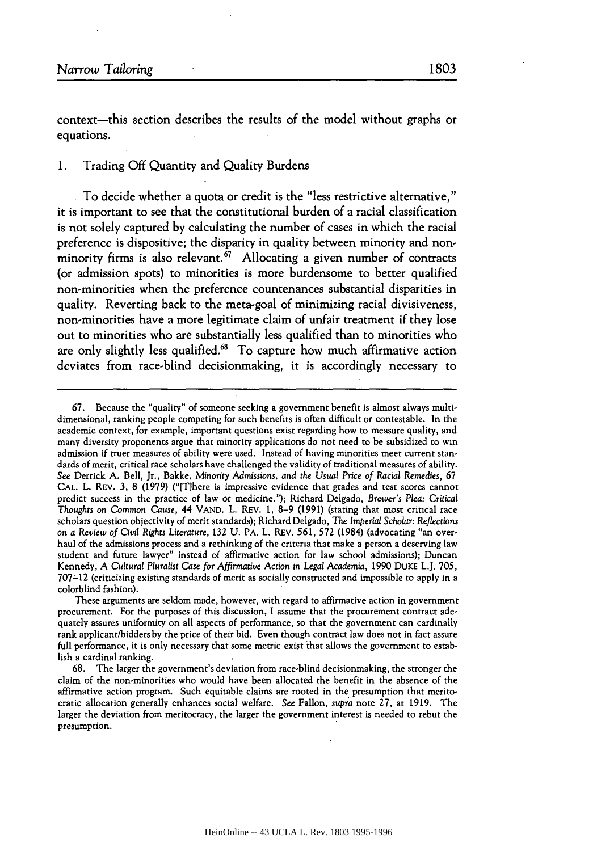context-this section describes the results of the model without graphs or equations.

## 1. Trading Off Quantity and Quality Burdens

To decide whether a quota or credit is the "less restrictive alternative," it is important to see that the constitutional burden of a racial classification is not solely captured by calculating the number of cases in which the racial preference is dispositive; the disparity in quality between minority and nonminority firms is also relevant.<sup>67</sup> Allocating a given number of contracts (or admission spots) to minorities is more burdensome to better qualified non-minorities when the preference countenances substantial disparities in quality. Reverting back to the meta-goal of minimizing racial divisiveness, non-minorities have a more legitimate claim of unfair treatment if they lose out to minorities who are substantially less qualified than to minorities who are only slightly less qualified.<sup>68</sup> To capture how much affirmative action deviates from race-blind decisionmaking, it is accordingly necessary to

<sup>67.</sup> Because the "quality" of someone seeking a government benefit is almost always multidimensional, ranking people competing for such benefits is often difficult or contestable. In the academic context, for example, important questions exist regarding how to measure quality, and many diversity proponents argue that minority applications do not need to be subsidized to win admission if truer measures of ability were used. Instead of having minorities meet current standards of merit, critical race scholars have challenged the validity of traditional measures of ability. See Derrick A. Bell, Jr., Bakke, Minority Admissions, *and the Usual Price of Racial* Remedies, **67** CAL. L. REV. 3, 8 (1979) ("[Tlhere is impressive evidence that grades and test scores cannot predict success in the practice of law or medicine."); Richard Delgado, Brewer's *Plea: Critical Thoughts on* Common *Cause,* 44 VAND. L. REV. 1, 8-9 (1991) (stating that most critical race scholars question objectivity of merit standards); Richard Delgado, *The Imperial Scholar: Reflections on a Review of Civil Rights Literature,* 132 U. PA. L. REV. 561, 572 (1984) (advocating "an overhaul of the admissions process and a rethinking of the criteria that make a person a deserving law student and future lawyer" instead of affirmative action for law school admissions); Duncan Kennedy, A *Cultural Pluralist Case* for Affirmative Action in *Legal* Academia, 1990 DUKE L.J. 705, 707-12 (criticizing existing standards of merit as socially constructed and impossible to apply in a colorblind fashion).

These arguments are seldom made, however, with regard to affirmative action in government procurement. For the purposes of this discussion, I assume that the procurement contract adequately assures uniformity on all aspects of performance, so that the government can cardinally rank applicant/bidders by the price of their bid. Even though contract law does not in fact assure full performance, it is only necessary that some metric exist that allows the government to establish a cardinal ranking.

<sup>68.</sup> The larger the government's deviation from race-blind decisionmaking, the stronger the claim of the non-minorities who would have been allocated the benefit in the absence of the affirmative action program. Such equitable claims are rooted in the presumption that meritocratic allocation generally enhances social welfare. See Fallon, *supra* note 27, at 1919. The larger the deviation from meritocracy, the larger the government interest is needed to rebut the presumption.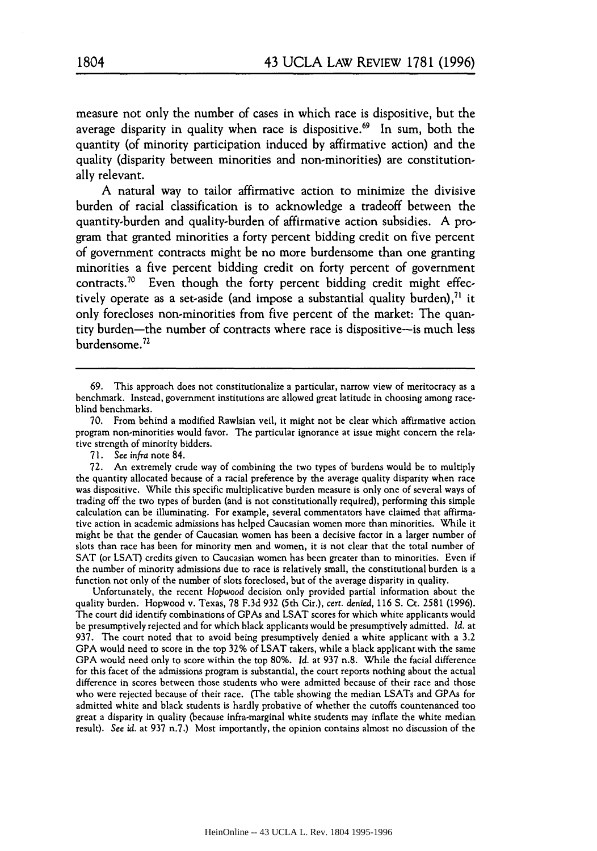measure not only the number of cases in which race is dispositive, but the average disparity in quality when race is dispositive.<sup>69</sup> In sum, both the quantity (of minority participation induced **by** affirmative action) and the quality (disparity between minorities and non-minorities) are constitutionally relevant.

**A** natural way to tailor affirmative action to minimize the divisive burden of racial classification is to acknowledge a tradeoff between the quantity-burden and quality-burden of affirmative action subsidies. **A** program that granted minorities a forty percent bidding credit on five percent of government contracts might be no more burdensome than one granting minorities a five percent bidding credit on forty percent of government contracts.<sup>70</sup> Even though the forty percent bidding credit might effectively operate as a set-aside (and impose a substantial quality burden),<sup>71</sup> it only forecloses non-minorities from five percent of the market: The quantity burden-the number of contracts where race is dispositive-is much less burdensome.72

Unfortunately, the recent Hopwood decision only provided partial information about the quality burden. Hopwood v. Texas, 78 F.3d 932 (5th Cir.), cert. denied, **116** S. Ct. 2581 (1996). The court did identify combinations of GPAs and LSAT scores for which white applicants would be presumptively rejected and for which black applicants would be presumptively admitted. **Id.** at 937. The court noted that to avoid being presumptively denied a white applicant with a 3.2 **GPA** would need to score in the top 32% of LSAT takers, while a black applicant with the same **GPA** would need only to score within the top 80%. **Id.** at 937 n.8. While the facial difference for this facet of the admissions program is substantial, the court reports nothing about the actual difference in scores between those students who were admitted because of their race and those who were rejected because of their race. (The table showing the median LSATs and GPAs for admitted white and black students is hardly probative of whether the cutoffs countenanced too great a disparity in quality (because infra-marginal white students may inflate the white median result). *See id.* at 937 n.7.) Most importantly, the opinion contains almost no discussion of the

<sup>69.</sup> This approach does not constitutionalize a particular, narrow view of meritocracy as a benchmark. Instead, government institutions are allowed great latitude in choosing among raceblind benchmarks.

<sup>70.</sup> From behind a modified Rawlsian veil, it might not be clear which affirmative action program non-minorities would favor. The particular ignorance at issue might concern the relative strength of minority bidders.

**<sup>71.</sup>** See *infra* note 84.

<sup>72.</sup> An extremely crude way of combining the two types of burdens would be to multiply the quantity allocated because of a racial preference by the average quality disparity when race was dispositive. While this specific multiplicative burden measure is only one of several ways of trading off the two types of burden (and is not constitutionally required), performing this simple calculation can be illuminating. For example, several commentators have claimed that affirmative action in academic admissions has helped Caucasian women more than minorities. While it might be that the gender of Caucasian women has been a decisive factor in a larger number of slots than race has been for minority men and women, it is not clear that the total number of **SAT** (or LSAT) credits given to Caucasian women has been greater than to minorities. Even if the number of minority admissions due to race is relatively small, the constitutional burden is a function not only of the number of slots foreclosed, but of the average disparity in quality.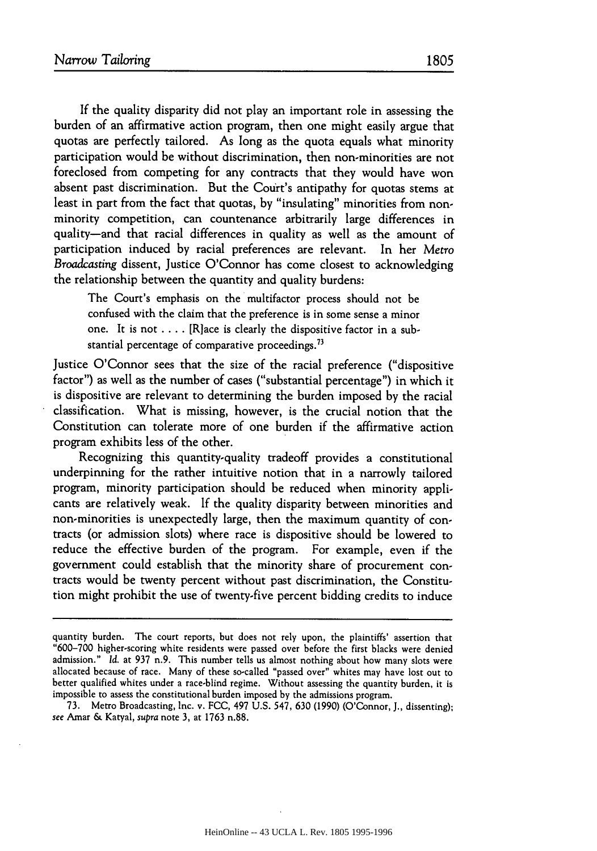If the quality disparity did not play an important role in assessing the burden of an affirmative action program, then one might easily argue that quotas are perfectly tailored. As long as the quota equals what minority participation would be without discrimination, then non-minorities are not foreclosed from competing for any contracts that they would have won absent past discrimination. But the Court's antipathy for quotas stems at least in part from the fact that quotas, by "insulating" minorities from nonminority competition, can countenance arbitrarily large differences in quality-and that racial differences in quality as well as the amount of participation induced by racial preferences are relevant. In her *Metro Broadcasting* dissent, Justice O'Connor has come closest to acknowledging the relationship between the quantity and quality burdens:

The Court's emphasis on the multifactor process should not be confused with the claim that the preference is in some sense a minor one. It is not .... [R]ace is clearly the dispositive factor in a substantial percentage of comparative proceedings. $73$ 

Justice O'Connor sees that the size of the racial preference ("dispositive factor") as well as the number of cases ("substantial percentage") in which it is dispositive are relevant to determining the burden imposed by the racial classification. What is missing, however, is the crucial notion that the Constitution can tolerate more of one burden if the affirmative action program exhibits less of the other.

Recognizing this quantity-quality tradeoff provides a constitutional underpinning for the rather intuitive notion that in a narrowly tailored program, minority participation should be reduced when minority applicants are relatively weak. If the quality disparity between minorities and non-minorities is unexpectedly large, then the maximum quantity of contracts (or admission slots) where race is dispositive should be lowered to reduce the effective burden of the program. For example, even if the government could establish that the minority share of procurement contracts would be twenty percent without past discrimination, the Constitution might prohibit the use of twenty-five percent bidding credits to induce

quantity burden. The court reports, but does not rely upon, the plaintiffs' assertion that "600-700 higher-scoring white residents were passed over before the first blacks were denied admission." *Id.* at 937 n.9. This number tells us almost nothing about how many slots were allocated because of race. Many of these so-called "passed over" whites may have lost out to better qualified whites under a race-blind regime. Without assessing the quantity burden, it is impossible to assess the constitutional burden imposed by the admissions program.

<sup>73.</sup> Metro Broadcasting, Inc. v. FCC, 497 U.S. 547, 630 (1990) (O'Connor, **J.,** dissenting); *see* Amar **&** Katyal, *supra* note 3, at **1763** n.88.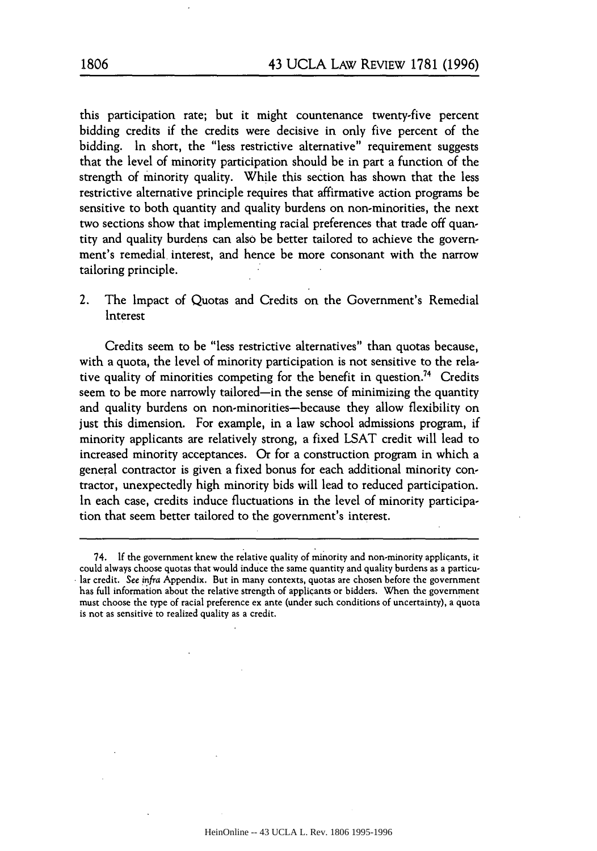this participation rate; but it might countenance twenty-five percent bidding credits if the credits were decisive in only five percent of the bidding. In short, the "less restrictive alternative" requirement suggests that the level of minority participation should be in part a function of the strength of minority quality. While this section has shown that the less restrictive alternative principle requires that affirmative action programs be sensitive to both quantity and quality burdens on non-minorities, the next two sections show that implementing racial preferences that trade off quantity and quality burdens can also be better tailored to achieve the government's remedial interest, and hence be more consonant with the narrow tailoring principle.

2. The Impact of Quotas and Credits on the Government's Remedial Interest

Credits seem to be "less restrictive alternatives" than quotas because, with a quota, the level of minority participation is not sensitive to the relative quality of minorities competing for the benefit in question.<sup>74</sup> Credits seem to be more narrowly tailored-in the sense of minimizing the quantity and quality burdens on non-minorities-because they allow flexibility on just this dimension. For example, in a law school admissions program, if minority applicants are relatively strong, a fixed LSAT credit will lead to increased minority acceptances. Or for a construction program in which a general contractor is given a fixed bonus for each additional minority contractor, unexpectedly high minority bids will lead to reduced participation. In each case, credits induce fluctuations in the level of minority participation that seem better tailored to the government's interest.

<sup>74.</sup> If the government knew the relative quality of minority and non-minority applicants, it could always choose quotas that would induce the same quantity and quality burdens as a particular credit. See infra Appendix. But in many contexts, quotas are chosen before the government has full information about the relative strength of applicants or bidders. When the government must choose the type of racial preference ex ante (under such conditions of uncertainty), a quota is not as sensitive to realized quality as a credit.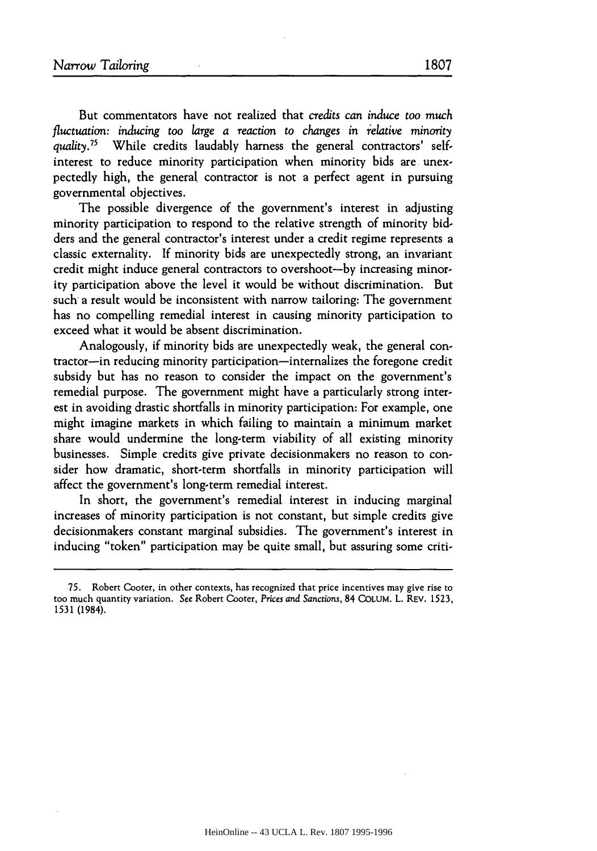But commentators have not realized that *credits can induce too much fluctuation: inducing too large a reaction to changes in relative minority quality.75* While credits laudably harness the general contractors' selfinterest to reduce minority participation when minority bids are unexpectedly high, the general contractor is not a perfect agent in pursuing governmental objectives.

The possible divergence of the government's interest in adjusting minority participation to respond to the relative strength of minority bidders and the general contractor's interest under a credit regime represents a classic externality. If minority bids are unexpectedly strong, an invariant credit might induce general contractors to overshoot-by increasing minority participation above the level it would be without discrimination. But such a result would be inconsistent with narrow tailoring: The government has no compelling remedial interest in causing minority participation to exceed what it would be absent discrimination.

Analogously, if minority bids are unexpectedly weak, the general contractor-in reducing minority participation-internalizes the foregone credit subsidy but has no reason to consider the impact on the government's remedial purpose. The government might have a particularly strong interest in avoiding drastic shortfalls in minority participation: For example, one might imagine markets in which failing to maintain a minimum market share would undermine the long-term viability of all existing minority businesses. Simple credits give private decisionmakers no reason to consider how dramatic, short-term shortfalls in minority participation will affect the government's long-term remedial interest.

In short, the government's remedial interest in inducing marginal increases of minority participation is not constant, but simple credits give decisionmakers constant marginal subsidies. The government's interest in inducing "token" participation may be quite small, but assuring some criti-

<sup>75.</sup> Robert Cooter, in other contexts, has recognized that price incentives may give rise to too much quantity variation. See Robert Cooter, *Prices* and *Sanctions,* 84 **COLUM.** L. REV. 1523, 1531 (1984).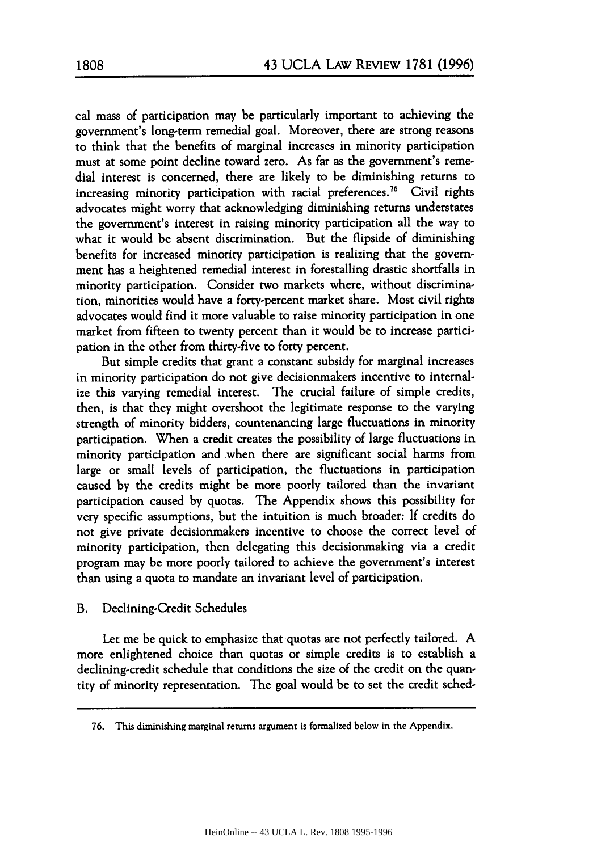cal mass of participation may be particularly important to achieving the government's long-term remedial goal. Moreover, there are strong reasons to think that the benefits of marginal increases in minority participation must at some point decline toward zero. As far as the government's remedial interest is concerned, there are likely to be diminishing returns to increasing minority participation with racial preferences.<sup>76</sup> Civil rights advocates might worry that acknowledging diminishing returns understates the government's interest in raising minority participation all the way to what it would be absent discrimination. But the flipside of diminishing benefits for increased minority participation is realizing that the government has a heightened remedial interest in forestalling drastic shortfalls in minority participation. Consider two markets where, without discrimination, minorities would have a forty-percent market share. Most civil rights advocates would find it more valuable to raise minority participation in one market from fifteen to twenty percent than it would be to increase participation in the other from thirty-five to forty percent.

But simple credits that grant a constant subsidy for marginal increases in minority participation do not give decisionmakers incentive to internalize this varying remedial interest. The crucial failure of simple credits, then, is that they might overshoot the legitimate response to the varying strength of minority bidders, countenancing large fluctuations in minority participation. When a credit creates the possibility of large fluctuations in minority participation and when there are significant social harms from large or small levels of participation, the fluctuations in participation caused **by** the credits might be more poorly tailored than the invariant participation caused by quotas. The Appendix shows this possibility for very specific assumptions, but the intuition is much broader: If credits do not give private decisionmakers incentive to choose the correct level of minority participation, then delegating this decisionmaking via a credit program may be more poorly tailored to achieve the government's interest than using a quota to mandate an invariant level of participation.

## B. Declining-Credit Schedules

Let me be quick to emphasize that quotas are not perfectly tailored. **A** more enlightened choice than quotas or simple credits is to establish a declining-credit schedule that conditions the size of the credit on the quantity of minority representation. The goal would be to set the credit sched-

**<sup>76.</sup>** This diminishing marginal returns argument is formalized below in the Appendix.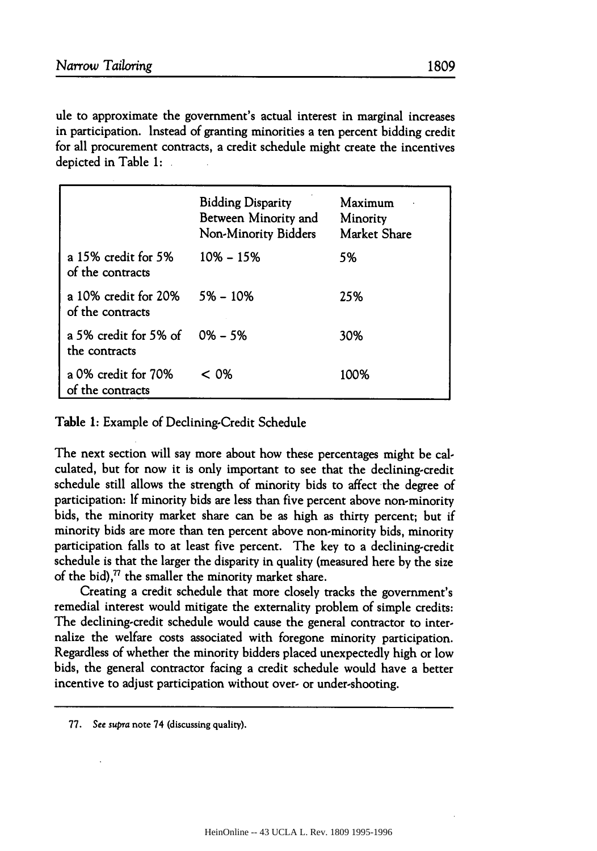ule to approximate the government's actual interest in marginal increases in participation. Instead of granting minorities a ten percent bidding credit for all procurement contracts, a credit schedule might create the incentives depicted in Table 1:

|                                          | <b>Bidding Disparity</b><br>Between Minority and<br>Non-Minority Bidders | Maximum<br>Minority<br>Market Share |
|------------------------------------------|--------------------------------------------------------------------------|-------------------------------------|
| a 15% credit for 5%<br>of the contracts  | $10\% - 15\%$                                                            | 5%                                  |
| a 10% credit for 20%<br>of the contracts | $5\% - 10\%$                                                             | 25%                                 |
| a 5% credit for 5% of<br>the contracts   | $0\% - 5\%$                                                              | 30%                                 |
| a 0% credit for 70%<br>of the contracts  | < 0%                                                                     | 100%                                |

Table 1: Example of Declining-Credit Schedule

The next section will say more about how these percentages might be calculated, but for now it is only important to see that the declining-credit schedule still allows the strength of minority bids to affect the degree of participation: If minority bids are less than five percent above non-minority bids, the minority market share can be as high as thirty percent; but if minority bids are more than ten percent above non-minority bids, minority participation falls to at least five percent. The key to a declining-credit schedule is that the larger the disparity in quality (measured here by the size of the bid), $^{77}$  the smaller the minority market share.

Creating a credit schedule that more closely tracks the government's remedial interest would mitigate the externality problem of simple credits: The declining-credit schedule would cause the general contractor to internalize the welfare costs associated with foregone minority participation. Regardless of whether the minority bidders placed unexpectedly high or low bids, the general contractor facing a credit schedule would have a better incentive to adjust participation without over- or under-shooting.

**77.** See supra note 74 (discussing quality).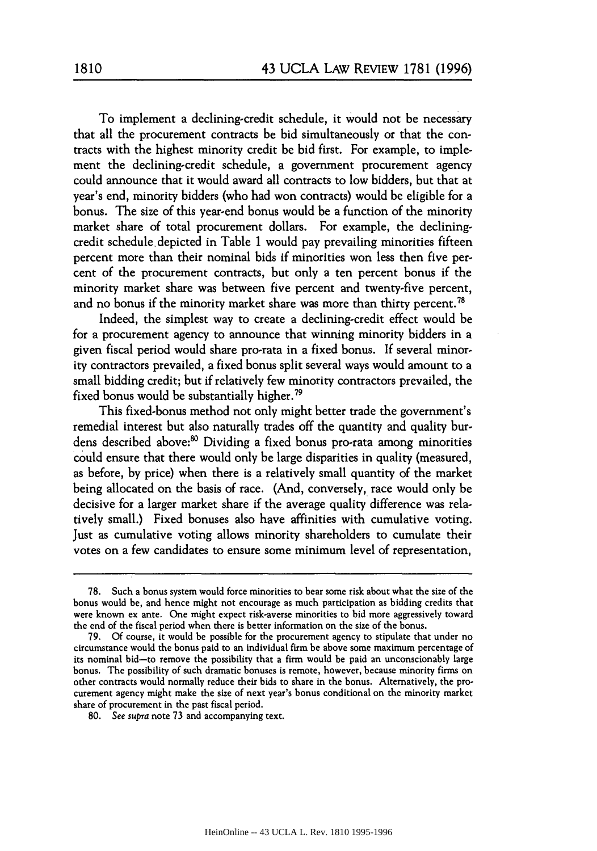To implement a declining-credit schedule, it Would not be necessary that all the procurement contracts be bid simultaneously or that the contracts with the highest minority credit be bid first. For example, to implement the declining-credit schedule, a government procurement agency could announce that it would award all contracts to low bidders, but that at year's end, minority bidders (who had won contracts) would be eligible for a bonus. The size of this year-end bonus would be a function of the minority market share of total procurement dollars. For example, the decliningcredit schedule depicted in Table 1 would pay prevailing minorities fifteen percent more than their nominal bids if minorities won less then five percent of the procurement contracts, but only a ten percent bonus if the minority market share was between five percent and twenty-five percent, and no bonus if the minority market share was more than thirty percent.<sup>7</sup>

Indeed, the simplest way to create a declining-credit effect would be for a procurement agency to announce that winning minority bidders in a given fiscal period would share pro-rata in a fixed bonus. If several minority contractors prevailed, a fixed bonus split several ways would amount to a small bidding credit; but if relatively few minority contractors prevailed, the fixed bonus would be substantially higher.79

This fixed-bonus method not only might better trade the government's remedial interest but also naturally trades off the quantity and quality burdens described above:<sup>80</sup> Dividing a fixed bonus pro-rata among minorities could ensure that there would only be large disparities in quality (measured, as before, by price) when there is a relatively small quantity of the market being allocated on the basis of race. (And, conversely, race would only be decisive for a larger market share if the average quality difference was relatively small.) Fixed bonuses also have affinities with cumulative voting. Just as cumulative voting allows minority shareholders to cumulate their votes on a few candidates to ensure some minimum level of representation,

<sup>78.</sup> Such a bonus system would force minorities to bear some risk about what the size of the bonus would be, and hence might not encourage as much participation as bidding credits that were known ex ante. One might expect risk-averse minorities to bid more aggressively toward the end of the fiscal period when there is better information on the size of the bonus.

<sup>79.</sup> Of course, it would be possible for the procurement agency to stipulate that under no circumstance would the bonus paid to an individual firm be above some maximum percentage of its nominal bid-to remove the possibility that a firm would be paid an unconscionably large bonus. The possibility of such dramatic bonuses is remote, however, because minority firms on other contracts would normally reduce their bids to share in the bonus. Alternatively, the procurement agency might make the size of next year's bonus conditional on the minority market share of procurement in the past fiscal period.

**<sup>80.</sup>** See *supra* note 73 and accompanying text.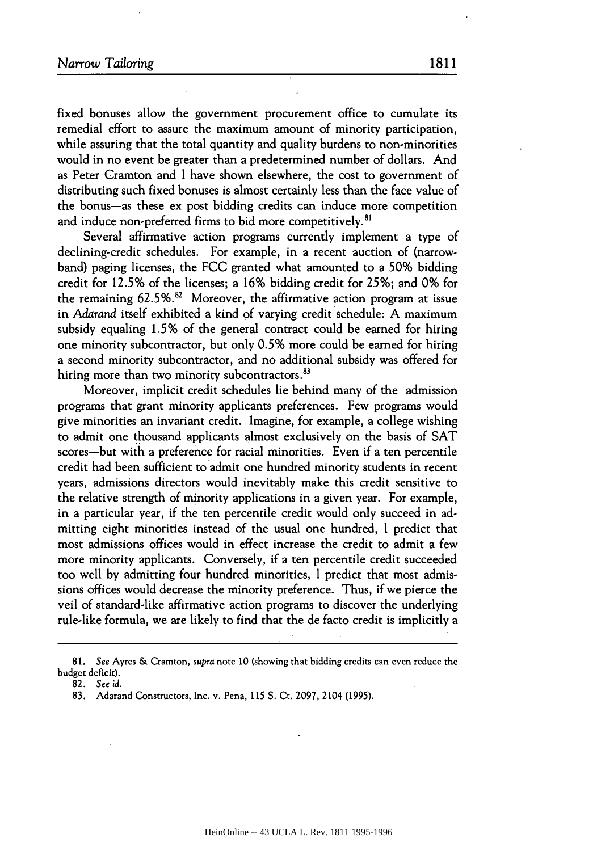fixed bonuses allow the government procurement office to cumulate its remedial effort to assure the maximum amount of minority participation, while assuring that the total quantity and quality burdens to non-minorities would in no event be greater than a predetermined number of dollars. And as Peter Cramton and I have shown elsewhere, the cost to government of distributing such fixed bonuses is almost certainly less than the face value of the bonus-as these ex post bidding credits can induce more competition and induce non-preferred firms to bid more competitively.<sup>81</sup>

Several affirmative action programs currently implement a type of declining-credit schedules. For example, in a recent auction of (narrowband) paging licenses, the FCC granted what amounted to a 50% bidding credit for 12.5% of the licenses; a **16%** bidding credit for 25%; and 0% for the remaining  $62.5\%$ .<sup>82</sup> Moreover, the affirmative action program at issue in *Adarand* itself exhibited a kind of varying credit schedule: A maximum subsidy equaling 1.5% of the general contract could be earned for hiring one minority subcontractor, but only 0.5% more could be earned for hiring a second minority subcontractor, and no additional subsidy was offered for hiring more than two minority subcontractors.<sup>83</sup>

Moreover, implicit credit schedules lie behind many of the admission programs that grant minority applicants preferences. Few programs would give minorities an invariant credit. Imagine, for example, a college wishing to admit one thousand applicants almost exclusively on the basis of SAT scores-but with a preference for racial minorities. Even if a ten percentile credit had been sufficient to admit one hundred minority students in recent years, admissions directors would inevitably make this credit sensitive to the relative strength of minority applications in a given year. For example, in a particular year, if the ten percentile credit would only succeed in admitting eight minorities instead of the usual one hundred, I predict that most admissions offices would in effect increase the credit to admit a few more minority applicants. Conversely, if a ten percentile credit succeeded too well by admitting four hundred minorities, I predict that most admissions offices would decrease the minority preference. Thus, if we pierce the veil of standard-like affirmative action programs to discover the underlying rule-like formula, we are likely to find that the de facto credit is implicitly a

**<sup>81.</sup>** See Ayres & Cramton, supra note **10** (showing that bidding credits can even reduce the budget deficit).

<sup>82.</sup> *See id.*

<sup>83.</sup> Adarand Constructors, Inc. v. Pena, **115** S. Ct. 2097, 2104 (1995).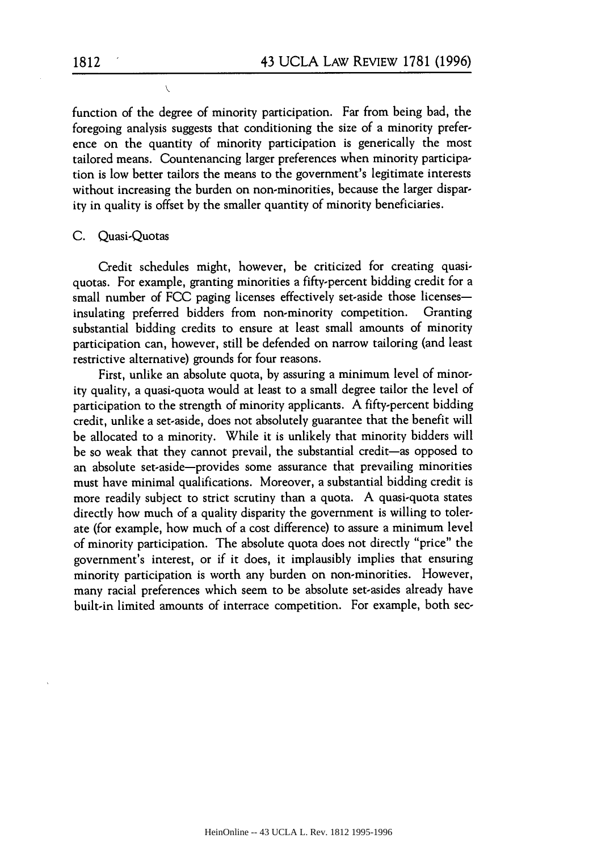function of the degree of minority participation. Far from being bad, the foregoing analysis suggests that conditioning the size of a minority preference on the quantity of minority participation is generically the most tailored means. Countenancing larger preferences when minority participation is low better tailors the means to the government's legitimate interests without increasing the burden on non-minorities, because the larger disparity in quality is offset by the smaller quantity of minority beneficiaries.

## C. Quasi-Quotas

Credit schedules might, however, be criticized for creating quasiquotas. For example, granting minorities a fifty-percent bidding credit for a small number of FCC paging licenses effectively set-aside those licenses-<br>insulating preferred bidders from non-minority competition. Granting insulating preferred bidders from non-minority competition. substantial bidding credits to ensure at least small amounts of minority participation can, however, still be defended on narrow tailoring (and least restrictive alternative) grounds for four reasons.

First, unlike an absolute quota, by assuring a minimum level of minority quality, a quasi-quota would at least to a small degree tailor the level of participation to the strength of minority applicants. A fifty-percent bidding credit, unlike a set-aside, does not absolutely guarantee that the benefit will be allocated to a minority. While it is unlikely that minority bidders will be so weak that they cannot prevail, the substantial credit-as opposed to an absolute set-aside-provides some assurance that prevailing minorities must have minimal qualifications. Moreover, a substantial bidding credit is more readily subject to strict scrutiny than a quota. A quasi-quota states directly how much of a quality disparity the government is willing to tolerate (for example, how much of a cost difference) to assure a minimum level of minority participation. The absolute quota does not directly "price" the government's interest, or if it does, it implausibly implies that ensuring minority participation is worth any burden on non-minorities. However, many racial preferences which seem to be absolute set-asides already have built-in limited amounts of interrace competition. For example, both sec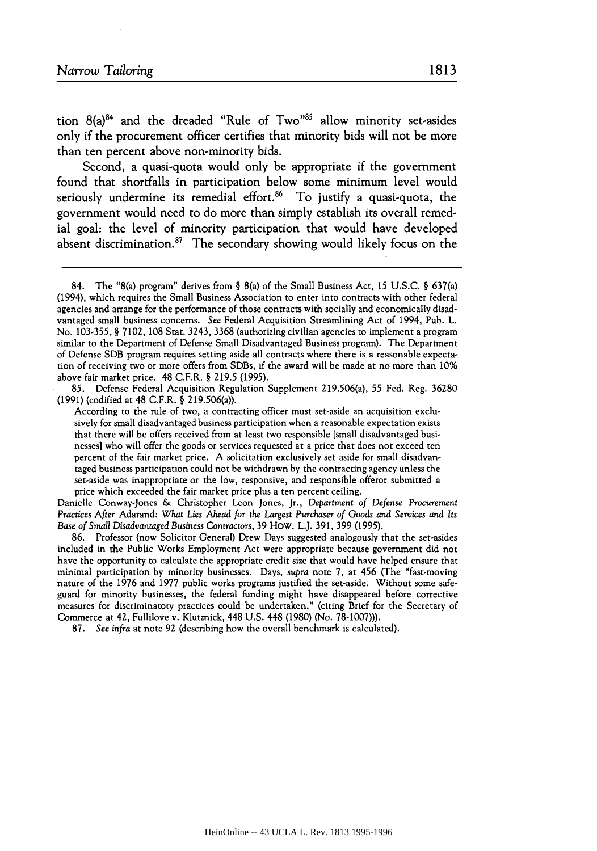tion  $8(a)^{84}$  and the dreaded "Rule of Two"<sup>85</sup> allow minority set-asides only if the procurement officer certifies that minority bids will not be more than ten percent above non-minority bids.

Second, a quasi-quota would only be appropriate if the government found that shortfalls in participation below some minimum level would seriously undermine its remedial effort. $86$  To justify a quasi-quota, the government would need to do more than simply establish its overall remedial goal: the level of minority participation that would have developed absent discrimination. $87$  The secondary showing would likely focus on the

85. Defense Federal Acquisition Regulation Supplement 219.506(a), 55 Fed. Reg. 36280 (1991) (codified at 48 C.F.R. § 219.506(a)).

According to the rule of two, a contracting officer must set-aside an acquisition exclusively for small disadvantaged business participation when a reasonable expectation exists that there will be offers received from at least two responsible [small disadvantaged businesses] who will offer the goods or services requested at a price that does not exceed ten percent of the fair market price. **A** solicitation exclusively set aside for small disadvantaged business participation could not be withdrawn by the contracting agency unless the set-aside was inappropriate or the low, responsive, and responsible offeror submitted a price which exceeded the fair market price plus a ten percent ceiling.

Danielle Conway-Jones & Christopher Leon Jones, Jr., Department *of Defense* Procurement *Practices* After Adarand: *What Lies Ahead* for *the* Largest *Purchaser of Goods* and Services and *Its Base of Small Disadvantaged Business* Contractors, 39 How. L.J. 391, 399 (1995).

86. Professor (now Solicitor General) Drew Days suggested analogously that the set-asides included in the Public Works Employment Act were appropriate because government did not have the opportunity to calculate the appropriate credit size that would have helped ensure that minimal participation by minority businesses. Days, *supra* note 7, at 456 (The "fast-moving nature of the 1976 and 1977 public works programs justified the set-aside. Without some safeguard for minority businesses, the federal funding might have disappeared before corrective measures for discriminatory practices could be undertaken." (citing Brief for the Secretary of Commerce at 42, Fullilove v. Klutmick, 448 U.S. 448 (1980) (No. 78-1007))).

87. See infra at note 92 (describing how the overall benchmark is calculated).

<sup>84.</sup> The "8(a) program" derives from § 8(a) of the Small Business Act, **15** U.S.C. § 637(a) (1994), which requires the Small Business Association to enter into contracts with other federal agencies and arrange for the performance of those contracts with socially and economically disadvantaged small business concerns. See Federal Acquisition Streamlining Act of 1994, Pub. L. No. 103-355, § 7102, **108** Stat. 3243, 3368 (authorizing civilian agencies to implement a program similar to the Department of Defense Small Disadvantaged Business program). The Department of Defense SDB program requires setting aside all contracts where there is a reasonable expectation of receiving two or more offers from SDBs, if the award will be made at no more than **10%** above fair market price. 48 C.F.R. § 219.5 (1995).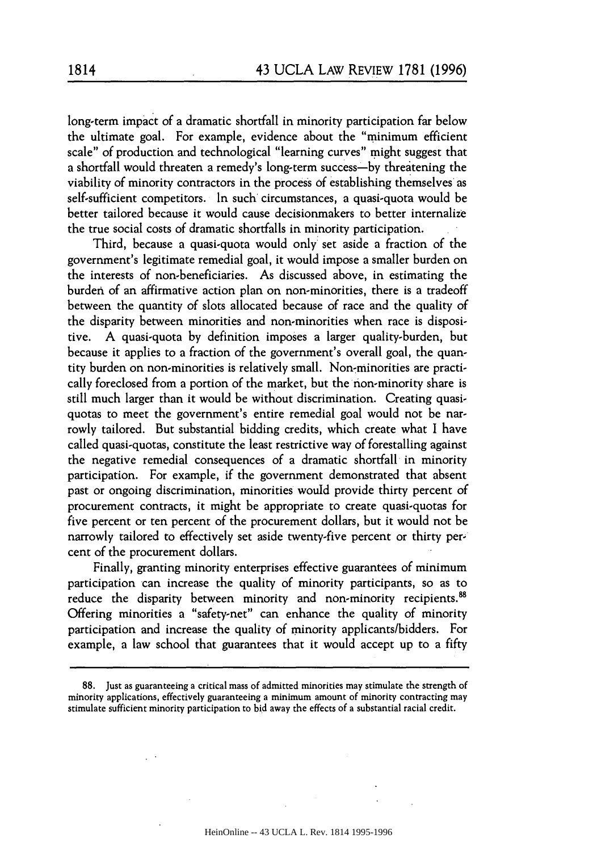long-term impact of a dramatic shortfall in minority participation far below the ultimate goal. For example, evidence about the "minimum efficient scale" of production and technological "learning curves" might suggest that a shortfall would threaten a remedy's long-term success-by threatening the viability of minority contractors in the process of establishing themselves as self-sufficient competitors. In such' circumstances, a quasi-quota would be better tailored because it would cause decisionmakers to better internalize the true social costs of dramatic shortfalls in minority participation.

Third, because a quasi-quota would only set aside a fraction of the government's legitimate remedial goal, it would impose a smaller burden on the interests of non-beneficiaries. As discussed above, in estimating the burden of an affirmative action plan on non-minorities, there is a tradeoff between the quantity of slots allocated because of race and the quality of the disparity between minorities and non-minorities when race is dispositive. **A** quasi-quota by definition imposes a larger quality-burden, but because it applies to a fraction of the government's overall goal, the quantity burden on non-minorities is relatively small. Non-minorities are practically foreclosed from a portion of the market, but the non-minority share is still much larger than it would be without discrimination. Creating quasiquotas to meet the government's entire remedial goal would not be narrowly tailored. But substantial bidding credits, which create what I have called quasi-quotas, constitute the least restrictive way of forestalling against the negative remedial consequences of a dramatic shortfall in minority participation. For example, if the government demonstrated that absent past or ongoing discrimination, minorities would provide thirty percent of procurement contracts, it might be appropriate to create quasi-quotas for five percent or ten percent of the procurement dollars, but it would not be narrowly tailored to effectively set aside twenty-five percent or thirty percent of the procurement dollars.

Finally, granting minority enterprises effective guarantees of minimum participation can increase the quality of minority participants, so as to reduce the disparity between minority and non-minority recipients.<sup>88</sup> Offering minorities a "safety-net" can enhance the quality of minority participation and increase the quality of minority applicants/bidders. For example, a law school that guarantees that it would accept up to a fifty

<sup>88.</sup> Just as guaranteeing a critical mass of admitted minorities may stimulate the strength of minority applications, effectively guaranteeing a minimum amount of minority contracting may stimulate sufficient minority participation to bid away the effects of a substantial racial credit.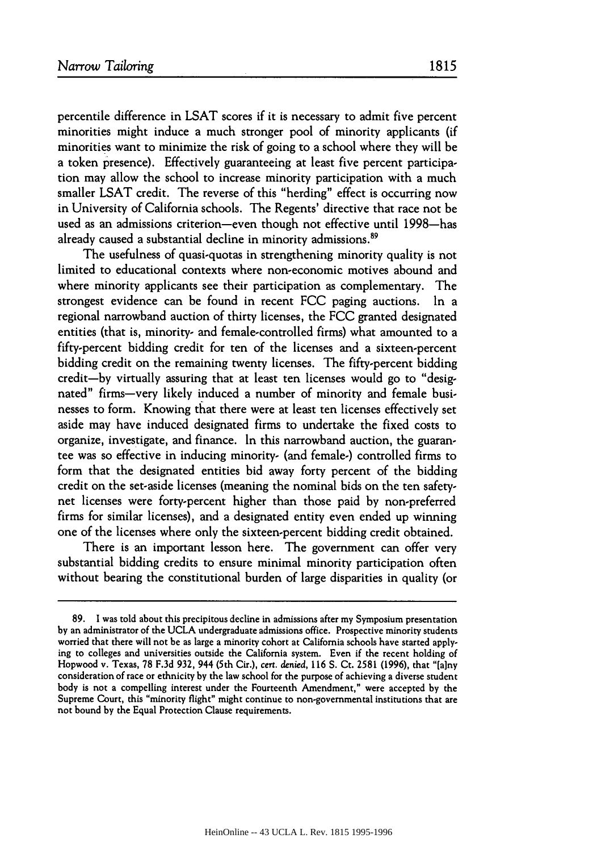percentile difference in LSAT scores if it is necessary to admit five percent minorities might induce a much stronger pool of minority applicants (if minorities want to minimize the risk of going to a school where they will be a token presence). Effectively guaranteeing at least five percent participation may allow the school to increase minority participation with a much smaller LSAT credit. The reverse of this "herding" effect is occurring now in University of California schools. The Regents' directive that race not be used as an admissions criterion-even though not effective until 1998-has already caused a substantial decline in minority admissions.<sup>89</sup>

The usefulness of quasi-quotas in strengthening minority quality is not limited to educational contexts where non-economic motives abound and where minority applicants see their participation as complementary. The strongest evidence can be found in recent FCC paging auctions. In a regional narrowband auction of thirty licenses, the FCC granted designated entities (that is, minority- and female-controlled firms) what amounted to a fifty-percent bidding credit for ten of the licenses and a sixteen-percent bidding credit on the remaining twenty licenses. The fifty-percent bidding credit-by virtually assuring that at least ten licenses would go to "designated" firms-very likely induced a number of minority and female businesses to form. Knowing that there were at least ten licenses effectively set aside may have induced designated firms to undertake the fixed costs to organize, investigate, and finance. In this narrowband auction, the guarantee was so effective in inducing minority- (and female-) controlled firms to form that the designated entities bid away forty percent of the bidding credit on the set-aside licenses (meaning the nominal bids on the ten safetynet licenses were forty-percent higher than those paid **by** non-preferred firms for similar licenses), and a designated entity even ended up winning one of the licenses where only the sixteen-percent bidding credit obtained.

There is an important lesson here. The government can offer very substantial bidding credits to ensure minimal minority participation often without bearing the constitutional burden of large disparities in quality (or

**<sup>89. 1</sup>** was told about this precipitous decline in admissions after my Symposium presentation **by** an administrator of the UCLA undergraduate admissions office. Prospective minority students worried that there will not be as large a minority cohort at California schools have started applying to colleges and universities outside the California system. Even if the recent holding of Hopwood v. Texas, 78 F.3d 932, 944 (5th Cir.), cert. *denied,* **116 S.** Ct. 2581 (1996), that "[a]ny consideration of race or ethnicity by the law school for the purpose of achieving a diverse student body is not a compelling interest under the Fourteenth Amendment," were accepted **by** the Supreme Court, this "minority flight" might continue to non-governmental institutions that are not bound **by** the Equal Protection Clause requirements.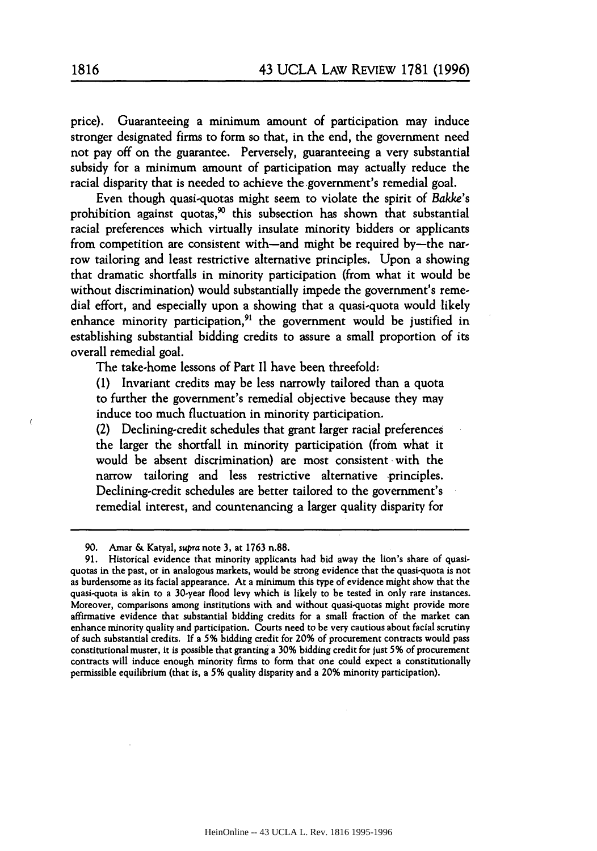price). Guaranteeing a minimum amount of participation may induce stronger designated firms to form so that, in the end, the government need not pay off on the guarantee. Perversely, guaranteeing a very substantial subsidy for a minimum amount of participation may actually reduce the racial disparity that is needed to achieve the government's remedial goal.

Even though quasi-quotas might seem to violate the spirit of Bakke's prohibition against quotas,<sup>90</sup> this subsection has shown that substantial racial preferences which virtually insulate minority bidders or applicants from competition are consistent with-and might be required by-the narrow tailoring and least restrictive alternative principles. Upon a showing that dramatic shortfalls in minority participation (from what it would be without discrimination) would substantially impede the government's remedial effort, and especially upon a showing that a quasi-quota would likely enhance minority participation,<sup>91</sup> the government would be justified in establishing substantial bidding credits to assure a small proportion of its overall remedial goal.

The take-home lessons of Part II have been threefold:

**(1)** Invariant credits may be less narrowly tailored than a quota to further the government's remedial objective because they may induce too much fluctuation in minority participation.

(2) Declining-credit schedules that grant larger racial preferences the larger the shortfall in minority participation (from what it would be absent discrimination) are most consistent with the narrow tailoring and less restrictive alternative -principles. Declining-credit schedules are better tailored to the government's remedial interest, and countenancing a larger quality disparity for

90. Amar & Katyal, supra note 3, at 1763 n.88.

 $\epsilon$ 

<sup>91.</sup> Historical evidence that minority applicants had bid away the lion's share of quasiquotas in the past, or in analogous markets, would be strong evidence that the quasi-quota is not as burdensome as its facial appearance. At a minimum this type of evidence might show that the quasi-quota is akin to a 30-year flood levy which is likely to be tested in only rare instances. Moreover, comparisons among institutions with and without quasi-quotas might provide more affirmative evidence that substantial bidding credits for a small fraction of the market can enhance minority quality and participation. Courts need to be very cautious about facial scrutiny of such substantial credits. **If** a 5% bidding credit for 20% of procurement contracts would pass constitutional muster, it is possible that granting a 30% bidding credit for just 5% of procurement contracts will induce enough minority firms to form that one could expect a constitutionally permissible equilibrium (that is, a 5% quality disparity and a 20% minority participation).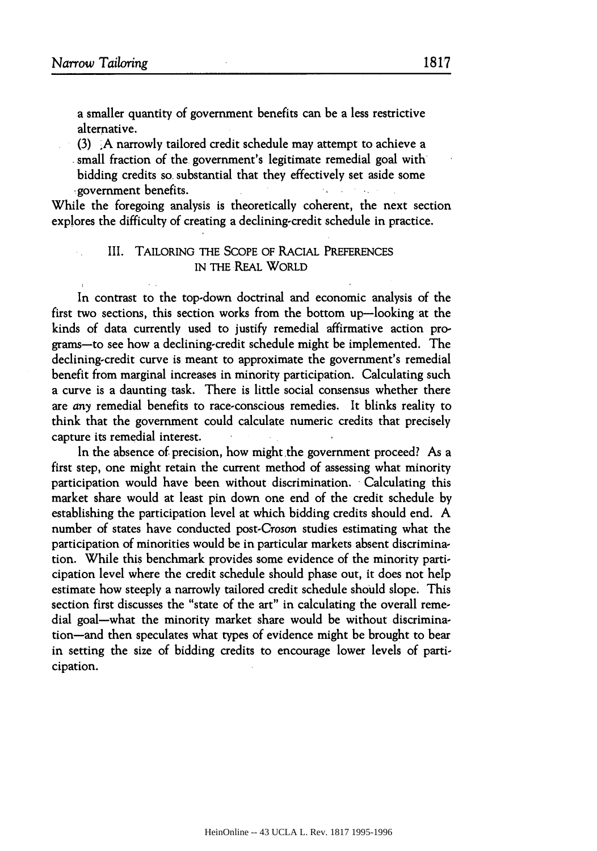a smaller quantity of government benefits can be a less restrictive alternative.

(3) ,A narrowly tailored credit schedule may attempt to achieve a small fraction of the government's legitimate remedial goal with bidding credits so, substantial that they effectively set aside some s government benefits.

While the foregoing analysis is theoretically coherent, the next section explores the difficulty of creating a declining-credit schedule in practice.

# III. TAILORING THE SCOPE OF RACIAL PREFERENCES IN THE REAL WORLD

In contrast to the top-down doctrinal and economic analysis of the first two sections, this section works from the bottom up-looking at the kinds of data currently used to justify remedial affirmative action programs-to see how a declining-credit schedule might be implemented. The declining-credit curve is meant to approximate the government's remedial benefit from marginal increases in minority participation. Calculating such a curve is a daunting task. There is little social consensus whether there are *any* remedial benefits to race-conscious remedies. It blinks reality to think that the government could calculate numeric credits that precisely capture its remedial interest.

In the absence of precision, how might the government proceed? As a first step, one might retain the current method of assessing what minority participation would have been without discrimination. Calculating this market share would at least pin down one end of the credit schedule by establishing the participation level at which bidding credits should end. **A** number of states have conducted post.Croson studies estimating what the participation of minorities would be in particular markets absent discrimination. While this benchmark provides some evidence of the minority participation level where the credit schedule should phase out, it does not help estimate how steeply a narrowly tailored credit schedule should slope. This section first discusses the "state of the art" in calculating the overall remedial goal-what the minority market share would be without discrimination-and then speculates what types of evidence might be brought to bear in setting the size of bidding credits to encourage lower levels of participation.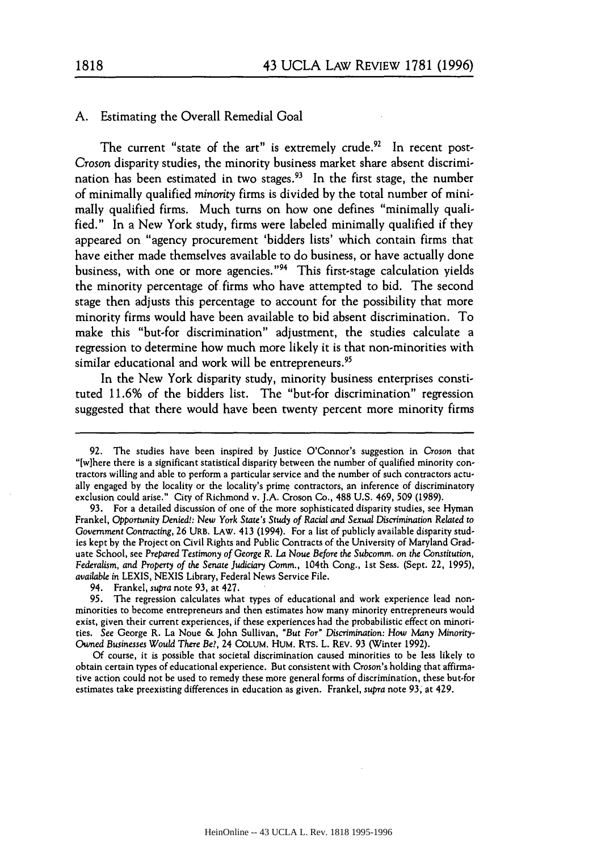## **A.** Estimating the Overall Remedial Goal

The current "state of the art" is extremely crude. $92$  In recent post-Croson disparity studies, the minority business market share absent discrimination has been estimated in two stages.<sup>93</sup> In the first stage, the number of minimally qualified *minority* firms is divided **by** the total number of minimally qualified firms. Much turns on how one defines "minimally qualified." In a New York study, firms were labeled minimally qualified if they appeared on "agency procurement 'bidders lists' which contain firms that have either made themselves available to do business, or have actually done business, with one or more agencies."<sup>94</sup> This first-stage calculation yields the minority percentage of firms who have attempted to bid. The second stage then adjusts this percentage to account for the possibility that more minority firms would have been available to bid absent discrimination. To make this "but-for discrimination" adjustment, the studies calculate a regression to determine how much more likely it is that non-minorities with similar educational and work will be entrepreneurs.<sup>95</sup>

In the New York disparity study, minority business enterprises constituted **11.6%** of the bidders list. The "but-for discrimination" regression suggested that there would have been twenty percent more minority firms

<sup>92.</sup> The studies have been inspired by Justice O'Connor's suggestion in *Croson* that "[w]here there is a significant statistical disparity between the number of qualified minority contractors willing and able to perform a particular service and the number of such contractors actually engaged by the locality or the locality's prime contractors, an inference of discriminatory exclusion could arise." City of Richmond v. J.A. Croson Co., 488 U.S. 469, 509 (1989).

<sup>93.</sup> For a detailed discussion of one of the more sophisticated disparity studies, see Hyman Frankel, Opportunity Denied!: New *York State's Study of Racial and Sexual* Discrimination *Related to* Government Contracting, 26 URB. LAW. **413** (1994). For a list of publicly available disparity studies kept by the Project on Civil Rights and Public Contracts of the University of Maryland Graduate School, see Prepared Testimony of George R. *La* Noue Before the Subcomm. on the Constitution, Federalism, and Property *of the* Senate Judiciary Comm., 104th Cong., 1st Sess. (Sept. 22, 1995), *available* in LEXIS, NEXIS Library, Federal News Service File.

<sup>94.</sup> Frankel, supra note 93, at 427.

<sup>95.</sup> The regression calculates what types of educational and work experience lead nonminorities to become entrepreneurs and then estimates how many minority entrepreneurs would exist, given their current experiences, if these experiences had the probabilistic effect on minorities. **See** George R. La Noue & John Sullivan, "But *For"* Discrimination: *How* Many Minority-Owned *Businesses Would* There *Be?,* 24 COLUM. HUM. RTS. L. REV. 93 (Winter 1992).

Of course, it is possible that societal discrimination caused minorities to be less likely to obtain certain types of educational experience. But consistent with Croson's holding that affirmative action could not be used to remedy these more general forms of discrimination, these but-for estimates take preexisting differences in education as given. Frankel, supra note 93, at 429.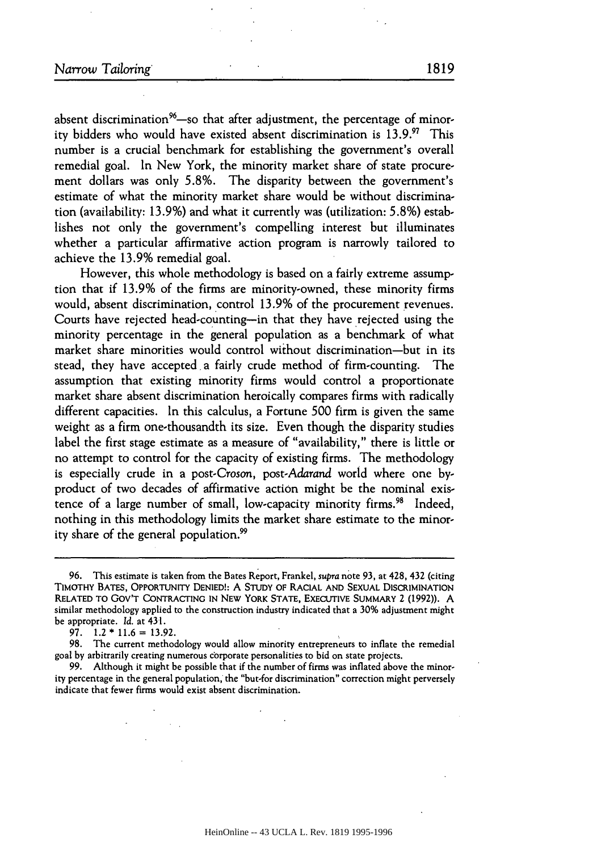absent discrimination<sup>96</sup>-so that after adjustment, the percentage of minority bidders who would have existed absent discrimination is **13.9.'** This number is a crucial benchmark for establishing the government's overall remedial goal. In New York, the minority market share of state procurement dollars was only 5.8%. The disparity between the government's estimate of what the minority market share would be without discrimination (availability: 13.9%) and what it currently was (utilization: 5.8%) establishes not only the government's compelling interest but illuminates whether a particular affirmative action program is narrowly tailored to achieve the 13.9% remedial goal.

However, this whole methodology is based on a fairly extreme assumption that if 13.9% of the firms are minority-owned, these minority firms would, absent discrimination, control 13.9% of the procurement revenues. Courts have rejected head-counting-in that they have rejected using the minority percentage in the general population as a benchmark of what market share minorities would control without discrimination-but in its stead, they have accepted a fairly crude method of firm-counting. The assumption that existing minority firms would control a proportionate market share absent discrimination heroically compares firms with radically different capacities. In this calculus, a Fortune 500 firm is given the same weight as a firm one-thousandth its size. Even though the disparity studies label the first stage estimate as a measure of "availability," there is little or no attempt to control for the capacity of existing firms. The methodology is especially crude in a post-Croson, post.Adarand world where one byproduct of two decades of affirmative action might be the nominal existence of a large number of small, low-capacity minority firms.<sup>98</sup> Indeed, nothing in this methodology limits the market share estimate to the minority share of the general population.<sup>99</sup>

99. Although it might be possible that if the number of firms was inflated above the minority percentage in the general population, the "but-for discrimination" correction might perversely indicate that fewer firms would exist absent discrimination.

<sup>96.</sup> This estimate is taken from the Bates Report, Frankel, *supra* note 93, at 428, 432 (citing TIMOTHY BATES, OPPORTUNITY DENIED!: **A** STUDY OF RACIAL AND SEXUAL DISCRIMINATION RELATED TO Gov'T CONTRACTING **IN** NEW YORK STATE, EXECUTIVE SUMMARY 2 (1992)). A similar methodology applied to the construction industry indicated that a 30% adjustment might be appropriate. *Id.* at 431.

<sup>97. 1.2</sup> **\*** 11.6 = 13.92.

<sup>98.</sup> The current methodology would allow minority entrepreneurs to inflate the remedial goal by arbitrarily creating numerous corporate personalities to bid on state projects.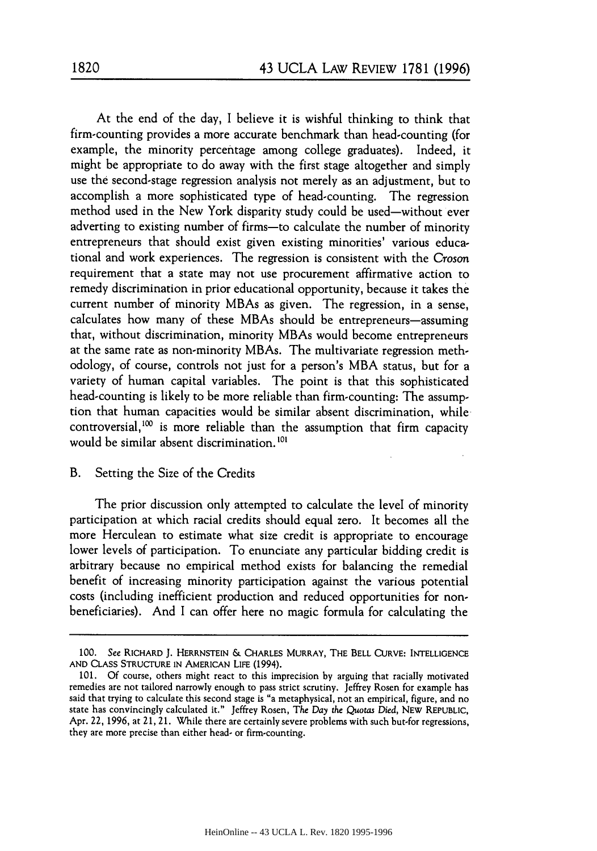At the end of the day, I believe it is wishful thinking to think that firm-counting provides a more accurate benchmark than head-counting (for example, the minority percentage among college graduates). Indeed, it might be appropriate to do away with the first stage altogether and simply use the second-stage regression analysis not merely as an adjustment, but to accomplish a more sophisticated type of head-counting. The regression method used in the New York disparity study could be used-without ever adverting to existing number of firms-to calculate the number of minority entrepreneurs that should exist given existing minorities' various educational and work experiences. The regression is consistent with the Croson requirement that a state may not use procurement affirmative action to remedy discrimination in prior educational opportunity, because it takes the current number of minority MBAs as given. The regression, in a sense, calculates how many of these MBAs should be entrepreneurs-assuming that, without discrimination, minority MBAs would become entrepreneurs at the same rate as non-minority MBAs. The multivariate regression methodology, of course, controls not just for a person's MBA status, but for a variety of human capital variables. The point is that this sophisticated head-counting is likely to be more reliable than firm-counting: The assumption that human capacities would be similar absent discrimination, while controversial,  $100$  is more reliable than the assumption that firm capacity would be similar absent discrimination. **<sup>101</sup>**

## B. Setting the Size of the Credits

The prior discussion only attempted to calculate the level of minority participation at which racial credits should equal zero. It becomes all the more Herculean to estimate what size credit is appropriate to encourage lower levels of participation. To enunciate any particular bidding credit is arbitrary because no empirical method exists for balancing the remedial benefit of increasing minority participation against the various potential costs (including inefficient production and reduced opportunities for nonbeneficiaries). And I can offer here no magic formula for calculating the

**<sup>100.</sup>** See RICHARD **J.** HERRNSTEIN & CHARLES MURRAY, **THE** BELL **CURVE: INTELLIGENCE AND CLASS STRUCTURE IN AMERICAN** LIFE (1994).

<sup>101.</sup> Of course, others might react to this imprecision by arguing that racially motivated remedies are not tailored narrowly enough to pass strict scrutiny. Jeffrey Rosen for example has said that trying to calculate this second stage is "a metaphysical, not an empirical, figure, and no state has convincingly calculated it." Jeffrey Rosen, *The Day the Quotas Died,* NEW REPUBLIC, Apr. 22, 1996, at 21, 21. While there are certainly severe problems with such but-for regressions, they are more precise than either head- or firm-counting.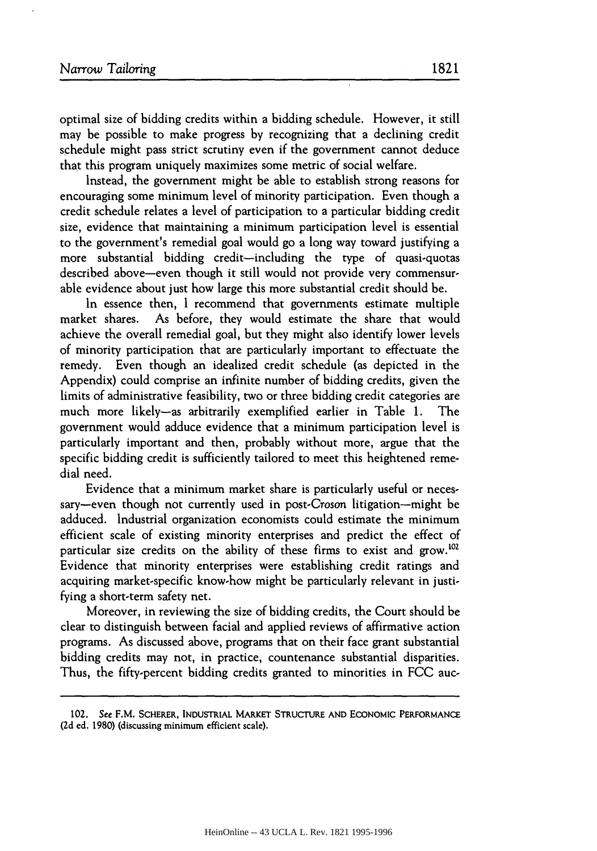optimal size of bidding credits within a bidding schedule. However, it still may be possible to make progress by recognizing that a declining credit schedule might pass strict scrutiny even if the government cannot deduce that this program uniquely maximizes some metric of social welfare.

Instead, the government might be able to establish strong reasons for encouraging some minimum level of minority participation. Even though a credit schedule relates a level of participation to a particular bidding credit size, evidence that maintaining a minimum participation level is essential to the government's remedial goal would go a long way toward justifying a more substantial bidding credit-including the type of quasi-quotas described above-even though it still would not provide very commensurable evidence about just how large this more substantial credit should be.

In essence then, I recommend that governments estimate multiple market shares. As before, they would estimate the share that would achieve the overall remedial goal, but they might also identify lower levels of minority participation that are particularly important to effectuate the remedy. Even though an idealized credit schedule (as depicted in the Appendix) could comprise an infinite number of bidding credits, given the limits of administrative feasibility, two or three bidding credit categories are much more likely-as arbitrarily exemplified earlier in Table **1.** The government would adduce evidence that a minimum participation level is particularly important and then, probably without more, argue that the specific bidding credit is sufficiently tailored to meet this heightened remedial need.

Evidence that a minimum market share is particularly useful or necessary-even though not currently used in post-Croson litigation--might be adduced. Industrial organization economists could estimate the minimum efficient scale of existing minority enterprises and predict the effect of particular size credits on the ability of these firms to exist and grow.<sup>102</sup> Evidence that minority enterprises were establishing credit ratings and acquiring market-specific know-how might be particularly relevant in justifying a short-term safety net.

Moreover, in reviewing the size of bidding credits, the Court should be clear to distinguish between facial and applied reviews of affirmative action programs. As discussed above, programs that on their face grant substantial bidding credits may not, in practice, countenance substantial disparities. Thus, the fifty-percent bidding credits granted to minorities in FCC auc-

<sup>102.</sup> See F.M. SCHERER, **INDUSTRIAL MARKET STRUCTURE AND ECONOMIC** PERFORMANCE **(2d** ed. 1980) (discussing minimum efficient scale).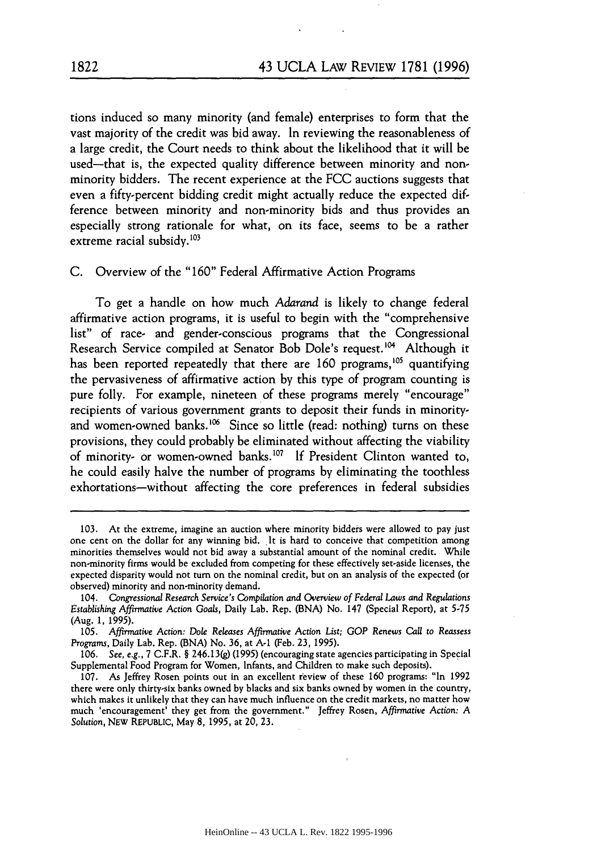tions induced so many minority (and female) enterprises to form that the vast majority of the credit was bid away. In reviewing the reasonableness of a large credit, the Court needs to think about the likelihood that it will be used-that is, the expected quality difference between minority and nonminority bidders. The recent experience at the FCC auctions suggests that even a fifty-percent bidding credit might actually reduce the expected difference between minority and non-minority bids and thus provides an especially strong rationale for what, on its face, seems to be a rather extreme racial subsidy. $103$ 

C. Overview of the "160" Federal Affirmative Action Programs

To get a handle on how much *Adarand* is likely to change federal affirmative action programs, it is useful to begin with the "comprehensive list" of race- and gender-conscious programs that the Congressional Research Service compiled at Senator Bob Dole's request.<sup>104</sup> Although it has been reported repeatedly that there are 160 programs,<sup>105</sup> quantifying the pervasiveness of affirmative action by this type of program counting is pure folly. For example, nineteen of these programs merely "encourage" recipients of various government grants to deposit their funds in minorityand women-owned banks.<sup>106</sup> Since so little (read: nothing) turns on these provisions, they could probably be eliminated without affecting the viability of minority- or women-owned banks.<sup>107</sup> If President Clinton wanted to, he could easily halve the number of programs by eliminating the toothless exhortations-without affecting the core preferences in federal subsidies

<sup>103.</sup> At the extreme, imagine an auction where minority bidders were allowed to pay just one cent on the dollar for any winning bid. It is hard to conceive that competition among minorities themselves would not bid away a substantial amount of the nominal credit. While non-minority firms would be excluded from competing for these effectively set-aside licenses, the expected disparity would not turn on the nominal credit, but on an analysis of the expected (or observed) minority and non-minority demand.

<sup>104.</sup> *Congressional Research Service's Compilation and Overview of Federal Laws and Regulations Establishing Affirmative Action Goals,* Daily Lab. Rep. (BNA) No. 147 (Special Report), at 5-75 (Aug. 1, 1995).

<sup>105.</sup> *Affirmative Action: Dole Releases Affirmative Action List; GOP* Renews *Call to Reassess Programs,* Daily Lab. Rep. **(BNA)** No. 36, at **A-1** (Feb. 23, 1995).

<sup>106.</sup> *See, e.g.,* 7 C.F.R. § 2 46.13(g) (1995) (encouraging state agencies participating in Special Supplemental Food Program for Women, Infants, and Children to make such deposits).

<sup>107.</sup> As Jeffrey Rosen points out in an excellent review of these 160 programs: "In 1992 there were only thirty-six banks owned by blacks and six banks owned by women in the country, which makes it unlikely that they can have much influence on the credit markets, no matter how much 'encouragement' they get from the government." Jeffrey Rosen, *Affirmative Action: A Solution,* NEw REPUBLIC, May 8, 1995, at 20, **23.**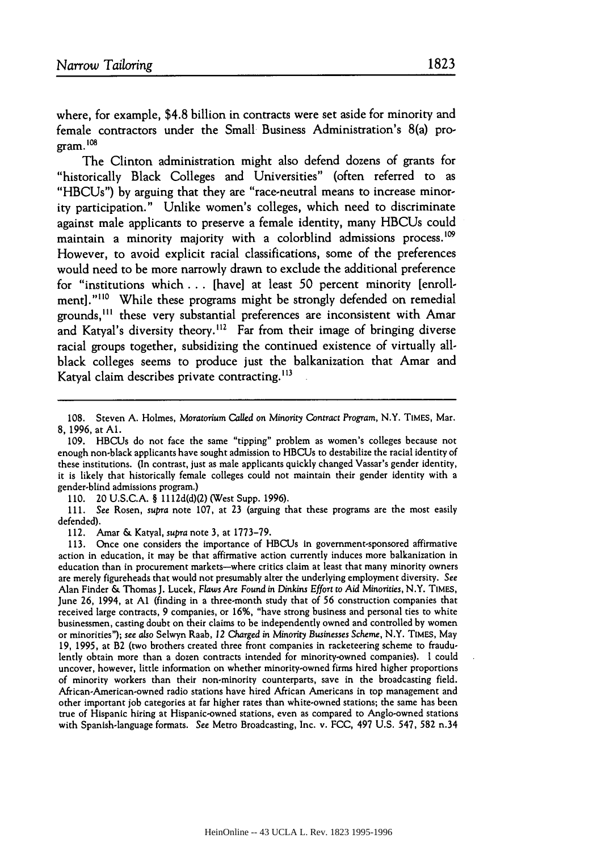where, for example, \$4.8 billion in contracts were set aside for minority and female contractors under the Small Business Administration's 8(a) pro $gram.$ <sup>108</sup>

The Clinton administration might also defend dozens of grants for "historically Black Colleges and Universities" (often referred to as "HBCUs") **by** arguing that they are "race-neutral means to increase minority participation." Unlike women's colleges, which need to discriminate against male applicants to preserve a female identity, many HBCUs could maintain a minority majority with a colorblind admissions process.<sup>109</sup> However, to avoid explicit racial classifications, some of the preferences would need to be more narrowly drawn to exclude the additional preference for "institutions which **...** [have] at least **50** percent minority [enrollmentl."<sup>110</sup> While these programs might be strongly defended on remedial grounds,<sup>111</sup> these very substantial preferences are inconsistent with Amar and Katyal's diversity theory.<sup>112</sup> Far from their image of bringing diverse racial groups together, subsidizing the continued existence of virtually allblack colleges seems to produce just the balkanization that Amar and Katyal claim describes private contracting.<sup>113</sup>

**110.** 20 U.S.C.A. § 1112d(d)(2) (West Supp. 1996).

111. See Rosen, supra note 107, at 23 (arguing that these programs are the most easily defended).

112. Amar **&** Katyal, supra note **3,** at 1773-79.

<sup>108.</sup> Steven A. Holmes, Moratorium Called on Minority Contract Program, N.Y. TIMES, Mar. 8, 1996, at **Al.**

<sup>109.</sup> HBCUs do not face the same "tipping" problem as women's colleges because not enough non-black applicants have sought admission to HBCUs to destabilize the racial identity of these institutions. (In contrast, just as male applicants quickly changed Vassar's gender identity, it is likely that historically female colleges could not maintain their gender identity with a gender-blind admissions program.)

**<sup>113.</sup>** Once one considers the importance of HBCUs in government-sponsored affirmative action in education, it may be that affirmative action currently induces more balkanization in education than in procurement markets-where critics claim at least that many minority owners are merely figureheads that would not presumably alter the underlying employment diversity. See Alan Finder & Thomas **J.** Lucek, *Flaws* Are *Found in Dinkins* Effort to Aid Minorities, N.Y. TIMES, June 26, 1994, at **Al** (finding in a three-month study that of 56 construction companies that received large contracts, 9 companies, or 16%, "have strong business and personal ties to white businessmen, casting doubt on their claims to be independently owned and controlled by women or minorities"); *see also* Selwyn Raab, *12* Charged in Minority Businesses Scheme, N.Y. TIMES, May **19, 1995,** at B2 (two brothers created three front companies in racketeering scheme to fraudulently obtain more than a dozen contracts intended for minority-owned companies). I could uncover, however, little information on whether minority-owned firms hired higher proportions of minority workers than their non-minority counterparts, save in the broadcasting field. African-American-owned radio stations have hired African Americans in top management and other important **job** categories at far higher rates than white-owned stations; the same has been true of Hispanic hiring at Hispanic-owned stations, even as compared to Anglo-owned stations with Spanish-language formats. See Metro Broadcasting, Inc. v. FCC, 497 U.S. 547, **582** n.34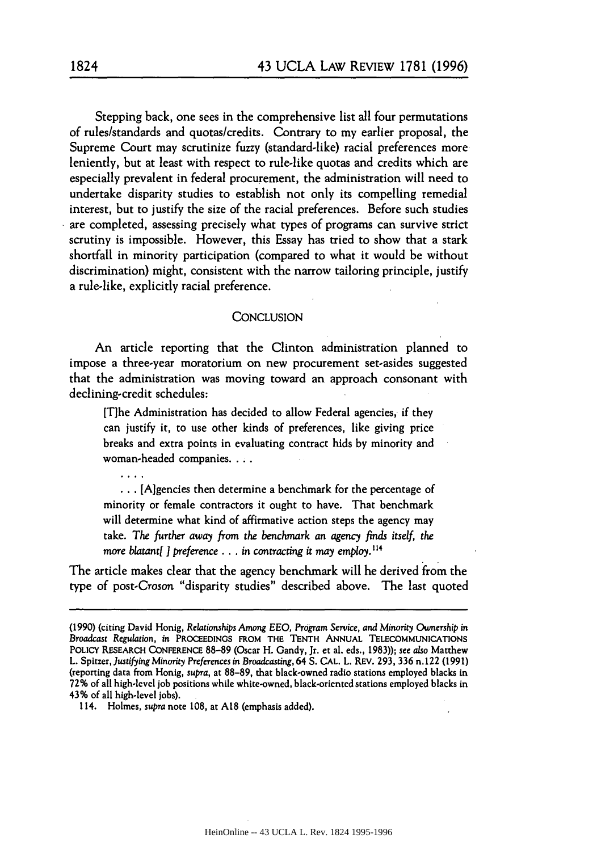Stepping back, one sees in the comprehensive list all four permutations of rules/standards and quotas/credits. Contrary to my earlier proposal, the Supreme Court may scrutinize fuzzy (standard-like) racial preferences more leniently, but at least with respect to rule-like quotas and credits which are especially prevalent in federal procurement, the administration will need to undertake disparity studies to establish not only its compelling remedial interest, but to justify the size of the racial preferences. Before such studies are completed, assessing precisely what types of programs can survive strict scrutiny is impossible. However, this Essay has tried to show that a stark shortfall in minority participation (compared to what it would be without discrimination) might, consistent with the narrow tailoring principle, justify a rule-like, explicitly racial preference.

## **CONCLUSION**

An article reporting that the Clinton administration planned to impose a three-year moratorium on new procurement set-asides suggested that the administration was moving toward an approach consonant with declining-credit schedules:

[T]he Administration has decided to allow Federal agencies, if they can justify it, to use other kinds of preferences, like giving price breaks and extra points in evaluating contract bids by minority and woman-headed companies....

**...** [A]gencies then determine a benchmark for the percentage of minority or female contractors it ought to have. That benchmark will determine what kind of affirmative action steps the agency may take. The *further away from the benchmark* an *agency finds itself, the more blatant*[ *] preference ... in contracting it may employ.*<sup>114</sup>

The article makes clear that the agency benchmark will be derived from the type of post-Croson "disparity studies" described above. The last quoted

**<sup>(1990)</sup>** (citing David Honig, Relationships *Among* **EEO,** *Program Service, and* Minority *Ownership in Broadcast Regulation, in* **PROCEEDINGS** FROM THE **TENTH** ANNUAL TELECOMMUNICATIONS POLICY RESEARCH **CONFERENCE** 88-89 (Oscar H. Gandy, Jr. et al. eds., 1983)); *see also* Matthew L. Spitzer, Justifying *Minority Preferences* in *Broadcasting,* 64 S. CAL. L. REV. 293, 336 n.122 (1991) (reporting data from Honig, *supra,* at 88-89, that black-owned radio stations employed blacks in **72%** of all high-level **job** positions while white-owned, black-oriented stations employed blacks in 43% of all high-level jobs).

<sup>114.</sup> Holmes, *supra* note 108, at **A18** (emphasis added).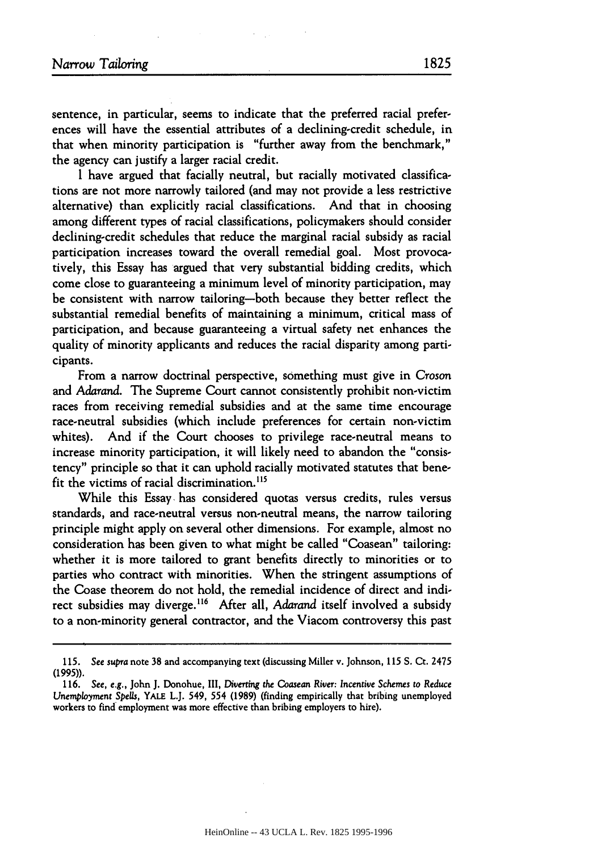sentence, in particular, seems to indicate that the preferred racial preferences will have the essential attributes of a declining-credit schedule, in that when minority participation is "further away from the benchmark," the agency can justify a larger racial credit.

I have argued that facially neutral, but racially motivated classifications are not more narrowly tailored (and may not provide a less restrictive alternative) than explicitly racial classifications. And that in choosing among different types of racial classifications, policymakers should consider declining-credit schedules that reduce the marginal racial subsidy as racial participation increases toward the overall remedial goal. Most provocatively, this Essay has argued that very substantial bidding credits, which come close to guaranteeing a minimum level of minority participation, may be consistent with narrow tailoring-both because they better reflect the substantial remedial benefits of maintaining a minimum, critical mass of participation, and because guaranteeing a virtual safety net enhances the quality of minority applicants and reduces the racial disparity among participants.

From a narrow doctrinal perspective, something must give in Croson and *Adarand.* The Supreme Court cannot consistently prohibit non-victim races from receiving remedial subsidies and at the same time encourage race-neutral subsidies (which include preferences for certain non-victim whites). And if the Court chooses to privilege race-neutral means to increase minority participation, it will likely need to abandon the "consistency" principle so that it can uphold racially motivated statutes that benefit the victims of racial discrimination.<sup>115</sup>

While this Essay, has considered quotas versus credits, rules versus standards, and race-neutral versus non-neutral means, the narrow tailoring principle might apply on several other dimensions. For example, almost no consideration has been given to what might be called "Coasean" tailoring: whether it is more tailored to grant benefits directly to minorities or to parties who contract with minorities. When the stringent assumptions of the Coase theorem do not hold, the remedial incidence of direct and indirect subsidies may diverge.<sup>116</sup> After all, *Adarand* itself involved a subsidy to a non-minority general contractor, and the Viacom controversy this past

**<sup>115.</sup>** See supra note 38 and accompanying text (discussing Miller v. Johnson, **115** S. Ct. 2475 (1995)).

**<sup>116.</sup>** *See, e.g.,* John **J.** Donohue, III, *Diverting the Coasean* River: *Incentive Schemes to Reduce Unemployment Spells, YALE L.J. 549, 554 (1989) (finding empirically that bribing unemployed* workers to find employment was more effective than bribing employers to hire).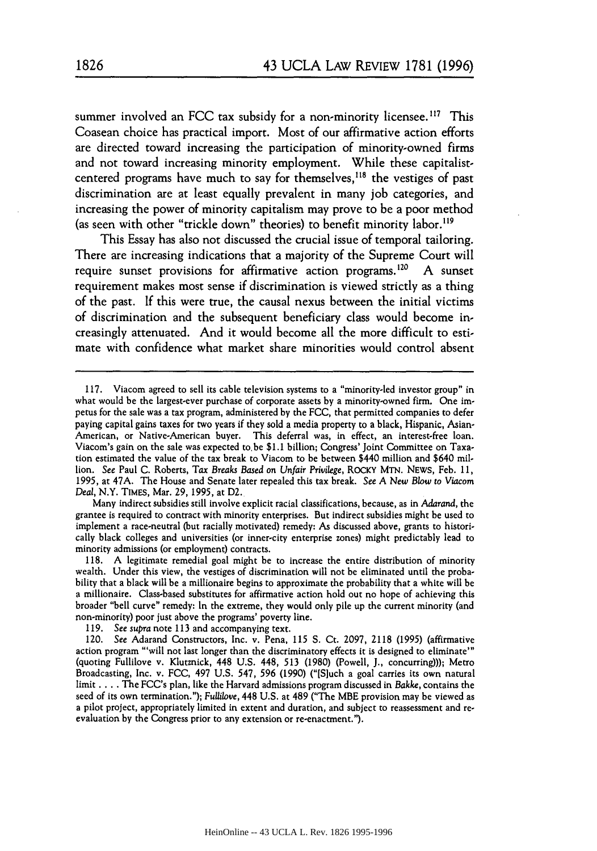summer involved an FCC tax subsidy for a non-minority licensee.<sup>117</sup> This Coasean choice has practical import. Most of our affirmative action efforts are directed toward increasing the participation of minority-owned firms and not toward increasing minority employment. While these capitalistcentered programs have much to say for themselves,<sup>118</sup> the vestiges of past discrimination are at least equally prevalent in many **job** categories, and increasing the power of minority capitalism may prove to be a poor method (as seen with other "trickle down" theories) to benefit minority labor.<sup>119</sup>

This Essay has also not discussed the crucial issue of temporal tailoring. There are increasing indications that a majority of the Supreme Court will require sunset provisions for affirmative action programs.<sup>120</sup> A sunset requirement makes most sense if discrimination is viewed strictly as a thing of the past. If this were true, the causal nexus between the initial victims of discrimination and the subsequent beneficiary class would become increasingly attenuated. And it would become all the more difficult to estimate with confidence what market share minorities would control absent

Many indirect subsidies still involve explicit racial classifications, because, as in *Adarand,* the grantee is required to contract with minority enterprises. But indirect subsidies might be used to implement a race-neutral (but racially motivated) remedy: As discussed above, grants to historically black colleges and universities (or inner-city enterprise zones) might predictably lead to minority admissions (or employment) contracts.

118. A legitimate remedial goal might be to increase the entire distribution of minority wealth. Under this view, the vestiges of discrimination will not be eliminated until the probability that a black will be a millionaire begins to approximate the probability that a white will be a millionaire. Class-based substitutes for affirmative action hold out no hope of achieving this broader "bell curve" remedy: In the extreme, they would only pile up the current minority (and non-minority) poor just above the programs' poverty line.

<sup>117.</sup> Viacom agreed to sell its cable television systems to a "minority-led investor group" in what would be the largest-ever purchase of corporate assets by a minority-owned firm. One impetus for the sale was a tax program, administered **by** the FCC, that permitted companies to defer paying capital gains taxes for two years if they sold a media property to a black, Hispanic, Asian-American, or Native-American buyer. This deferral was, in effect, an interest-free loan. Viacom's gain on the sale was expected to, be \$1.1 billion; Congress' Joint Committee on Taxation estimated the value of the tax break to Viacom to be between \$440 million and \$640 million. See Paul C. Roberts, *Tax Breaks Based* on Unfair *Privilege,* ROCKY **MTN.** NEWS, Feb. 11, 1995, at 47A. The House and Senate later repealed this tax break. See *A New Blow* to Viacom *Deal,* N.Y. TIMEs, Mar. 29, 1995, at D2.

<sup>119.</sup> See *supra* note 113 and accompanying text.

<sup>120.</sup> See Adarand Constructors, Inc. v. Pena, **115 S.** Ct. 2097, **2118** (1995) (affirmative action program "'will not last longer than the discriminatory effects it is designed to eliminate"' (quoting Fullilove v. Klutznick, 448 U.S. 448, **513** (1980) (Powell, **J.,** concurring))); Metro Broadcasting, Inc. v. FCC, 497 U.S. 547, 596 (1990) ("[S]uch a goal carries its own natural limit **....** The FCC's plan, like the Harvard admissions program discussed in *Bakke,* contains the seed of its own termination."); *Fullilove,* 448 U.S. at 489 ("The MBE provision may be viewed as a pilot project, appropriately limited in extent and duration, and subject to reassessment and re evaluation by the Congress prior to any extension or re-enactment.").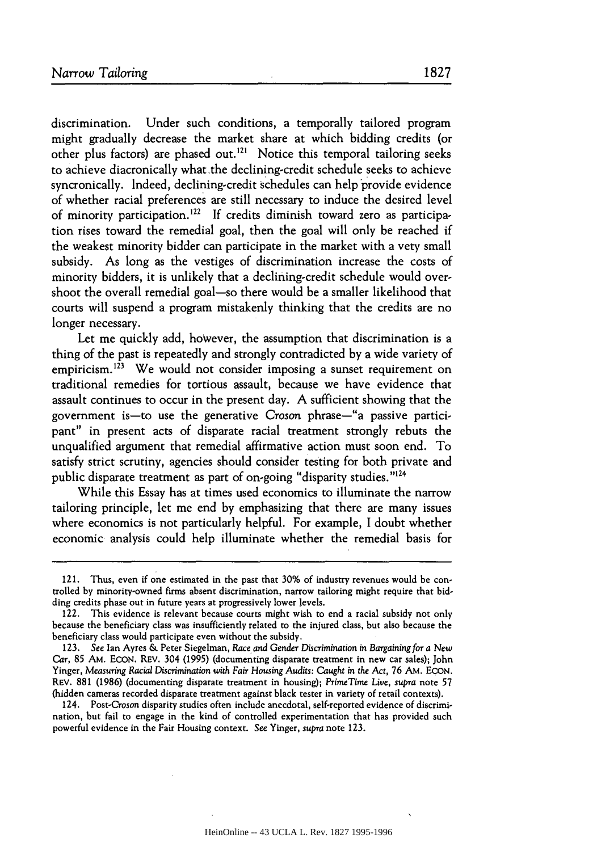discrimination. Under such conditions, a temporally tailored program might gradually decrease the market share at which bidding credits (or other plus factors) are phased out.<sup>121</sup> Notice this temporal tailoring seeks to achieve diacronically what.the declining-credit schedule seeks to achieve syncronically. Indeed, declining-credit schedules can help provide evidence of whether racial preferences are still necessary to induce the desired level of minority participation.<sup>122</sup> If credits diminish toward zero as participation rises toward the remedial goal, then the goal will only be reached if the weakest minority bidder can participate in the market with a very small subsidy. As long as the vestiges of discrimination increase the costs of minority bidders, it is unlikely that a declining-credit schedule would overshoot the overall remedial goal-so there would be a smaller likelihood that courts will suspend a program mistakenly thinking that the credits are no longer necessary.

Let me quickly add, however, the assumption that discrimination is a thing of the past is repeatedly and strongly contradicted by a wide variety of empiricism.<sup>123</sup> We would not consider imposing a sunset requirement on traditional remedies for tortious assault, because we have evidence that assault continues to occur in the present day. A sufficient showing that the government is-to use the generative Croson phrase-"a passive participant" in present acts of disparate racial treatment strongly rebuts the unqualified argument that remedial affirmative action must soon end. To satisfy strict scrutiny, agencies should consider testing for both private and public disparate treatment as part of on-going "disparity studies."<sup>124</sup>

While this Essay has at times used economics to illuminate the narrow tailoring principle, let me end by emphasizing that there are many issues where economics is not particularly helpful. For example, I doubt whether economic analysis could help illuminate whether the remedial basis for

<sup>121.</sup> Thus, even if one estimated in the past that 30% of industry revenues would be controlled by minority-owned firms absent discrimination, narrow tailoring might require that bidding credits phase out in future years at progressively lower levels. 122. This evidence is relevant because courts might wish to end a racial subsidy not only

because the beneficiary class was insufficiently related to the injured class, but also because the beneficiary class would participate even without the subsidy.

<sup>123.</sup> See Ian Ayres & Peter Siegelman, Race and Gender Discrimination in *Bargaining* for *a* New Car, 85 AM. EcoN. REV. 304 (1995) (documenting disparate treatment in new car sales); John Yinger, *Measuring Racial* Discrimination with *Fair Housing Audits: Caught in the Act,* 76 AM. EcoN. REV. 881 (1986) (documenting disparate treatment in housing); *PrimeTime Live, supra* note 57 (hidden cameras recorded disparate treatment against black tester in variety of retail contexts).

<sup>124.</sup> Post-Croson disparity studies often include anecdotal, self-reported evidence of discrimination, but fail to engage in the kind of controlled experimentation that has provided such powerful evidence in the Fair Housing context. See Yinger, *supra* note 123.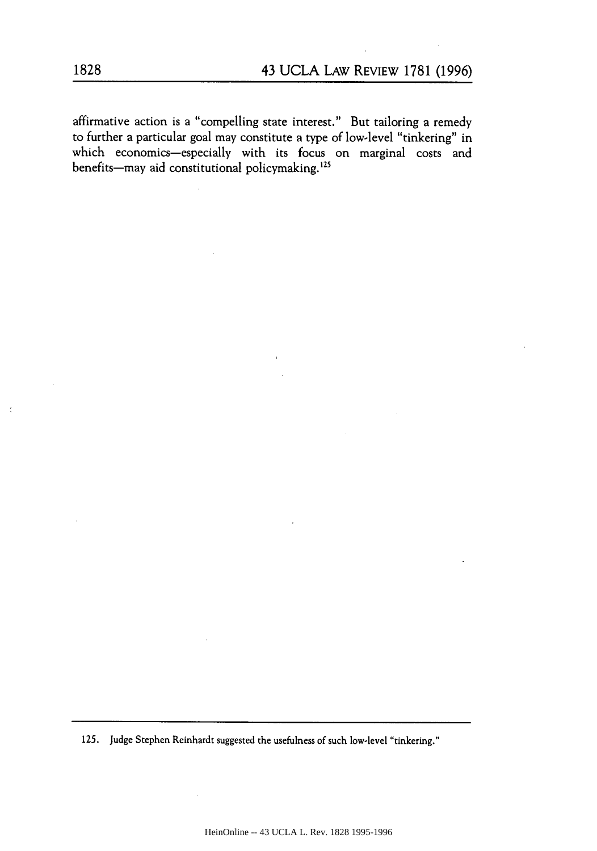affirmative action is a "compelling state interest." But tailoring a remedy to further a particular goal may constitute a type of low-level "tinkering" in which economics-especially with its focus on marginal costs and benefits-may aid constitutional policymaking.<sup>125</sup>

125. Judge Stephen Reinhardt suggested the usefulness of such low-level "tinkering."

 $\ddot{\cdot}$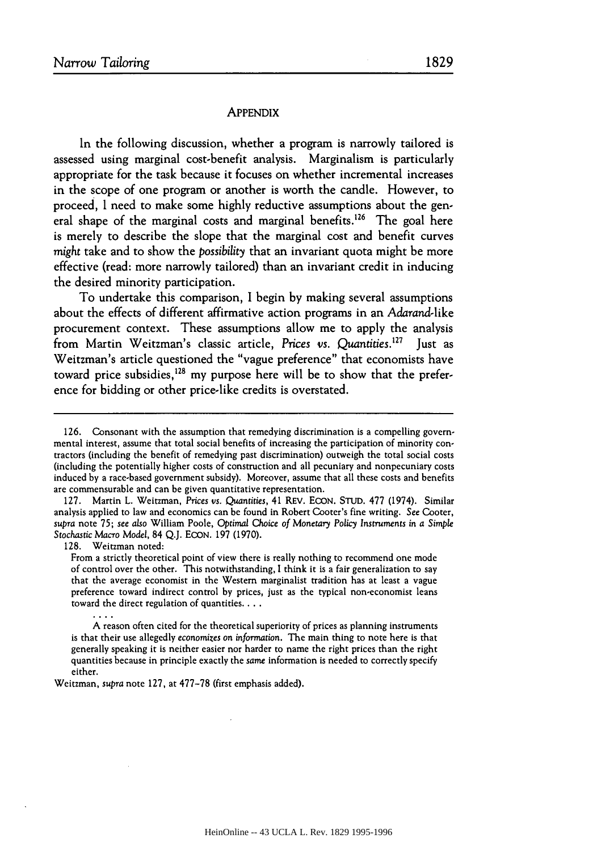## **APPENDIX**

In the following discussion, whether a program is narrowly tailored is assessed using marginal cost-benefit analysis. Marginalism is particularly appropriate for the task because it focuses on whether incremental increases in the scope of one program or another is worth the candle. However, to proceed, I need to make some highly reductive assumptions about the general shape of the marginal costs and marginal benefits.<sup>126</sup> The goal here is merely to describe the slope that the marginal cost and benefit curves *might* take and to show the *possibility* that an invariant quota might be more effective (read: more narrowly tailored) than an invariant credit in inducing the desired minority participation.

To undertake this comparison, I begin by making several assumptions about the effects of different affirmative action programs in an Adarand-like procurement context. These assumptions allow me to apply the analysis from Martin Weitzman's classic article, Prices vs. Quantities.<sup>127</sup> Iust as Weitzman's article questioned the "vague preference" that economists have toward price subsidies,<sup>128</sup> my purpose here will be to show that the prefer-<br>ence for bidding or other price-like credits is overstated.

127. Martin L. Weitzman, *Prices vs.* Quantities, 41 REV. ECON. STUD. **477** (1974). Similar analysis applied to law and economics can be found in Robert Cooter's fine writing. See Cooter, *supra* note 75; see also William Poole, *Optimal* Choice of *Monetary Policy Instruments* in a Simple *Stochastic Macro* Model, 84 Q.J. ECON. **197** (1970).

128. Weitzman noted:

From a strictly theoretical point of view there is really nothing to recommend one mode of control over the other. This notwithstanding, I think it is a fair generalization to say that the average economist in the Western marginalist tradition has at least a vague preference toward indirect control **by** prices, just as the typical non-economist leans toward the direct regulation of quantities. **...**

**A** reason often cited for the theoretical superiority of prices as planning instruments is that their use allegedly economizes on information. The main thing to note here is that generally speaking it is neither easier nor harder to name the right prices than the right quantities because in principle exactly the *same* information is needed to correctly specify either.

Weitzman, *supra* note 127, at 477-78 (first emphasis added).

**<sup>126.</sup>** Consonant with the assumption that remedying discrimination is a compelling governmental interest, assume that total social benefits of increasing the participation of minority contractors (including the benefit of remedying past discrimination) outweigh the total social costs (including the potentially higher costs of construction and all pecuniary and nonpecuniary costs induced by a race-based government subsidy). Moreover, assume that all these costs and benefits are commensurable and can be given quantitative representation.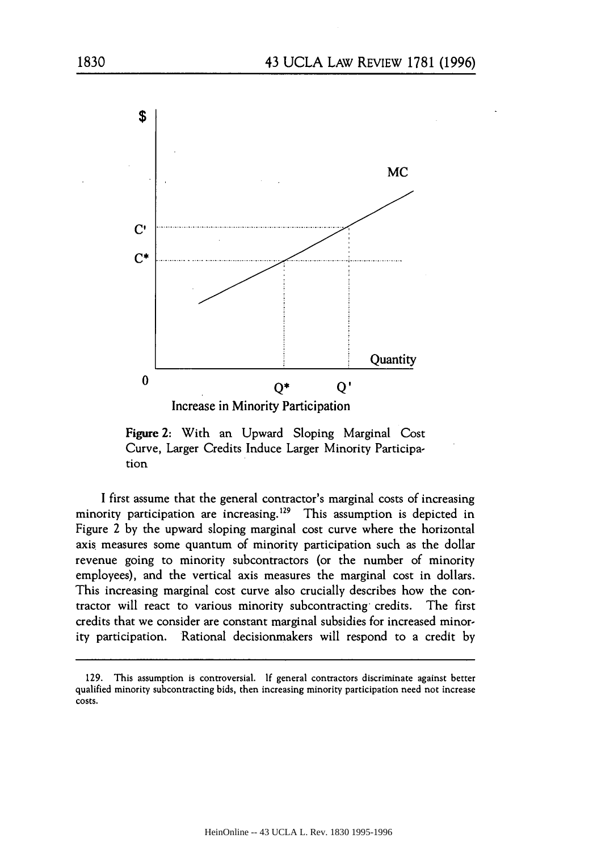

Figure 2: With an Upward Sloping Marginal Cost Curve, Larger Credits Induce Larger Minority Participation

I first assume that the general contractor's marginal costs of increasing minority participation are increasing.<sup>129</sup> This assumption is depicted in Figure 2 by the upward sloping marginal cost curve where the horizontal axis measures some quantum of minority participation such as the dollar revenue going to minority subcontractors (or the number of minority employees), and the vertical axis measures the marginal cost in dollars. This increasing marginal cost curve also crucially describes how the contractor will react to various minority subcontracting- credits. The first credits that we consider are constant marginal subsidies for increased minority participation. Rational decisionmakers will respond to a credit by

<sup>129.</sup> This assumption is controversial. If general contractors discriminate against better qualified minority subcontracting bids, then increasing minority participation need not increase costs.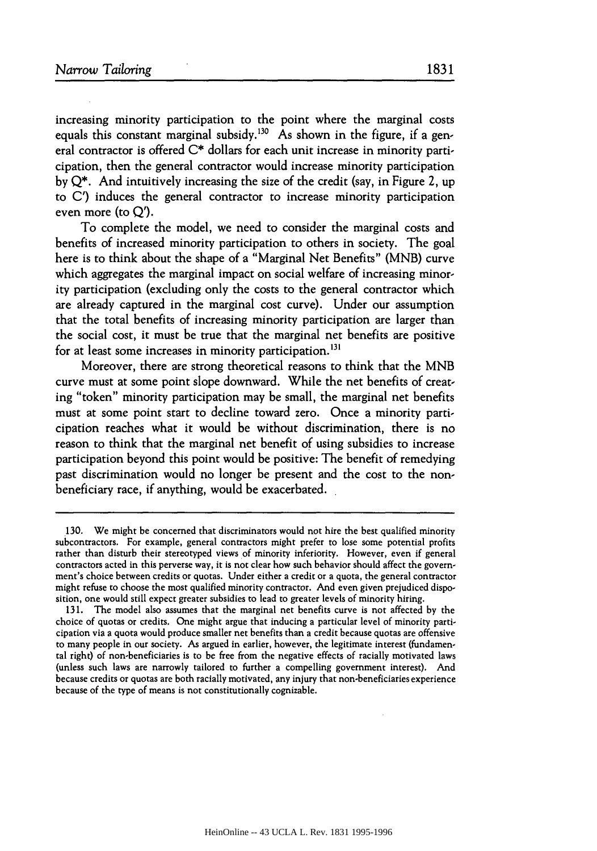increasing minority participation to the point where the marginal costs equals this constant marginal subsidy.<sup>130</sup> As shown in the figure, if a general contractor is offered **C\*** dollars for each unit increase in minority participation, then the general contractor would increase minority participation by Q\*. And intuitively increasing the size of the credit (say, in Figure 2, up to C') induces the general contractor to increase minority participation even more (to Q').

To complete the model, we need to consider the marginal costs and benefits of increased minority participation to others in society. The goal here is to think about the shape of a "Marginal Net Benefits" (MNB) curve which aggregates the marginal impact on social welfare of increasing minority participation (excluding only the costs to the general contractor which are already captured in the marginal cost curve). Under our assumption that the total benefits of increasing minority participation are larger than the social cost, it must be true that the marginal net benefits are positive for at least some increases in minority participation.<sup>131</sup>

Moreover, there are strong theoretical reasons to think that the MNB curve must at some point slope downward. While the net benefits of creating "token" minority participation may be small, the marginal net benefits must at some point start to decline toward zero. Once a minority participation reaches what it would be without discrimination, there is no reason to think that the marginal net benefit of using subsidies to increase participation beyond this point would be positive: The benefit of remedying past discrimination would no longer be present and the cost to the nonbeneficiary race, if anything, would be exacerbated.

<sup>130.</sup> We might be concerned that discriminators would not hire the best qualified minority subcontractors. For example, general contractors might prefer to lose some potential profits rather than disturb their stereotyped views of minority inferiority. However, even if general contractors acted in this perverse way, it is not clear how such behavior should affect the government's choice between credits or quotas. Under either a credit or a quota, the general contractor might refuse to choose the most qualified minority contractor. And even given prejudiced disposition, one would still expect greater subsidies to lead to greater levels of minority hiring.

<sup>131.</sup> The model also assumes that the marginal net benefits curve is not affected by the choice of quotas or credits. One might argue that inducing a particular level of minority participation via a quota would produce smaller net benefits than a credit because quotas are offensive to many people in our society. As argued in earlier, however, the legitimate interest (fundamental right) of non-beneficiaries is to be free from the negative effects of racially motivated laws (unless such laws are narrowly tailored to further a compelling government interest). And because credits or quotas are both racially motivated, any injury that non-beneficiaries experience because of the type of means is not constitutionally cognizable.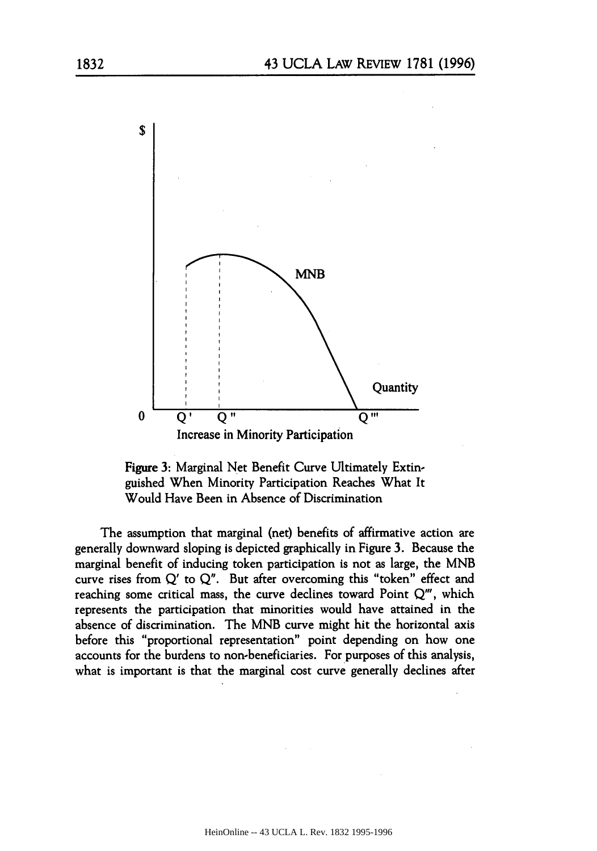



The assumption that marginal (net) benefits of affirmative action are generally downward sloping is depicted graphically in Figure 3. Because the marginal benefit of inducing token participation is not as large, the MNB curve rises from Q' to Q". But after overcoming this "token" effect and reaching some critical mass, the curve declines toward Point  $Q'''$ , which represents the participation that minorities would have attained in the absence of discrimination. The MNB curve might hit the horizontal axis before this "proportional representation" point depending on how one accounts for the burdens to non-beneficiaries. For purposes of this analysis, what is important is that the marginal cost curve generally declines after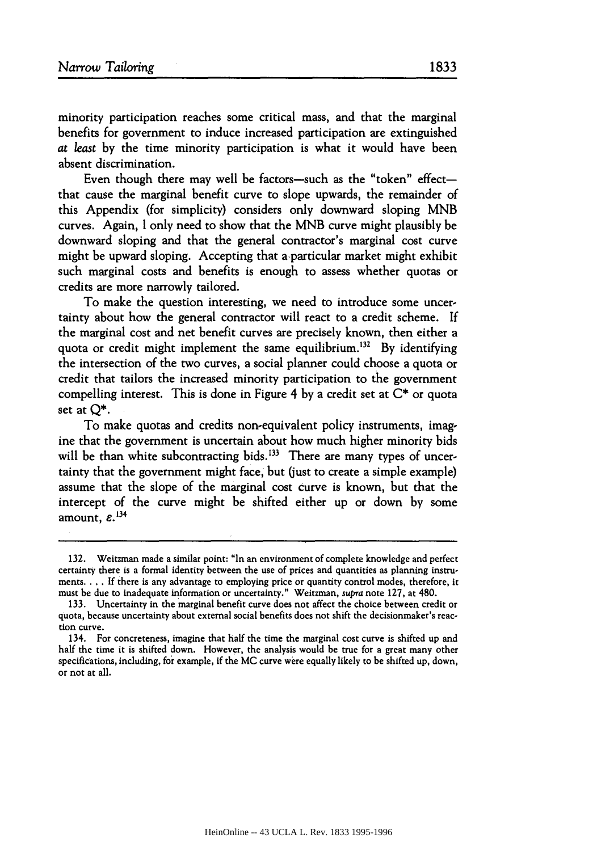minority participation reaches some critical mass, and that the marginal benefits for government to induce increased participation are extinguished *at least* **by** the time minority participation is what it would have been absent discrimination.

Even though there may well be factors-such as the "token" effectthat cause the marginal benefit curve to slope upwards, the remainder of this Appendix (for simplicity) considers only downward sloping MNB curves. Again, I only need to show that the MNB curve might plausibly be downward sloping and that the general contractor's marginal cost curve might be upward sloping. Accepting that a particular market might exhibit such marginal costs and benefits is enough to assess whether quotas or credits are more narrowly tailored.

To make the question interesting, we need to introduce some uncertainty about how the general contractor will react to a credit scheme. If the marginal cost and net benefit curves are precisely known, then either a quota or credit might implement the same equilibrium.<sup>132</sup> By identifying the intersection of the two curves, a social planner could choose a quota or credit that tailors the increased minority participation to the government compelling interest. This is done in Figure 4 **by** a credit set at **C\*** or quota set at **Q\*.**

To make quotas and credits non-equivalent policy instruments, imagine that the government is uncertain about how much higher minority bids will be than white subcontracting bids.<sup>133</sup> There are many types of uncertainty that the government might face, but (just to create a simple example) assume that the slope of the marginal cost curve is known, but that the intercept of the curve might be shifted either up or down by some amount,  $\varepsilon$ <sup>134</sup>

<sup>132.</sup> Weitzman made a similar point: "In an environment of complete knowledge and perfect certainty there is a formal identity between the use of prices and quantities as planning instruments **.... If** there is any advantage to employing price or quantity control modes, therefore, it must be due to inadequate information or uncertainty." Weitzman, supra note 127, at 480.

<sup>133.</sup> Uncertainty in the marginal benefit curve does not affect the choice between credit or quota, because uncertainty about external social benefits does not shift the decisionmaker's reaction curve.

<sup>134.</sup> For concreteness, imagine that half the time the marginal cost curve is shifted up and half the time it is shifted down. However, the analysis would be true for a great many other specifications, including, **for** example, if the **MC** curve were equally likely to be shifted up, down, or not at all.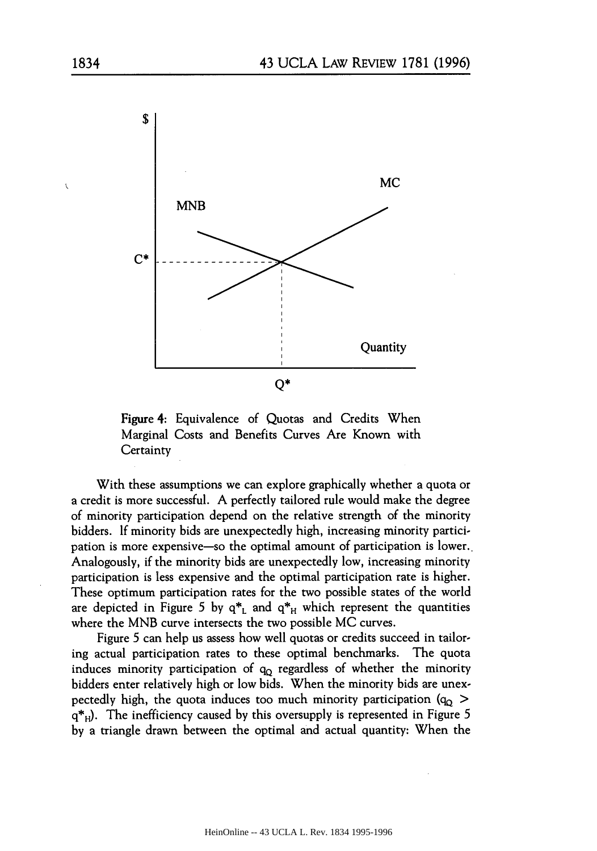

Figure 4: Equivalence of Quotas and Credits When Marginal Costs and Benefits Curves Are Known with **Certainty** 

With these assumptions we can explore graphically whether a quota or a credit is more successful. A perfectly tailored rule would make the degree of minority participation depend on the relative strength of the minority bidders. If minority bids are unexpectedly high, increasing minority participation is more expensive-so the optimal amount of participation is lower.. Analogously, if the minority bids are unexpectedly low, increasing minority participation is less expensive and the optimal participation rate is higher. These optimum participation rates for the two possible states of the world are depicted in Figure 5 by  $q^*$ <sub>L</sub> and  $q^*$ <sub>H</sub> which represent the quantities where the MNB curve intersects the two possible MC curves.

Figure 5 can help us assess how well quotas or credits succeed in tailoring actual participation rates to these optimal benchmarks. The quota induces minority participation of  $q_Q$  regardless of whether the minority bidders enter relatively high or low bids. When the minority bids are unexpectedly high, the quota induces too much minority participation (q<sub>0</sub> > q<sup>\*</sup><sub>H</sub>). The inefficiency caused by this oversupply is represented in Figure 5 by a triangle drawn between the optimal and actual quantity: When the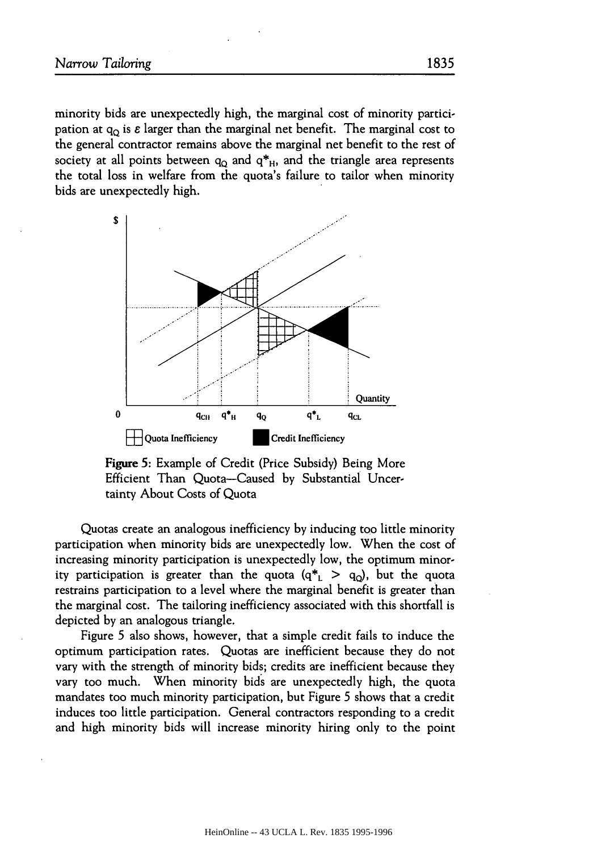minority bids are unexpectedly high, the marginal cost of minority participation at  $q_0$  is  $\varepsilon$  larger than the marginal net benefit. The marginal cost to the general contractor remains above the marginal net benefit to the rest of society at all points between  $q_0$  and  $q_{\text{H}}$ , and the triangle area represents the total loss in welfare from the quota's failure to tailor when minority bids are unexpectedly high.



Figure **5:** Example of Credit (Price Subsidy) Being More Efficient Than Quota--Caused by Substantial Uncertainty About Costs of Quota

Quotas create an analogous inefficiency by inducing too little minority participation when minority bids are unexpectedly low. When the cost of increasing minority participation is unexpectedly low, the optimum minority participation is greater than the quota  $(q_{\perp}^* > q_0)$ , but the quota restrains participation to a level where the marginal benefit is greater than the marginal cost. The tailoring inefficiency associated with this shortfall is depicted by an analogous triangle.

Figure 5 also shows, however, that a simple credit fails to induce the optimum participation rates. Quotas are inefficient because they do not vary with the strength of minority bids; credits are inefficient because they vary too much. When minority bids are unexpectedly high, the quota mandates too much minority participation, but Figure 5 shows that a credit induces too little participation. General contractors responding to a credit and high minority bids will increase minority hiring only to the point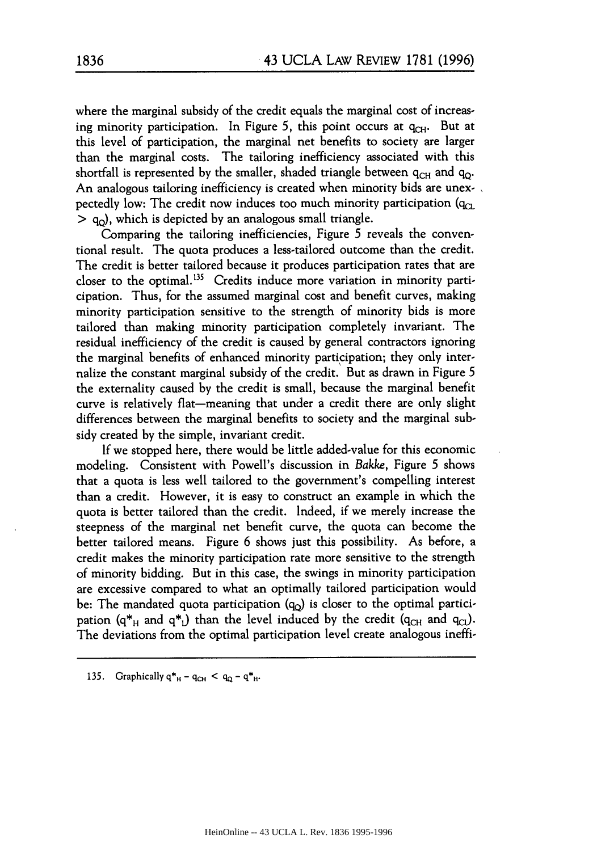where the marginal subsidy of the credit equals the marginal cost of increasing minority participation. In Figure 5, this point occurs at  $q_{\text{CH}}$ . But at this level of participation, the marginal net benefits to society are larger than the marginal costs. The tailoring inefficiency associated with this shortfall is represented by the smaller, shaded triangle between  $q_{CH}$  and  $q_{O}$ . An analogous tailoring inefficiency is created when minority bids are unexpectedly low: The credit now induces too much minority participation  $(q_{CL})$  $>$  q<sub>o</sub>), which is depicted by an analogous small triangle.

Comparing the tailoring inefficiencies, Figure 5 reveals the conventional result. The quota produces a less-tailored outcome than the credit. The credit is better tailored because it produces participation rates that are closer to the optimal.<sup>135</sup> Credits induce more variation in minority participation. Thus, for the assumed marginal cost and benefit curves, making minority participation sensitive to the strength of minority bids is more tailored than making minority participation completely invariant. The residual inefficiency of the credit is caused by general contractors ignoring the marginal benefits of enhanced minority participation; they only internalize the constant marginal subsidy of the credit. But as drawn in Figure 5 the externality caused by the credit is small, because the marginal benefit curve is relatively flat-meaning that under a credit there are only slight differences between the marginal benefits to society and the marginal subsidy created by the simple, invariant credit.

If we stopped here, there would be little added-value for this economic modeling. Consistent with Powell's discussion in Bakke, Figure 5 shows that a quota is less well tailored to the government's compelling interest than a credit. However, it is easy to construct an example in which the quota is better tailored than the credit. Indeed, if we merely increase the steepness of the marginal net benefit curve, the quota can become the better tailored means. Figure 6 shows just this possibility. As before, a credit makes the minority participation rate more sensitive to the strength of minority bidding. But in this case, the swings in minority participation are excessive compared to what an optimally tailored participation would be: The mandated quota participation  $(q_0)$  is closer to the optimal participation  $(q^*_{H}$  and  $q^*_{L}$ ) than the level induced by the credit  $(q_{CH}$  and  $q_{CL}$ ). The deviations from the optimal participation level create analogous ineffi-

135. Graphically  $q_{H}^{*} - q_{CH} < q_{Q} - q_{H}^{*}$ .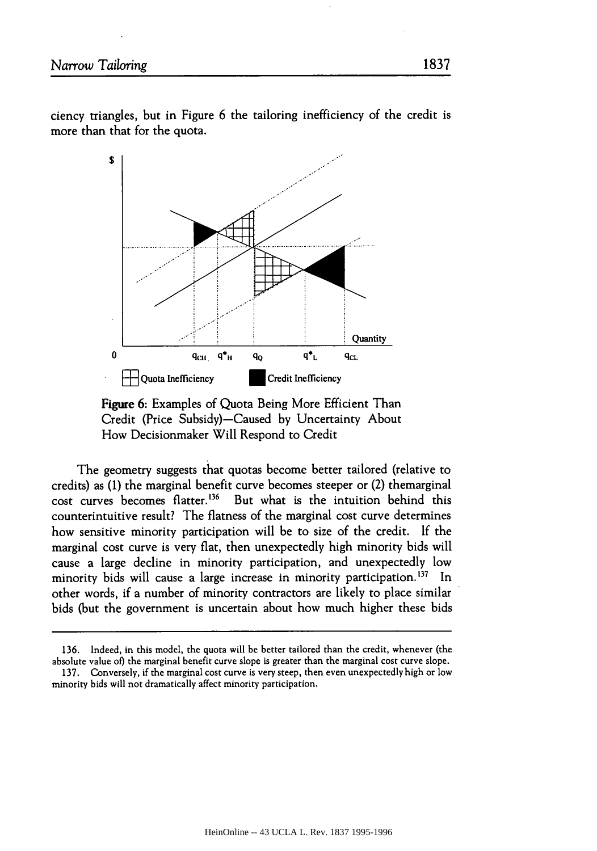

Figure 6: Examples of Quota Being More Efficient Than Credit (Price Subsidy)-Caused by Uncertainty About How Decisionmaker Will Respond to Credit

The geometry suggests that quotas become better tailored (relative to credits) as **(1)** the marginal benefit curve becomes steeper or (2) themarginal cost curves becomes flatter.<sup>136</sup> But what is the intuition behind this counterintuitive result? The flatness of the marginal cost curve determines how sensitive minority participation will be to size of the credit. If the marginal cost curve is very flat, then unexpectedly high minority bids will cause a large decline in minority participation, and unexpectedly low minority bids will cause a large increase in minority participation.<sup>137</sup> In other words, if a number of minority contractors are likely to place similar bids (but the government is uncertain about how much higher these bids

<sup>136.</sup> Indeed, in this model, the quota will be better tailored than the credit, whenever (the absolute value of) the marginal benefit curve slope is greater than the marginal cost curve slope.

<sup>137.</sup> Conversely, if the marginal cost curve is very steep, then even unexpectedly high or low minority bids will not dramatically affect minority participation.